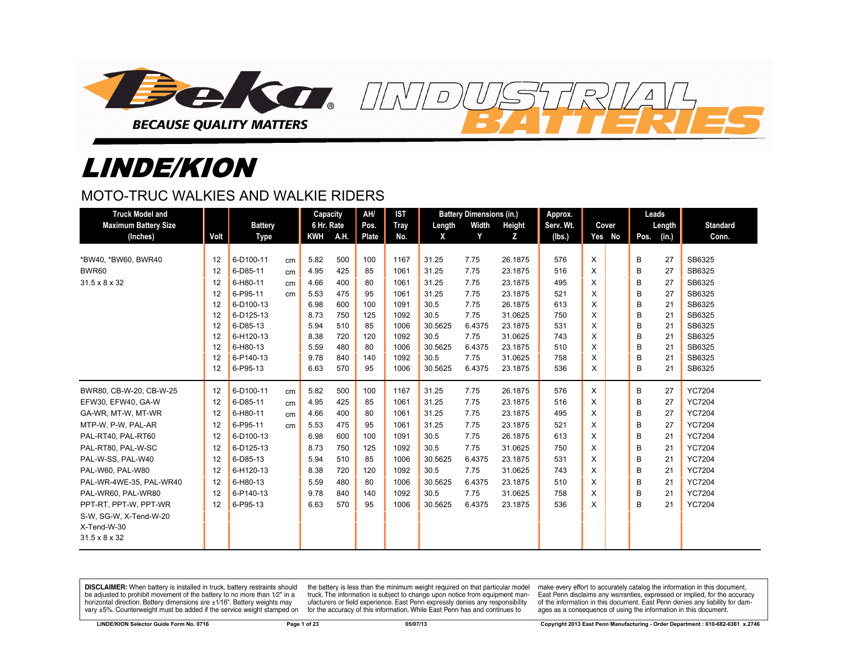

# LINDE/KION

# MOTO-TRUC WALKIES AND WALKIE RIDERS

| <b>Truck Model and</b>      |      |                |    | Capacity   |      | AH/   | <b>IST</b> |         | <b>Battery Dimensions (in.)</b> |         | Approx.   |   |        |      | Leads  |                 |
|-----------------------------|------|----------------|----|------------|------|-------|------------|---------|---------------------------------|---------|-----------|---|--------|------|--------|-----------------|
| <b>Maximum Battery Size</b> |      | <b>Battery</b> |    | 6 Hr. Rate |      | Pos.  | Tray       | Length  | Width                           | Height  | Serv. Wt. |   | Cover  |      | Length | <b>Standard</b> |
| (Inches)                    | Volt | <b>Type</b>    |    | KWH        | A.H. | Plate | No.        | X       | Y                               | Z       | (Ibs.)    |   | Yes No | Pos. | (in.)  | Conn.           |
|                             |      |                |    |            |      |       |            |         |                                 |         |           |   |        |      |        |                 |
| *BW40. *BW60. BWR40         | 12   | 6-D100-11      | cm | 5.82       | 500  | 100   | 1167       | 31.25   | 7.75                            | 26.1875 | 576       | X |        | B    | 27     | SB6325          |
| <b>BWR60</b>                | 12   | 6-D85-11       | cm | 4.95       | 425  | 85    | 1061       | 31.25   | 7.75                            | 23.1875 | 516       | X |        | B    | 27     | SB6325          |
| 31.5 x 8 x 32               | 12   | 6-H80-11       | cm | 4.66       | 400  | 80    | 1061       | 31.25   | 7.75                            | 23.1875 | 495       | X |        | B    | 27     | SB6325          |
|                             | 12   | 6-P95-11       | cm | 5.53       | 475  | 95    | 1061       | 31.25   | 7.75                            | 23.1875 | 521       | X |        | B    | 27     | SB6325          |
|                             | 12   | 6-D100-13      |    | 6.98       | 600  | 100   | 1091       | 30.5    | 7.75                            | 26.1875 | 613       | X |        | B    | 21     | SB6325          |
|                             | 12   | 6-D125-13      |    | 8.73       | 750  | 125   | 1092       | 30.5    | 7.75                            | 31.0625 | 750       | X |        | B    | 21     | SB6325          |
|                             | 12   | 6-D85-13       |    | 5.94       | 510  | 85    | 1006       | 30.5625 | 6.4375                          | 23.1875 | 531       | X |        | B    | 21     | SB6325          |
|                             | 12   | 6-H120-13      |    | 8.38       | 720  | 120   | 1092       | 30.5    | 7.75                            | 31.0625 | 743       | X |        | B    | 21     | SB6325          |
|                             | 12   | 6-H80-13       |    | 5.59       | 480  | 80    | 1006       | 30.5625 | 6.4375                          | 23.1875 | 510       | X |        | B    | 21     | SB6325          |
|                             | 12   | 6-P140-13      |    | 9.78       | 840  | 140   | 1092       | 30.5    | 7.75                            | 31.0625 | 758       | X |        | B    | 21     | SB6325          |
|                             | 12   | 6-P95-13       |    | 6.63       | 570  | 95    | 1006       | 30.5625 | 6.4375                          | 23.1875 | 536       | X |        | В    | 21     | SB6325          |
| BWR80, CB-W-20, CB-W-25     | 12   | 6-D100-11      | cm | 5.82       | 500  | 100   | 1167       | 31.25   | 7.75                            | 26.1875 | 576       | X |        | B    | 27     | <b>YC7204</b>   |
| EFW30, EFW40, GA-W          | 12   | 6-D85-11       | cm | 4.95       | 425  | 85    | 1061       | 31.25   | 7.75                            | 23.1875 | 516       | X |        | B    | 27     | <b>YC7204</b>   |
| GA-WR, MT-W, MT-WR          | 12   | 6-H80-11       | cm | 4.66       | 400  | 80    | 1061       | 31.25   | 7.75                            | 23.1875 | 495       | X |        | B    | 27     | <b>YC7204</b>   |
| MTP-W, P-W, PAL-AR          | 12   | 6-P95-11       | cm | 5.53       | 475  | 95    | 1061       | 31.25   | 7.75                            | 23.1875 | 521       | X |        | B    | 27     | <b>YC7204</b>   |
| PAL-RT40, PAL-RT60          | 12   | 6-D100-13      |    | 6.98       | 600  | 100   | 1091       | 30.5    | 7.75                            | 26.1875 | 613       | X |        | B    | 21     | <b>YC7204</b>   |
| PAL-RT80, PAL-W-SC          | 12   | 6-D125-13      |    | 8.73       | 750  | 125   | 1092       | 30.5    | 7.75                            | 31.0625 | 750       | X |        | B    | 21     | <b>YC7204</b>   |
| PAL-W-SS, PAL-W40           | 12   | 6-D85-13       |    | 5.94       | 510  | 85    | 1006       | 30.5625 | 6.4375                          | 23.1875 | 531       | X |        | B    | 21     | <b>YC7204</b>   |
| PAL-W60, PAL-W80            | 12   | 6-H120-13      |    | 8.38       | 720  | 120   | 1092       | 30.5    | 7.75                            | 31.0625 | 743       | X |        | B    | 21     | <b>YC7204</b>   |
| PAL-WR-4WE-35, PAL-WR40     | 12   | 6-H80-13       |    | 5.59       | 480  | 80    | 1006       | 30.5625 | 6.4375                          | 23.1875 | 510       | X |        | B    | 21     | <b>YC7204</b>   |
| PAL-WR60, PAL-WR80          | 12   | 6-P140-13      |    | 9.78       | 840  | 140   | 1092       | 30.5    | 7.75                            | 31.0625 | 758       | X |        | B    | 21     | <b>YC7204</b>   |
| PPT-RT, PPT-W, PPT-WR       | 12   | 6-P95-13       |    | 6.63       | 570  | 95    | 1006       | 30.5625 | 6.4375                          | 23.1875 | 536       | X |        | B    | 21     | <b>YC7204</b>   |
| S-W, SG-W, X-Tend-W-20      |      |                |    |            |      |       |            |         |                                 |         |           |   |        |      |        |                 |
| X-Tend-W-30                 |      |                |    |            |      |       |            |         |                                 |         |           |   |        |      |        |                 |
| 31.5 x 8 x 32               |      |                |    |            |      |       |            |         |                                 |         |           |   |        |      |        |                 |
|                             |      |                |    |            |      |       |            |         |                                 |         |           |   |        |      |        |                 |

 $\overline{D}$ 

DISCLAIMER: When battery is installed in truck, battery restraints should be adjusted to prohibit movement of the battery to no more than 1/2" in a horizontal direction. Battery dimensions are  $\pm 1/16$ ". Battery weights may vary ±5%. Counterweight must be added if the service weight stamped on

the battery is less than the minimum weight required on that particular model truck. The information is subject to change upon notice from equipment manufacturers or field experience. East Penn expressly denies any responsibility for the accuracy of this information. While East Penn has and continues to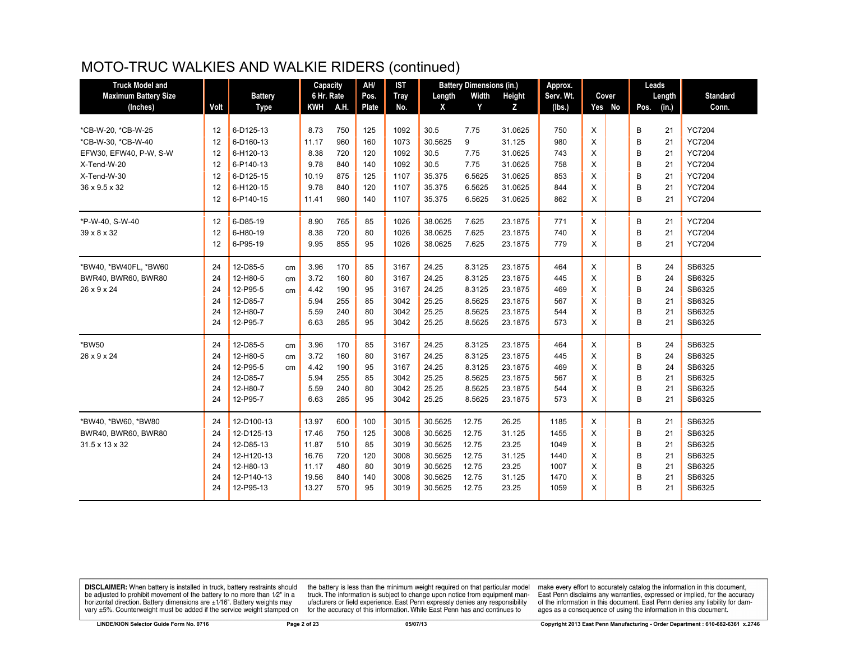| <b>Truck Model and</b>      |      |                |    | Capacity   |     | AH/          | <b>IST</b>  |         | <b>Battery Dimensions (in.)</b> |         | Approx.   |   |        |      | Leads  |                 |
|-----------------------------|------|----------------|----|------------|-----|--------------|-------------|---------|---------------------------------|---------|-----------|---|--------|------|--------|-----------------|
| <b>Maximum Battery Size</b> |      | <b>Battery</b> |    | 6 Hr. Rate |     | Pos.         | <b>Tray</b> | Length  | Width                           | Height  | Serv. Wt. |   | Cover  |      | Length | <b>Standard</b> |
| (Inches)                    | Volt | <b>Type</b>    |    | KWH A.H.   |     | <b>Plate</b> | No.         | X       | Y                               | Z       | (Ibs.)    |   | Yes No | Pos. | (in.)  | Conn.           |
|                             |      |                |    |            |     |              |             |         |                                 |         |           |   |        |      |        |                 |
| *CB-W-20, *CB-W-25          | 12   | 6-D125-13      |    | 8.73       | 750 | 125          | 1092        | 30.5    | 7.75                            | 31.0625 | 750       | X |        | В    | 21     | <b>YC7204</b>   |
| *CB-W-30. *CB-W-40          | 12   | 6-D160-13      |    | 11.17      | 960 | 160          | 1073        | 30.5625 | 9                               | 31.125  | 980       | X |        | B    | 21     | <b>YC7204</b>   |
| EFW30, EFW40, P-W, S-W      | 12   | 6-H120-13      |    | 8.38       | 720 | 120          | 1092        | 30.5    | 7.75                            | 31.0625 | 743       | X |        | B    | 21     | <b>YC7204</b>   |
| X-Tend-W-20                 | 12   | 6-P140-13      |    | 9.78       | 840 | 140          | 1092        | 30.5    | 7.75                            | 31.0625 | 758       | X |        | B    | 21     | <b>YC7204</b>   |
| X-Tend-W-30                 | 12   | 6-D125-15      |    | 10.19      | 875 | 125          | 1107        | 35.375  | 6.5625                          | 31.0625 | 853       | X |        | B    | 21     | <b>YC7204</b>   |
| 36 x 9.5 x 32               | 12   | 6-H120-15      |    | 9.78       | 840 | 120          | 1107        | 35.375  | 6.5625                          | 31.0625 | 844       | X |        | B    | 21     | <b>YC7204</b>   |
|                             | 12   | 6-P140-15      |    | 11.41      | 980 | 140          | 1107        | 35.375  | 6.5625                          | 31.0625 | 862       | X |        | B    | 21     | <b>YC7204</b>   |
| *P-W-40, S-W-40             | 12   | 6-D85-19       |    | 8.90       | 765 | 85           | 1026        | 38.0625 | 7.625                           | 23.1875 | 771       | X |        | В    | 21     | <b>YC7204</b>   |
| 39 x 8 x 32                 | 12   | 6-H80-19       |    | 8.38       | 720 | 80           | 1026        | 38.0625 | 7.625                           | 23.1875 | 740       | X |        | B    | 21     | <b>YC7204</b>   |
|                             | 12   | 6-P95-19       |    | 9.95       | 855 | 95           | 1026        | 38.0625 | 7.625                           | 23.1875 | 779       | X |        | B    | 21     | <b>YC7204</b>   |
| *BW40, *BW40FL, *BW60       | 24   | 12-D85-5       | cm | 3.96       | 170 | 85           | 3167        | 24.25   | 8.3125                          | 23.1875 | 464       | X |        | В    | 24     | SB6325          |
| BWR40, BWR60, BWR80         | 24   | 12-H80-5       | cm | 3.72       | 160 | 80           | 3167        | 24.25   | 8.3125                          | 23.1875 | 445       | X |        | B    | 24     | SB6325          |
| 26 x 9 x 24                 | 24   | 12-P95-5       | cm | 4.42       | 190 | 95           | 3167        | 24.25   | 8.3125                          | 23.1875 | 469       | X |        | B    | 24     | SB6325          |
|                             | 24   | 12-D85-7       |    | 5.94       | 255 | 85           | 3042        | 25.25   | 8.5625                          | 23.1875 | 567       | X |        | B    | 21     | SB6325          |
|                             | 24   | 12-H80-7       |    | 5.59       | 240 | 80           | 3042        | 25.25   | 8.5625                          | 23.1875 | 544       | X |        | B    | 21     | SB6325          |
|                             | 24   | 12-P95-7       |    | 6.63       | 285 | 95           | 3042        | 25.25   | 8.5625                          | 23.1875 | 573       | X |        | B    | 21     | SB6325          |
| *BW50                       | 24   | 12-D85-5       | cm | 3.96       | 170 | 85           | 3167        | 24.25   | 8.3125                          | 23.1875 | 464       | X |        | В    | 24     | SB6325          |
| 26 x 9 x 24                 | 24   | 12-H80-5       | cm | 3.72       | 160 | 80           | 3167        | 24.25   | 8.3125                          | 23.1875 | 445       | X |        | B    | 24     | SB6325          |
|                             | 24   | 12-P95-5       | cm | 4.42       | 190 | 95           | 3167        | 24.25   | 8.3125                          | 23.1875 | 469       | X |        | B    | 24     | SB6325          |
|                             | 24   | 12-D85-7       |    | 5.94       | 255 | 85           | 3042        | 25.25   | 8.5625                          | 23.1875 | 567       | X |        | B    | 21     | SB6325          |
|                             | 24   | 12-H80-7       |    | 5.59       | 240 | 80           | 3042        | 25.25   | 8.5625                          | 23.1875 | 544       | X |        | B    | 21     | SB6325          |
|                             | 24   | 12-P95-7       |    | 6.63       | 285 | 95           | 3042        | 25.25   | 8.5625                          | 23.1875 | 573       | X |        | B    | 21     | SB6325          |
| *BW40, *BW60, *BW80         | 24   | 12-D100-13     |    | 13.97      | 600 | 100          | 3015        | 30.5625 | 12.75                           | 26.25   | 1185      | X |        | B    | 21     | SB6325          |
| BWR40, BWR60, BWR80         | 24   | 12-D125-13     |    | 17.46      | 750 | 125          | 3008        | 30.5625 | 12.75                           | 31.125  | 1455      | X |        | B    | 21     | SB6325          |
| 31.5 x 13 x 32              | 24   | 12-D85-13      |    | 11.87      | 510 | 85           | 3019        | 30.5625 | 12.75                           | 23.25   | 1049      | X |        | B    | 21     | SB6325          |
|                             | 24   | 12-H120-13     |    | 16.76      | 720 | 120          | 3008        | 30.5625 | 12.75                           | 31.125  | 1440      | X |        | B    | 21     | SB6325          |
|                             | 24   | 12-H80-13      |    | 11.17      | 480 | 80           | 3019        | 30.5625 | 12.75                           | 23.25   | 1007      | X |        | B    | 21     | SB6325          |
|                             | 24   | 12-P140-13     |    | 19.56      | 840 | 140          | 3008        | 30.5625 | 12.75                           | 31.125  | 1470      | X |        | B    | 21     | SB6325          |
|                             | 24   | 12-P95-13      |    | 13.27      | 570 | 95           | 3019        | 30.5625 | 12.75                           | 23.25   | 1059      | X |        | B    | 21     | SB6325          |

**DISCLAIMER:** When battery is installed in truck, battery restraints should be adjusted to prohibit movement of the battery to no more than  $1/2$ " in a horizontal direction. Battery dimensions are  $\pm 1/16$ ". Battery weig

the battery is less than the minimum weight required on that particular model<br>truck. The information is subject to change upon notice from equipment manufacturers or field experience. East Penn expressly denies any responsibility for the accuracy of this information. While East Penn has and continues to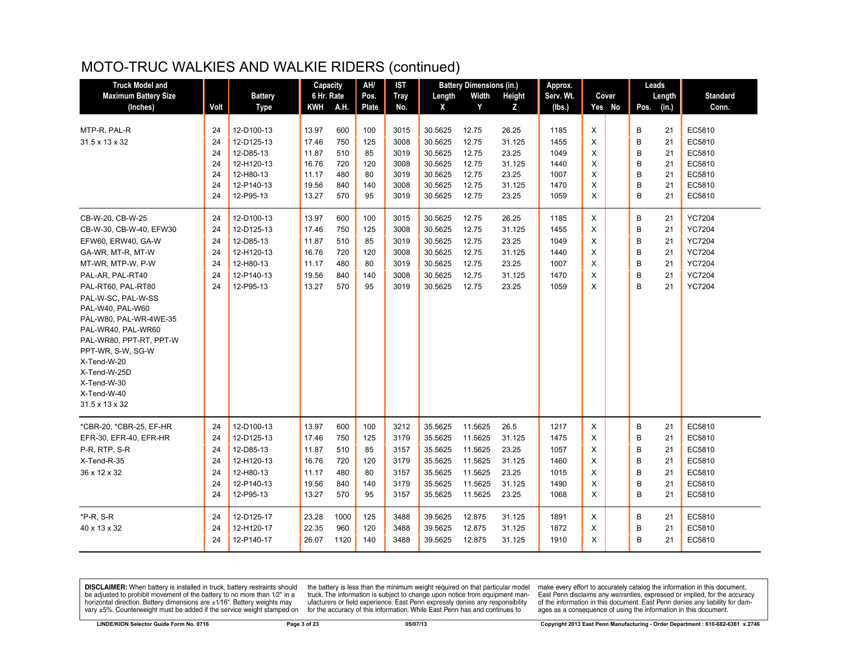| <b>Truck Model and</b>                                                                                                                                                                                                                                                                                                                                                 |                                        |                                                                                             | Capacity                                                    |                                               | AH/                                        | <b>IST</b>                                           |                                                                           | <b>Battery Dimensions (in.)</b>                                           |                                                                | Approx.                                              |                                 | Leads                                                                     |                                                                                                    |
|------------------------------------------------------------------------------------------------------------------------------------------------------------------------------------------------------------------------------------------------------------------------------------------------------------------------------------------------------------------------|----------------------------------------|---------------------------------------------------------------------------------------------|-------------------------------------------------------------|-----------------------------------------------|--------------------------------------------|------------------------------------------------------|---------------------------------------------------------------------------|---------------------------------------------------------------------------|----------------------------------------------------------------|------------------------------------------------------|---------------------------------|---------------------------------------------------------------------------|----------------------------------------------------------------------------------------------------|
| <b>Maximum Battery Size</b>                                                                                                                                                                                                                                                                                                                                            |                                        | <b>Battery</b>                                                                              | 6 Hr. Rate                                                  |                                               | Pos.                                       | <b>Tray</b>                                          | Length                                                                    | Width                                                                     | Height                                                         | Serv. Wt.                                            | Cover                           | Length                                                                    | <b>Standard</b>                                                                                    |
| (Inches)                                                                                                                                                                                                                                                                                                                                                               | Volt                                   | <b>Type</b>                                                                                 | KWH                                                         | A.H.                                          | Plate                                      | No.                                                  | X                                                                         | Y                                                                         | Z                                                              | (lbs.)                                               | Yes No                          | (in.)<br>Pos.                                                             | Conn.                                                                                              |
| MTP-R, PAL-R<br>31.5 x 13 x 32                                                                                                                                                                                                                                                                                                                                         | 24<br>24<br>24<br>24<br>24<br>24<br>24 | 12-D100-13<br>12-D125-13<br>12-D85-13<br>12-H120-13<br>12-H80-13<br>12-P140-13<br>12-P95-13 | 13.97<br>17.46<br>11.87<br>16.76<br>11.17<br>19.56<br>13.27 | 600<br>750<br>510<br>720<br>480<br>840<br>570 | 100<br>125<br>85<br>120<br>80<br>140<br>95 | 3015<br>3008<br>3019<br>3008<br>3019<br>3008<br>3019 | 30.5625<br>30.5625<br>30.5625<br>30.5625<br>30.5625<br>30.5625<br>30.5625 | 12.75<br>12.75<br>12.75<br>12.75<br>12.75<br>12.75<br>12.75               | 26.25<br>31.125<br>23.25<br>31.125<br>23.25<br>31.125<br>23.25 | 1185<br>1455<br>1049<br>1440<br>1007<br>1470<br>1059 | X<br>X<br>X<br>X<br>X<br>X<br>X | В<br>21<br>B<br>21<br>B<br>21<br>B<br>21<br>B<br>21<br>B<br>21<br>B<br>21 | EC5810<br>EC5810<br>EC5810<br>EC5810<br>EC5810<br>EC5810<br>EC5810                                 |
| CB-W-20, CB-W-25                                                                                                                                                                                                                                                                                                                                                       | 24                                     | 12-D100-13                                                                                  | 13.97                                                       | 600                                           | 100                                        | 3015                                                 | 30.5625                                                                   | 12.75                                                                     | 26.25                                                          | 1185                                                 | X                               | B<br>21                                                                   | <b>YC7204</b>                                                                                      |
| CB-W-30, CB-W-40, EFW30<br>EFW60, ERW40, GA-W<br>GA-WR, MT-R, MT-W<br>MT-WR, MTP-W, P-W<br>PAL-AR, PAL-RT40<br>PAL-RT60, PAL-RT80<br>PAL-W-SC, PAL-W-SS<br>PAL-W40, PAL-W60<br>PAL-W80, PAL-WR-4WE-35<br>PAL-WR40, PAL-WR60<br>PAL-WR80, PPT-RT, PPT-W<br>PPT-WR, S-W, SG-W<br>X-Tend-W-20<br>X-Tend-W-25D<br>X-Tend-W-30<br>X-Tend-W-40<br>$31.5 \times 13 \times 32$ | 24<br>24<br>24<br>24<br>24<br>24       | 12-D125-13<br>12-D85-13<br>12-H120-13<br>12-H80-13<br>12-P140-13<br>12-P95-13               | 17.46<br>11.87<br>16.76<br>11.17<br>19.56<br>13.27          | 750<br>510<br>720<br>480<br>840<br>570        | 125<br>85<br>120<br>80<br>140<br>95        | 3008<br>3019<br>3008<br>3019<br>3008<br>3019         | 30.5625<br>30.5625<br>30.5625<br>30.5625<br>30.5625<br>30.5625            | 12.75<br>12.75<br>12.75<br>12.75<br>12.75<br>12.75                        | 31.125<br>23.25<br>31.125<br>23.25<br>31.125<br>23.25          | 1455<br>1049<br>1440<br>1007<br>1470<br>1059         | X<br>X<br>X<br>X<br>X<br>X      | B<br>21<br>B<br>21<br>B<br>21<br>B<br>21<br>B<br>21<br>B<br>21            | <b>YC7204</b><br><b>YC7204</b><br><b>YC7204</b><br><b>YC7204</b><br><b>YC7204</b><br><b>YC7204</b> |
| *CBR-20, *CBR-25, EF-HR<br>EFR-30, EFR-40, EFR-HR<br>P-R, RTP, S-R<br>X-Tend-R-35<br>36 x 12 x 32                                                                                                                                                                                                                                                                      | 24<br>24<br>24<br>24<br>24<br>24<br>24 | 12-D100-13<br>12-D125-13<br>12-D85-13<br>12-H120-13<br>12-H80-13<br>12-P140-13<br>12-P95-13 | 13.97<br>17.46<br>11.87<br>16.76<br>11.17<br>19.56<br>13.27 | 600<br>750<br>510<br>720<br>480<br>840<br>570 | 100<br>125<br>85<br>120<br>80<br>140<br>95 | 3212<br>3179<br>3157<br>3179<br>3157<br>3179<br>3157 | 35.5625<br>35.5625<br>35.5625<br>35.5625<br>35.5625<br>35.5625<br>35.5625 | 11.5625<br>11.5625<br>11.5625<br>11.5625<br>11.5625<br>11.5625<br>11.5625 | 26.5<br>31.125<br>23.25<br>31.125<br>23.25<br>31.125<br>23.25  | 1217<br>1475<br>1057<br>1460<br>1015<br>1490<br>1068 | X<br>X<br>X<br>X<br>X<br>X<br>X | B<br>21<br>B<br>21<br>B<br>21<br>B<br>21<br>B<br>21<br>B<br>21<br>B<br>21 | EC5810<br>EC5810<br>EC5810<br>EC5810<br>EC5810<br>EC5810<br>EC5810                                 |
| *P-R, S-R<br>40 x 13 x 32                                                                                                                                                                                                                                                                                                                                              | 24<br>24<br>24                         | 12-D125-17<br>12-H120-17<br>12-P140-17                                                      | 23.28<br>22.35<br>26.07                                     | 1000<br>960<br>1120                           | 125<br>120<br>140                          | 3488<br>3488<br>3488                                 | 39.5625<br>39.5625<br>39.5625                                             | 12.875<br>12.875<br>12.875                                                | 31.125<br>31.125<br>31.125                                     | 1891<br>1872<br>1910                                 | X<br>X<br>X                     | B<br>21<br>B<br>21<br>B<br>21                                             | EC5810<br>EC5810<br>EC5810                                                                         |

**DISCLAIMER:** When battery is installed in truck, battery restraints should be adjusted to prohibit movement of the battery to no more than  $1/2$ " in a horizontal direction. Battery dimensions are  $\pm 1/16$ ". Battery weig

the battery is less than the minimum weight required on that particular model<br>truck. The information is subject to change upon notice from equipment manufacturers or field experience. East Penn expressly denies any responsibility for the accuracy of this information. While East Penn has and continues to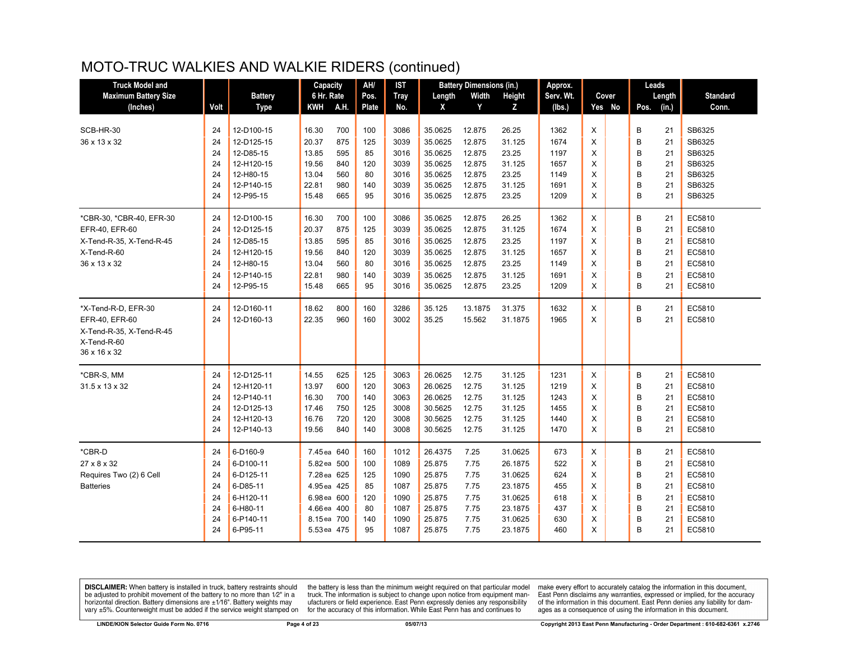| <b>Truck Model and</b>                     |          |                         | Capacity       |            | AH/       | <b>IST</b>   |                    | <b>Battery Dimensions (in.)</b> |                 | Approx.      |        |        | Leads  |          |                  |
|--------------------------------------------|----------|-------------------------|----------------|------------|-----------|--------------|--------------------|---------------------------------|-----------------|--------------|--------|--------|--------|----------|------------------|
| <b>Maximum Battery Size</b>                |          | <b>Battery</b>          | 6 Hr. Rate     |            | Pos.      | <b>Tray</b>  | Length             | Width                           | Height          | Serv. Wt.    |        | Cover  |        | Length   | <b>Standard</b>  |
| (Inches)                                   | Volt     | <b>Type</b>             | <b>KWH</b>     | A.H.       | Plate     | No.          | X                  | Y                               | z               | (lbs.)       |        | Yes No | Pos.   | (in.)    | Conn.            |
|                                            |          |                         |                |            |           |              |                    |                                 |                 |              |        |        |        |          |                  |
| SCB-HR-30                                  | 24       | 12-D100-15              | 16.30          | 700        | 100       | 3086         | 35.0625            | 12.875                          | 26.25           | 1362         | X      |        | В      | 21       | SB6325           |
| 36 x 13 x 32                               | 24       | 12-D125-15              | 20.37          | 875        | 125       | 3039         | 35.0625            | 12.875                          | 31.125          | 1674         | X      |        | B      | 21       | SB6325           |
|                                            | 24       | 12-D85-15               | 13.85          | 595        | 85        | 3016         | 35.0625            | 12.875                          | 23.25           | 1197         | X      |        | B      | 21       | SB6325           |
|                                            | 24       | 12-H120-15              | 19.56          | 840        | 120       | 3039         | 35.0625            | 12.875                          | 31.125          | 1657         | X      |        | B      | 21       | SB6325           |
|                                            | 24<br>24 | 12-H80-15<br>12-P140-15 | 13.04<br>22.81 | 560<br>980 | 80<br>140 | 3016<br>3039 | 35.0625<br>35.0625 | 12.875<br>12.875                | 23.25<br>31.125 | 1149<br>1691 | X<br>Χ |        | B<br>B | 21<br>21 | SB6325<br>SB6325 |
|                                            | 24       | 12-P95-15               | 15.48          | 665        | 95        | 3016         | 35.0625            | 12.875                          | 23.25           | 1209         | X      |        | B      | 21       | SB6325           |
| *CBR-30, *CBR-40, EFR-30                   |          | 12-D100-15              |                | 700        | 100       | 3086         | 35.0625            | 12.875                          |                 | 1362         | X      |        | B      | 21       | EC5810           |
|                                            | 24       |                         | 16.30<br>20.37 | 875        |           | 3039         | 35.0625            | 12.875                          | 26.25           |              | X      |        | B      |          | EC5810           |
| EFR-40, EFR-60<br>X-Tend-R-35, X-Tend-R-45 | 24<br>24 | 12-D125-15<br>12-D85-15 | 13.85          | 595        | 125<br>85 | 3016         | 35.0625            | 12.875                          | 31.125<br>23.25 | 1674<br>1197 | X      |        | B      | 21<br>21 | EC5810           |
| X-Tend-R-60                                | 24       | 12-H120-15              | 19.56          | 840        | 120       | 3039         | 35.0625            | 12.875                          | 31.125          | 1657         | X      |        | B      | 21       | EC5810           |
| 36 x 13 x 32                               | 24       | 12-H80-15               | 13.04          | 560        | 80        | 3016         | 35.0625            | 12.875                          | 23.25           | 1149         | X      |        | B      | 21       | EC5810           |
|                                            | 24       | 12-P140-15              | 22.81          | 980        | 140       | 3039         | 35.0625            | 12.875                          | 31.125          | 1691         | X      |        | B      | 21       | EC5810           |
|                                            | 24       | 12-P95-15               | 15.48          | 665        | 95        | 3016         | 35.0625            | 12.875                          | 23.25           | 1209         | X      |        | B      | 21       | EC5810           |
|                                            |          |                         |                |            |           |              |                    |                                 |                 |              |        |        |        |          |                  |
| *X-Tend-R-D, EFR-30                        | 24       | 12-D160-11              | 18.62          | 800        | 160       | 3286         | 35.125             | 13.1875                         | 31.375          | 1632         | X      |        | В      | 21       | EC5810           |
| EFR-40, EFR-60                             | 24       | 12-D160-13              | 22.35          | 960        | 160       | 3002         | 35.25              | 15.562                          | 31.1875         | 1965         | X      |        | B      | 21       | EC5810           |
| X-Tend-R-35, X-Tend-R-45                   |          |                         |                |            |           |              |                    |                                 |                 |              |        |        |        |          |                  |
| X-Tend-R-60                                |          |                         |                |            |           |              |                    |                                 |                 |              |        |        |        |          |                  |
| 36 x 16 x 32                               |          |                         |                |            |           |              |                    |                                 |                 |              |        |        |        |          |                  |
| *CBR-S, MM                                 | 24       | 12-D125-11              | 14.55          | 625        | 125       | 3063         | 26.0625            | 12.75                           | 31.125          | 1231         | X      |        | В      | 21       | EC5810           |
| 31.5 x 13 x 32                             | 24       | 12-H120-11              | 13.97          | 600        | 120       | 3063         | 26.0625            | 12.75                           | 31.125          | 1219         | X      |        | B      | 21       | EC5810           |
|                                            | 24       | 12-P140-11              | 16.30          | 700        | 140       | 3063         | 26.0625            | 12.75                           | 31.125          | 1243         | X      |        | B      | 21       | EC5810           |
|                                            | 24       | 12-D125-13              | 17.46          | 750        | 125       | 3008         | 30.5625            | 12.75                           | 31.125          | 1455         | X      |        | B      | 21       | EC5810           |
|                                            | 24       | 12-H120-13              | 16.76          | 720        | 120       | 3008         | 30.5625            | 12.75                           | 31.125          | 1440         | X      |        | B      | 21       | EC5810           |
|                                            | 24       | 12-P140-13              | 19.56          | 840        | 140       | 3008         | 30.5625            | 12.75                           | 31.125          | 1470         | X      |        | B      | 21       | EC5810           |
| *CBR-D                                     | 24       | 6-D160-9                | 7.45 ea 640    |            | 160       | 1012         | 26.4375            | 7.25                            | 31.0625         | 673          | X      |        | В      | 21       | EC5810           |
| 27 x 8 x 32                                | 24       | 6-D100-11               | 5.82 ea 500    |            | 100       | 1089         | 25.875             | 7.75                            | 26.1875         | 522          | X      |        | B      | 21       | EC5810           |
| Requires Two (2) 6 Cell                    | 24       | 6-D125-11               | 7.28 ea 625    |            | 125       | 1090         | 25.875             | 7.75                            | 31.0625         | 624          | X      |        | B      | 21       | EC5810           |
| <b>Batteries</b>                           | 24       | 6-D85-11                | 4.95 ea 425    |            | 85        | 1087         | 25.875             | 7.75                            | 23.1875         | 455          | X      |        | B      | 21       | EC5810           |
|                                            | 24       | 6-H120-11               | 6.98 ea 600    |            | 120       | 1090         | 25.875             | 7.75                            | 31.0625         | 618          | X      |        | B      | 21       | EC5810           |
|                                            | 24       | 6-H80-11                | 4.66 ea 400    |            | 80        | 1087         | 25.875             | 7.75                            | 23.1875         | 437          | Χ      |        | B      | 21       | EC5810           |
|                                            | 24       | 6-P140-11               | 8.15ea 700     |            | 140       | 1090         | 25.875             | 7.75                            | 31.0625         | 630          | X      |        | B      | 21       | EC5810           |
|                                            | 24       | 6-P95-11                | 5.53 ea 475    |            | 95        | 1087         | 25.875             | 7.75                            | 23.1875         | 460          | X      |        | B      | 21       | EC5810           |

**DISCLAIMER:** When battery is installed in truck, battery restraints should be adjusted to prohibit movement of the battery to no more than  $1/2$ " in a horizontal direction. Battery dimensions are  $\pm 1/16$ ". Battery weig

the battery is less than the minimum weight required on that particular model<br>truck. The information is subject to change upon notice from equipment manufacturers or field experience. East Penn expressly denies any responsibility for the accuracy of this information. While East Penn has and continues to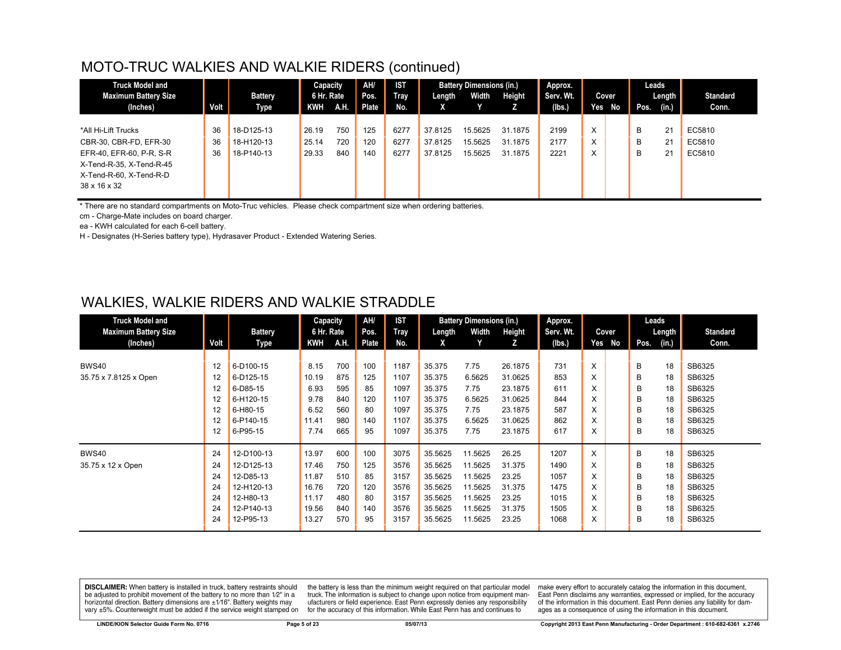| <b>Truck Model and</b>      |      |                | Capacity   |             | AH/   | <b>IST</b> |         | <b>Battery Dimensions (in.)</b> |               | Approx.   |   |        | Leads |        |                 |
|-----------------------------|------|----------------|------------|-------------|-------|------------|---------|---------------------------------|---------------|-----------|---|--------|-------|--------|-----------------|
| <b>Maximum Battery Size</b> |      | <b>Battery</b> | 6 Hr. Rate |             | Pos.  | Tray       | Length  | Width                           | <b>Height</b> | Serv. Wt. |   | Cover  |       | Length | <b>Standard</b> |
| (Inches)                    | Volt | Type           | KWH        | <b>A.H.</b> | Plate | No.        | x       |                                 |               | (Ibs.)    |   | Yes No | Pos.  | (in.)  | Conn.           |
|                             |      |                |            |             |       |            |         |                                 |               |           |   |        |       |        |                 |
| *All Hi-Lift Trucks         | 36   | 18-D125-13     | 26.19      | 750         | 125   | 6277       | 37.8125 | 15.5625                         | 31.1875       | 2199      | X |        | B     | 21     | EC5810          |
| CBR-30, CBR-FD, EFR-30      | 36   | 18-H120-13     | 25.14      | 720         | 120   | 6277       | 37.8125 | 15.5625                         | 31.1875       | 2177      | X |        | B     | 21     | EC5810          |
| EFR-40, EFR-60, P-R, S-R    | 36   | 18-P140-13     | 29.33      | 840         | 140   | 6277       | 37.8125 | 15.5625                         | 31.1875       | 2221      | X |        | B     | 21     | EC5810          |
| X-Tend-R-35, X-Tend-R-45    |      |                |            |             |       |            |         |                                 |               |           |   |        |       |        |                 |
| X-Tend-R-60, X-Tend-R-D     |      |                |            |             |       |            |         |                                 |               |           |   |        |       |        |                 |
| 38 x 16 x 32                |      |                |            |             |       |            |         |                                 |               |           |   |        |       |        |                 |
|                             |      |                |            |             |       |            |         |                                 |               |           |   |        |       |        |                 |

\* There are no standard compartments on Moto-Truc vehicles. Please check compartment size when ordering batteries.

cm - Charge-Mate includes on board charger.

ea - KWH calculated for each 6-cell battery.

H - Designates (H-Series battery type), Hydrasaver Product - Extended Watering Series.

#### WALKIES, WALKIE RIDERS AND WALKIE STRADDLE

| <b>Truck Model and</b>      |      |                | Capacity   |      | AH/   | <b>IST</b> |         | <b>Battery Dimensions (in.)</b> |         | Approx.   |     |       |      | Leads  |                 |
|-----------------------------|------|----------------|------------|------|-------|------------|---------|---------------------------------|---------|-----------|-----|-------|------|--------|-----------------|
| <b>Maximum Battery Size</b> |      | <b>Battery</b> | 6 Hr. Rate |      | Pos.  | Tray       | Length  | Width                           | Height  | Serv. Wt. |     | Cover |      | Length | <b>Standard</b> |
| (Inches)                    | Volt | Type           | <b>KWH</b> | A.H. | Plate | No.        | X       |                                 | z       | (Ibs.)    | Yes | No    | Pos. | (in.)  | Conn.           |
|                             |      |                |            |      |       |            |         |                                 |         |           |     |       |      |        |                 |
| BWS40                       | 12   | 6-D100-15      | 8.15       | 700  | 100   | 1187       | 35.375  | 7.75                            | 26.1875 | 731       | X   |       | B    | 18     | SB6325          |
| 35.75 x 7.8125 x Open       | 12   | 6-D125-15      | 10.19      | 875  | 125   | 1107       | 35.375  | 6.5625                          | 31.0625 | 853       | X   |       | B    | 18     | SB6325          |
|                             | 12   | 6-D85-15       | 6.93       | 595  | 85    | 1097       | 35.375  | 7.75                            | 23.1875 | 611       | X   |       | B    | 18     | SB6325          |
|                             | 12   | 6-H120-15      | 9.78       | 840  | 120   | 1107       | 35.375  | 6.5625                          | 31.0625 | 844       | X   |       | B    | 18     | SB6325          |
|                             | 12   | 6-H80-15       | 6.52       | 560  | 80    | 1097       | 35.375  | 7.75                            | 23.1875 | 587       | X   |       | B    | 18     | SB6325          |
|                             | 12   | 6-P140-15      | 11.41      | 980  | 140   | 1107       | 35.375  | 6.5625                          | 31.0625 | 862       | X   |       | B    | 18     | SB6325          |
|                             | 12   | 6-P95-15       | 7.74       | 665  | 95    | 1097       | 35.375  | 7.75                            | 23.1875 | 617       | X   |       | B    | 18     | SB6325          |
| BWS40                       | 24   | 12-D100-13     | 13.97      | 600  | 100   | 3075       | 35.5625 | 11.5625                         | 26.25   | 1207      | X   |       | B    | 18     | SB6325          |
| 35.75 x 12 x Open           | 24   | 12-D125-13     | 17.46      | 750  | 125   | 3576       | 35.5625 | 11.5625                         | 31.375  | 1490      | X   |       | B    | 18     | SB6325          |
|                             | 24   | 12-D85-13      | 11.87      | 510  | 85    | 3157       | 35.5625 | 11.5625                         | 23.25   | 1057      | X   |       | B    | 18     | SB6325          |
|                             | 24   | 12-H120-13     | 16.76      | 720  | 120   | 3576       | 35.5625 | 11.5625                         | 31.375  | 1475      | X   |       | B    | 18     | SB6325          |
|                             | 24   | 12-H80-13      | 11.17      | 480  | 80    | 3157       | 35.5625 | 11.5625                         | 23.25   | 1015      | X   |       | B    | 18     | SB6325          |
|                             | 24   | 12-P140-13     | 19.56      | 840  | 140   | 3576       | 35.5625 | 11.5625                         | 31.375  | 1505      | X   |       | B    | 18     | SB6325          |
|                             | 24   | 12-P95-13      | 13.27      | 570  | 95    | 3157       | 35.5625 | 11.5625                         | 23.25   | 1068      | X   |       | B    | 18     | SB6325          |

DISCLAIMER: When battery is installed in truck, battery restraints should be adjusted to prohibit movement of the battery to no more than 1/2" in a horizontal direction. Battery dimensions are  $\pm 1/16$ ". Battery weights may vary ±5%. Counterweight must be added if the service weight stamped on

the battery is less than the minimum weight required on that particular model truck. The information is subject to change upon notice from equipment manufacturers or field experience. East Penn expressly denies any responsibility for the accuracy of this information. While East Penn has and continues to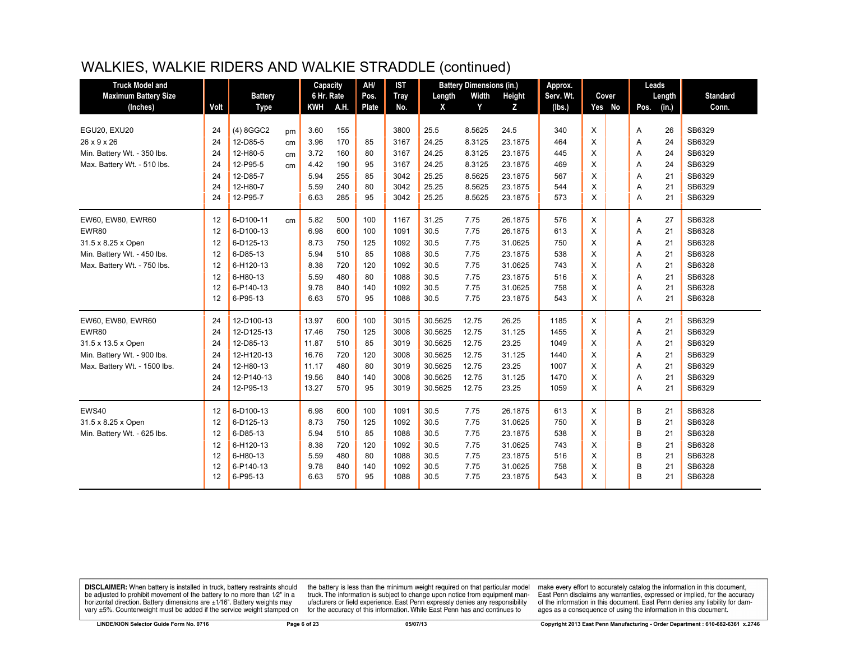## WALKIES, WALKIE RIDERS AND WALKIE STRADDLE (continued)

| <b>Truck Model and</b>       |      |                |    | Capacity   |      | AH/          | <b>IST</b>  |         | <b>Battery Dimensions (in.)</b> |         | Approx.   |          |        | Leads |        |                 |
|------------------------------|------|----------------|----|------------|------|--------------|-------------|---------|---------------------------------|---------|-----------|----------|--------|-------|--------|-----------------|
| <b>Maximum Battery Size</b>  |      | <b>Battery</b> |    | 6 Hr. Rate |      | Pos.         | <b>Tray</b> | Length  | Width                           | Height  | Serv. Wt. |          | Cover  |       | Length | <b>Standard</b> |
| (Inches)                     | Volt | <b>Type</b>    |    | <b>KWH</b> | A.H. | <b>Plate</b> | No.         | X       | Y                               | Z       | (lbs.)    |          | Yes No | Pos.  | (in.)  | Conn.           |
|                              |      |                |    |            |      |              |             |         |                                 |         |           |          |        |       |        |                 |
| EGU20, EXU20                 | 24   | $(4)$ 8GGC2    | pm | 3.60       | 155  |              | 3800        | 25.5    | 8.5625                          | 24.5    | 340       | X        |        | Α     | 26     | SB6329          |
| 26 x 9 x 26                  | 24   | 12-D85-5       | cm | 3.96       | 170  | 85           | 3167        | 24.25   | 8.3125                          | 23.1875 | 464       | X        |        | Α     | 24     | SB6329          |
| Min. Battery Wt. - 350 lbs.  | 24   | 12-H80-5       | cm | 3.72       | 160  | 80           | 3167        | 24.25   | 8.3125                          | 23.1875 | 445       | X        |        | A     | 24     | SB6329          |
| Max. Battery Wt. - 510 lbs.  | 24   | 12-P95-5       | cm | 4.42       | 190  | 95           | 3167        | 24.25   | 8.3125                          | 23.1875 | 469       | X        |        | Α     | 24     | SB6329          |
|                              | 24   | 12-D85-7       |    | 5.94       | 255  | 85           | 3042        | 25.25   | 8.5625                          | 23.1875 | 567       | X        |        | A     | 21     | SB6329          |
|                              | 24   | 12-H80-7       |    | 5.59       | 240  | 80           | 3042        | 25.25   | 8.5625                          | 23.1875 | 544       | X        |        | A     | 21     | SB6329          |
|                              | 24   | 12-P95-7       |    | 6.63       | 285  | 95           | 3042        | 25.25   | 8.5625                          | 23.1875 | 573       | X        |        | A     | 21     | SB6329          |
| EW60, EW80, EWR60            | 12   | 6-D100-11      | cm | 5.82       | 500  | 100          | 1167        | 31.25   | 7.75                            | 26.1875 | 576       | X        |        | Α     | 27     | SB6328          |
| <b>EWR80</b>                 | 12   | 6-D100-13      |    | 6.98       | 600  | 100          | 1091        | 30.5    | 7.75                            | 26.1875 | 613       | X        |        | Α     | 21     | SB6328          |
| 31.5 x 8.25 x Open           | 12   | 6-D125-13      |    | 8.73       | 750  | 125          | 1092        | 30.5    | 7.75                            | 31.0625 | 750       | X        |        | Α     | 21     | SB6328          |
| Min. Battery Wt. - 450 lbs.  | 12   | 6-D85-13       |    | 5.94       | 510  | 85           | 1088        | 30.5    | 7.75                            | 23.1875 | 538       | X        |        | A     | 21     | SB6328          |
| Max. Battery Wt. - 750 lbs.  | 12   | 6-H120-13      |    | 8.38       | 720  | 120          | 1092        | 30.5    | 7.75                            | 31.0625 | 743       | X        |        | Α     | 21     | SB6328          |
|                              | 12   | 6-H80-13       |    | 5.59       | 480  | 80           | 1088        | 30.5    | 7.75                            | 23.1875 | 516       | X        |        | A     | 21     | SB6328          |
|                              | 12   | 6-P140-13      |    | 9.78       | 840  | 140          | 1092        | 30.5    | 7.75                            | 31.0625 | 758       | X        |        | A     | 21     | SB6328          |
|                              | 12   | 6-P95-13       |    | 6.63       | 570  | 95           | 1088        | 30.5    | 7.75                            | 23.1875 | 543       | $\times$ |        | A     | 21     | SB6328          |
| EW60, EW80, EWR60            | 24   | 12-D100-13     |    | 13.97      | 600  | 100          | 3015        | 30.5625 | 12.75                           | 26.25   | 1185      | X        |        | Α     | 21     | SB6329          |
| EWR80                        | 24   | 12-D125-13     |    | 17.46      | 750  | 125          | 3008        | 30.5625 | 12.75                           | 31.125  | 1455      | X        |        | Α     | 21     | SB6329          |
| 31.5 x 13.5 x Open           | 24   | 12-D85-13      |    | 11.87      | 510  | 85           | 3019        | 30.5625 | 12.75                           | 23.25   | 1049      | X        |        | Α     | 21     | SB6329          |
| Min. Battery Wt. - 900 lbs.  | 24   | 12-H120-13     |    | 16.76      | 720  | 120          | 3008        | 30.5625 | 12.75                           | 31.125  | 1440      | X        |        | A     | 21     | SB6329          |
| Max. Battery Wt. - 1500 lbs. | 24   | 12-H80-13      |    | 11.17      | 480  | 80           | 3019        | 30.5625 | 12.75                           | 23.25   | 1007      | X        |        | Α     | 21     | SB6329          |
|                              | 24   | 12-P140-13     |    | 19.56      | 840  | 140          | 3008        | 30.5625 | 12.75                           | 31.125  | 1470      | X        |        | Α     | 21     | SB6329          |
|                              | 24   | 12-P95-13      |    | 13.27      | 570  | 95           | 3019        | 30.5625 | 12.75                           | 23.25   | 1059      | $\times$ |        | A     | 21     | SB6329          |
| EWS40                        | 12   | 6-D100-13      |    | 6.98       | 600  | 100          | 1091        | 30.5    | 7.75                            | 26.1875 | 613       | X        |        | B     | 21     | SB6328          |
| 31.5 x 8.25 x Open           | 12   | 6-D125-13      |    | 8.73       | 750  | 125          | 1092        | 30.5    | 7.75                            | 31.0625 | 750       | X        |        | B     | 21     | SB6328          |
| Min. Battery Wt. - 625 lbs.  | 12   | 6-D85-13       |    | 5.94       | 510  | 85           | 1088        | 30.5    | 7.75                            | 23.1875 | 538       | X        |        | B     | 21     | SB6328          |
|                              | 12   | 6-H120-13      |    | 8.38       | 720  | 120          | 1092        | 30.5    | 7.75                            | 31.0625 | 743       | X        |        | B     | 21     | SB6328          |
|                              | 12   | 6-H80-13       |    | 5.59       | 480  | 80           | 1088        | 30.5    | 7.75                            | 23.1875 | 516       | X        |        | B     | 21     | SB6328          |
|                              | 12   | 6-P140-13      |    | 9.78       | 840  | 140          | 1092        | 30.5    | 7.75                            | 31.0625 | 758       | X        |        | B     | 21     | SB6328          |
|                              | 12   | 6-P95-13       |    | 6.63       | 570  | 95           | 1088        | 30.5    | 7.75                            | 23.1875 | 543       | $\times$ |        | B     | 21     | SB6328          |
|                              |      |                |    |            |      |              |             |         |                                 |         |           |          |        |       |        |                 |

**DISCLAIMER:** When battery is installed in truck, battery restraints should be adjusted to prohibit movement of the battery to no more than 1/2" in a horizontal direction. Battery dimensions are  $\pm 1/16$ ". Battery weights may vary ±5%. Counterweight must be added if the service weight stamped on

the battery is less than the minimum weight required on that particular model<br>truck. The information is subject to change upon notice from equipment manufacturers or field experience. East Penn expressly denies any responsibility for the accuracy of this information. While East Penn has and continues to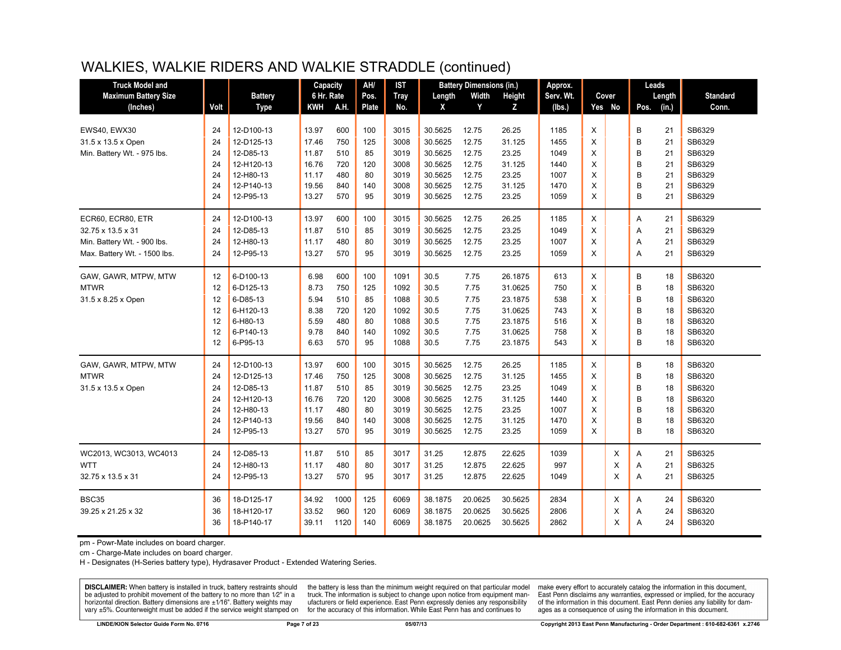# WALKIES, WALKIE RIDERS AND WALKIE STRADDLE (continued)

| <b>Truck Model and</b>       |      |                | Capacity   |      | AH/          | <b>IST</b>  |         | <b>Battery Dimensions (in.)</b> |         | Approx.   |   |          | Leads |        |                 |
|------------------------------|------|----------------|------------|------|--------------|-------------|---------|---------------------------------|---------|-----------|---|----------|-------|--------|-----------------|
| <b>Maximum Battery Size</b>  |      | <b>Battery</b> | 6 Hr. Rate |      | Pos.         | <b>Tray</b> | Length  | Width                           | Height  | Serv. Wt. |   | Cover    |       | Length | <b>Standard</b> |
| (Inches)                     | Volt | <b>Type</b>    | <b>KWH</b> | A.H. | <b>Plate</b> | No.         | X       | Y                               | Z       | (lbs.)    |   | Yes No   | Pos.  | (in.)  | Conn.           |
|                              |      |                |            |      |              |             |         |                                 |         |           |   |          |       |        |                 |
| EWS40, EWX30                 | 24   | 12-D100-13     | 13.97      | 600  | 100          | 3015        | 30.5625 | 12.75                           | 26.25   | 1185      | X |          | B     | 21     | SB6329          |
| 31.5 x 13.5 x Open           | 24   | 12-D125-13     | 17.46      | 750  | 125          | 3008        | 30.5625 | 12.75                           | 31.125  | 1455      | X |          | B     | 21     | SB6329          |
| Min. Battery Wt. - 975 lbs.  | 24   | 12-D85-13      | 11.87      | 510  | 85           | 3019        | 30.5625 | 12.75                           | 23.25   | 1049      | X |          | B     | 21     | SB6329          |
|                              | 24   | 12-H120-13     | 16.76      | 720  | 120          | 3008        | 30.5625 | 12.75                           | 31.125  | 1440      | X |          | B     | 21     | SB6329          |
|                              | 24   | 12-H80-13      | 11.17      | 480  | 80           | 3019        | 30.5625 | 12.75                           | 23.25   | 1007      | X |          | B     | 21     | SB6329          |
|                              | 24   | 12-P140-13     | 19.56      | 840  | 140          | 3008        | 30.5625 | 12.75                           | 31.125  | 1470      | X |          | B     | 21     | SB6329          |
|                              | 24   | 12-P95-13      | 13.27      | 570  | 95           | 3019        | 30.5625 | 12.75                           | 23.25   | 1059      | X |          | B     | 21     | SB6329          |
| ECR60, ECR80, ETR            | 24   | 12-D100-13     | 13.97      | 600  | 100          | 3015        | 30.5625 | 12.75                           | 26.25   | 1185      | X |          | Α     | 21     | SB6329          |
| 32.75 x 13.5 x 31            | 24   | 12-D85-13      | 11.87      | 510  | 85           | 3019        | 30.5625 | 12.75                           | 23.25   | 1049      | Χ |          | A     | 21     | SB6329          |
| Min. Battery Wt. - 900 lbs.  | 24   | 12-H80-13      | 11.17      | 480  | 80           | 3019        | 30.5625 | 12.75                           | 23.25   | 1007      | X |          | Α     | 21     | SB6329          |
| Max. Battery Wt. - 1500 lbs. | 24   | 12-P95-13      | 13.27      | 570  | 95           | 3019        | 30.5625 | 12.75                           | 23.25   | 1059      | X |          | A     | 21     | SB6329          |
| GAW, GAWR, MTPW, MTW         | 12   | 6-D100-13      | 6.98       | 600  | 100          | 1091        | 30.5    | 7.75                            | 26.1875 | 613       | X |          | B     | 18     | SB6320          |
| <b>MTWR</b>                  | 12   | 6-D125-13      | 8.73       | 750  | 125          | 1092        | 30.5    | 7.75                            | 31.0625 | 750       | X |          | B     | 18     | SB6320          |
| 31.5 x 8.25 x Open           | 12   | 6-D85-13       | 5.94       | 510  | 85           | 1088        | 30.5    | 7.75                            | 23.1875 | 538       | X |          | B     | 18     | SB6320          |
|                              | 12   | 6-H120-13      | 8.38       | 720  | 120          | 1092        | 30.5    | 7.75                            | 31.0625 | 743       | X |          | B     | 18     | SB6320          |
|                              | 12   | 6-H80-13       | 5.59       | 480  | 80           | 1088        | 30.5    | 7.75                            | 23.1875 | 516       | X |          | B     | 18     | SB6320          |
|                              | 12   | 6-P140-13      | 9.78       | 840  | 140          | 1092        | 30.5    | 7.75                            | 31.0625 | 758       | X |          | B     | 18     | SB6320          |
|                              | 12   | 6-P95-13       | 6.63       | 570  | 95           | 1088        | 30.5    | 7.75                            | 23.1875 | 543       | X |          | B     | 18     | SB6320          |
| GAW, GAWR, MTPW, MTW         | 24   | 12-D100-13     | 13.97      | 600  | 100          | 3015        | 30.5625 | 12.75                           | 26.25   | 1185      | X |          | B     | 18     | SB6320          |
| <b>MTWR</b>                  | 24   | 12-D125-13     | 17.46      | 750  | 125          | 3008        | 30.5625 | 12.75                           | 31.125  | 1455      | X |          | B     | 18     | SB6320          |
| 31.5 x 13.5 x Open           | 24   | 12-D85-13      | 11.87      | 510  | 85           | 3019        | 30.5625 | 12.75                           | 23.25   | 1049      | X |          | B     | 18     | SB6320          |
|                              | 24   | 12-H120-13     | 16.76      | 720  | 120          | 3008        | 30.5625 | 12.75                           | 31.125  | 1440      | X |          | B     | 18     | SB6320          |
|                              | 24   | 12-H80-13      | 11.17      | 480  | 80           | 3019        | 30.5625 | 12.75                           | 23.25   | 1007      | X |          | B     | 18     | SB6320          |
|                              | 24   | 12-P140-13     | 19.56      | 840  | 140          | 3008        | 30.5625 | 12.75                           | 31.125  | 1470      | X |          | B     | 18     | SB6320          |
|                              | 24   | 12-P95-13      | 13.27      | 570  | 95           | 3019        | 30.5625 | 12.75                           | 23.25   | 1059      | X |          | B     | 18     | SB6320          |
| WC2013, WC3013, WC4013       | 24   | 12-D85-13      | 11.87      | 510  | 85           | 3017        | 31.25   | 12.875                          | 22.625  | 1039      |   | Χ        | Α     | 21     | SB6325          |
| <b>WTT</b>                   | 24   | 12-H80-13      | 11.17      | 480  | 80           | 3017        | 31.25   | 12.875                          | 22.625  | 997       |   | X        | A     | 21     | SB6325          |
| 32.75 x 13.5 x 31            | 24   | 12-P95-13      | 13.27      | 570  | 95           | 3017        | 31.25   | 12.875                          | 22.625  | 1049      |   | $\times$ | A     | 21     | SB6325          |
|                              |      |                |            |      |              |             |         |                                 |         |           |   |          |       |        |                 |
| <b>BSC35</b>                 | 36   | 18-D125-17     | 34.92      | 1000 | 125          | 6069        | 38.1875 | 20.0625                         | 30.5625 | 2834      |   | X        | Α     | 24     | SB6320          |
| 39.25 x 21.25 x 32           | 36   | 18-H120-17     | 33.52      | 960  | 120          | 6069        | 38.1875 | 20.0625                         | 30.5625 | 2806      |   | X        | Α     | 24     | SB6320          |
|                              | 36   | 18-P140-17     | 39.11      | 1120 | 140          | 6069        | 38.1875 | 20.0625                         | 30.5625 | 2862      |   | X        | A     | 24     | SB6320          |

pm - Powr-Mate includes on board charger.

cm - Charge-Mate includes on board charger.

H - Designates (H-Series battery type), Hydrasaver Product - Extended Watering Series.

**DISCLAIMER:** When battery is installed in truck, battery restraints should be adjusted to prohibit movement of the battery to no more than 1/2" in a horizontal direction. Battery dimensions are  $\pm 1/16$ ". Battery weights may vary ±5%. Counterweight must be added if the service weight stamped on

the battery is less than the minimum weight required on that particular model truck. The information is subject to change upon notice from equipment manufacturers or field experience. East Penn expressly denies any responsibility for the accuracy of this information. While East Penn has and continues to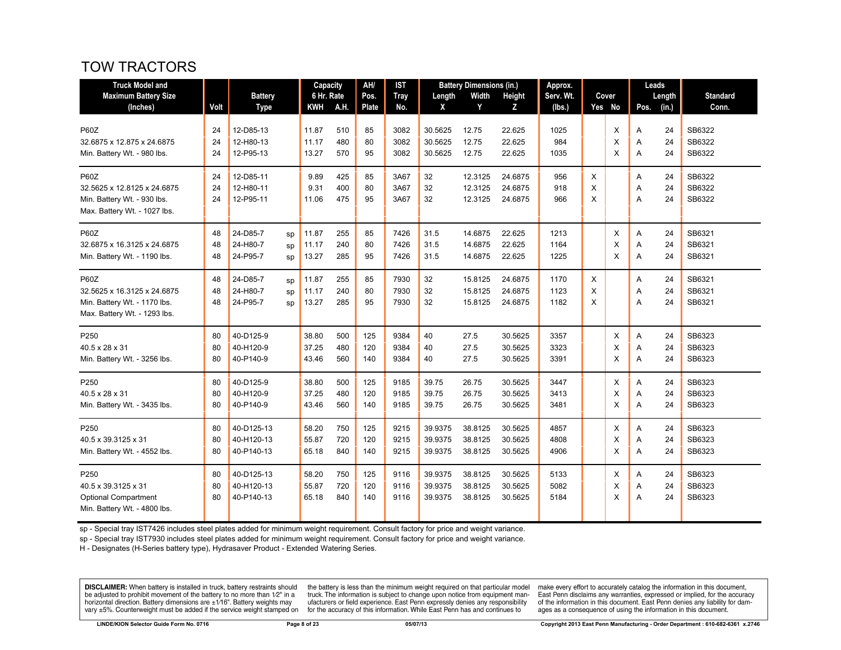# TOW TRACTORS

| <b>Truck Model and</b>       |      |                |            | Capacity   | AH/   | <b>IST</b>  |         | <b>Battery Dimensions (in.)</b> |         | Approx.   |   |        |      | Leads  |                 |
|------------------------------|------|----------------|------------|------------|-------|-------------|---------|---------------------------------|---------|-----------|---|--------|------|--------|-----------------|
| <b>Maximum Battery Size</b>  |      | <b>Battery</b> |            | 6 Hr. Rate | Pos.  | <b>Tray</b> | Length  | Width                           | Height  | Serv. Wt. |   | Cover  |      | Length | <b>Standard</b> |
| (Inches)                     | Volt | <b>Type</b>    | <b>KWH</b> | A.H.       | Plate | No.         | X       | Y                               | Z       | (lbs.)    |   | Yes No | Pos. | (in.)  | Conn.           |
| <b>P60Z</b>                  | 24   | 12-D85-13      | 11.87      | 510        | 85    | 3082        | 30.5625 | 12.75                           | 22.625  | 1025      |   | X      | Α    | 24     | SB6322          |
| 32.6875 x 12.875 x 24.6875   | 24   | 12-H80-13      | 11.17      | 480        | 80    | 3082        | 30.5625 | 12.75                           | 22.625  | 984       |   | X      | Α    | 24     | SB6322          |
| Min. Battery Wt. - 980 lbs.  | 24   | 12-P95-13      | 13.27      | 570        | 95    | 3082        | 30.5625 | 12.75                           | 22.625  | 1035      |   | X      | Α    | 24     | SB6322          |
| <b>P60Z</b>                  | 24   | 12-D85-11      | 9.89       | 425        | 85    | 3A67        | 32      | 12.3125                         | 24.6875 | 956       | Х |        | Α    | 24     | SB6322          |
| 32.5625 x 12.8125 x 24.6875  | 24   | 12-H80-11      | 9.31       | 400        | 80    | 3A67        | 32      | 12.3125                         | 24.6875 | 918       | X |        | Α    | 24     | SB6322          |
| Min. Battery Wt. - 930 lbs.  | 24   | 12-P95-11      | 11.06      | 475        | 95    | 3A67        | 32      | 12.3125                         | 24.6875 | 966       | X |        | A    | 24     | SB6322          |
| Max. Battery Wt. - 1027 lbs. |      |                |            |            |       |             |         |                                 |         |           |   |        |      |        |                 |
| <b>P60Z</b>                  | 48   | 24-D85-7<br>sp | 11.87      | 255        | 85    | 7426        | 31.5    | 14.6875                         | 22.625  | 1213      |   | X      | Α    | 24     | SB6321          |
| 32.6875 x 16.3125 x 24.6875  | 48   | 24-H80-7<br>sp | 11.17      | 240        | 80    | 7426        | 31.5    | 14.6875                         | 22.625  | 1164      |   | X      | A    | 24     | SB6321          |
| Min. Battery Wt. - 1190 lbs. | 48   | 24-P95-7<br>sp | 13.27      | 285        | 95    | 7426        | 31.5    | 14.6875                         | 22.625  | 1225      |   | X      | A    | 24     | SB6321          |
| <b>P60Z</b>                  | 48   | 24-D85-7<br>sp | 11.87      | 255        | 85    | 7930        | 32      | 15.8125                         | 24.6875 | 1170      | X |        | Α    | 24     | SB6321          |
| 32.5625 x 16.3125 x 24.6875  | 48   | 24-H80-7<br>sp | 11.17      | 240        | 80    | 7930        | 32      | 15.8125                         | 24.6875 | 1123      | X |        | Α    | 24     | SB6321          |
| Min. Battery Wt. - 1170 lbs. | 48   | 24-P95-7<br>sp | 13.27      | 285        | 95    | 7930        | 32      | 15.8125                         | 24.6875 | 1182      | X |        | A    | 24     | SB6321          |
| Max. Battery Wt. - 1293 lbs. |      |                |            |            |       |             |         |                                 |         |           |   |        |      |        |                 |
| P250                         | 80   | 40-D125-9      | 38.80      | 500        | 125   | 9384        | 40      | 27.5                            | 30.5625 | 3357      |   | Χ      | Α    | 24     | SB6323          |
| 40.5 x 28 x 31               | 80   | 40-H120-9      | 37.25      | 480        | 120   | 9384        | 40      | 27.5                            | 30.5625 | 3323      |   | X      | Α    | 24     | SB6323          |
| Min. Battery Wt. - 3256 lbs. | 80   | 40-P140-9      | 43.46      | 560        | 140   | 9384        | 40      | 27.5                            | 30.5625 | 3391      |   | X      | A    | 24     | SB6323          |
| P250                         | 80   | 40-D125-9      | 38.80      | 500        | 125   | 9185        | 39.75   | 26.75                           | 30.5625 | 3447      |   | Χ      | Α    | 24     | SB6323          |
| 40.5 x 28 x 31               | 80   | 40-H120-9      | 37.25      | 480        | 120   | 9185        | 39.75   | 26.75                           | 30.5625 | 3413      |   | X      | Α    | 24     | SB6323          |
| Min. Battery Wt. - 3435 lbs. | 80   | 40-P140-9      | 43.46      | 560        | 140   | 9185        | 39.75   | 26.75                           | 30.5625 | 3481      |   | X      | A    | 24     | SB6323          |
| P250                         | 80   | 40-D125-13     | 58.20      | 750        | 125   | 9215        | 39.9375 | 38.8125                         | 30.5625 | 4857      |   | X      | Α    | 24     | SB6323          |
| 40.5 x 39.3125 x 31          | 80   | 40-H120-13     | 55.87      | 720        | 120   | 9215        | 39.9375 | 38.8125                         | 30.5625 | 4808      |   | X      | Α    | 24     | SB6323          |
| Min. Battery Wt. - 4552 lbs. | 80   | 40-P140-13     | 65.18      | 840        | 140   | 9215        | 39.9375 | 38.8125                         | 30.5625 | 4906      |   | X      | Α    | 24     | SB6323          |
| P <sub>250</sub>             | 80   | 40-D125-13     | 58.20      | 750        | 125   | 9116        | 39.9375 | 38.8125                         | 30.5625 | 5133      |   | X      | A    | 24     | SB6323          |
| 40.5 x 39.3125 x 31          | 80   | 40-H120-13     | 55.87      | 720        | 120   | 9116        | 39.9375 | 38.8125                         | 30.5625 | 5082      |   | X      | Α    | 24     | SB6323          |
| <b>Optional Compartment</b>  | 80   | 40-P140-13     | 65.18      | 840        | 140   | 9116        | 39.9375 | 38.8125                         | 30.5625 | 5184      |   | X      | A    | 24     | SB6323          |
| Min. Battery Wt. - 4800 lbs. |      |                |            |            |       |             |         |                                 |         |           |   |        |      |        |                 |

sp - Special tray IST7426 includes steel plates added for minimum weight requirement. Consult factory for price and weight variance.

sp - Special tray IST7930 includes steel plates added for minimum weight requirement. Consult factory for price and weight variance.

H - Designates (H-Series battery type), Hydrasaver Product - Extended Watering Series.

**DISCLAIMER:** When battery is installed in truck, battery restraints should be adjusted to prohibit movement of the battery to no more than 1/2" in a be added if the series of the series of the series of the matter of the matter of the beam of the series of the series of the series of the series of the series of the series of the series of the series of the series of t

the battery is less than the minimum weight required on that particular model<br>truck. The information is subject to change upon notice from equipment manufacturers or field experience. East Penn expressly denies any responsibility for the accuracy of this information. While East Penn has and continues to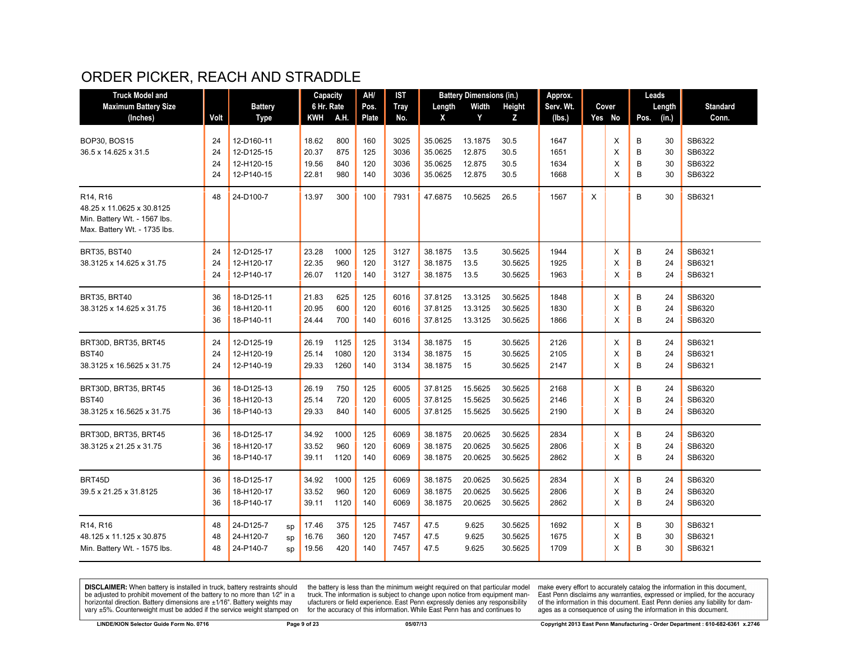# ORDER PICKER, REACH AND STRADDLE

| <b>Truck Model and</b>            |      |                |    | Capacity   |      | AH/   | <b>IST</b>  |         | <b>Battery Dimensions (in.)</b> |         | Approx.   |   |        |      | Leads  |                 |
|-----------------------------------|------|----------------|----|------------|------|-------|-------------|---------|---------------------------------|---------|-----------|---|--------|------|--------|-----------------|
| <b>Maximum Battery Size</b>       |      | <b>Battery</b> |    | 6 Hr. Rate |      | Pos.  | <b>Tray</b> | Length  | Width                           | Height  | Serv. Wt. |   | Cover  |      | Length | <b>Standard</b> |
| (Inches)                          | Volt | <b>Type</b>    |    | KWH        | A.H. | Plate | No.         | X       | Y                               | z       | (Ibs.)    |   | Yes No | Pos. | (in.)  | Conn.           |
|                                   |      |                |    |            |      |       |             |         |                                 |         |           |   |        |      |        |                 |
| <b>BOP30, BOS15</b>               | 24   | 12-D160-11     |    | 18.62      | 800  | 160   | 3025        | 35.0625 | 13.1875                         | 30.5    | 1647      |   | X      | B    | 30     | SB6322          |
| 36.5 x 14.625 x 31.5              | 24   | 12-D125-15     |    | 20.37      | 875  | 125   | 3036        | 35.0625 | 12.875                          | 30.5    | 1651      |   | X      | B    | 30     | SB6322          |
|                                   | 24   | 12-H120-15     |    | 19.56      | 840  | 120   | 3036        | 35.0625 | 12.875                          | 30.5    | 1634      |   | X      | B    | 30     | SB6322          |
|                                   | 24   | 12-P140-15     |    | 22.81      | 980  | 140   | 3036        | 35.0625 | 12.875                          | 30.5    | 1668      |   | X      | B    | 30     | SB6322          |
| R <sub>14</sub> , R <sub>16</sub> | 48   | 24-D100-7      |    | 13.97      | 300  | 100   | 7931        | 47.6875 | 10.5625                         | 26.5    | 1567      | X |        | B    | 30     | SB6321          |
| 48.25 x 11.0625 x 30.8125         |      |                |    |            |      |       |             |         |                                 |         |           |   |        |      |        |                 |
| Min. Battery Wt. - 1567 lbs.      |      |                |    |            |      |       |             |         |                                 |         |           |   |        |      |        |                 |
| Max. Battery Wt. - 1735 lbs.      |      |                |    |            |      |       |             |         |                                 |         |           |   |        |      |        |                 |
| <b>BRT35, BST40</b>               | 24   | 12-D125-17     |    | 23.28      | 1000 | 125   | 3127        | 38.1875 | 13.5                            | 30.5625 | 1944      |   | Х      | B    | 24     | SB6321          |
| 38.3125 x 14.625 x 31.75          | 24   | 12-H120-17     |    | 22.35      | 960  | 120   | 3127        | 38.1875 | 13.5                            | 30.5625 | 1925      |   | X      | B    | 24     | SB6321          |
|                                   | 24   | 12-P140-17     |    | 26.07      | 1120 | 140   | 3127        | 38.1875 | 13.5                            | 30.5625 | 1963      |   | X      | B    | 24     | SB6321          |
| BRT35, BRT40                      | 36   | 18-D125-11     |    | 21.83      | 625  | 125   | 6016        | 37.8125 | 13.3125                         | 30.5625 | 1848      |   | X      | B    | 24     | SB6320          |
| 38.3125 x 14.625 x 31.75          | 36   | 18-H120-11     |    | 20.95      | 600  | 120   | 6016        | 37.8125 | 13.3125                         | 30.5625 | 1830      |   | X      | B    | 24     | SB6320          |
|                                   | 36   | 18-P140-11     |    | 24.44      | 700  | 140   | 6016        |         | 13.3125                         | 30.5625 | 1866      |   | X      | B    | 24     | SB6320          |
|                                   |      |                |    |            |      |       |             | 37.8125 |                                 |         |           |   |        |      |        |                 |
| BRT30D, BRT35, BRT45              | 24   | 12-D125-19     |    | 26.19      | 1125 | 125   | 3134        | 38.1875 | 15                              | 30.5625 | 2126      |   | X      | B    | 24     | SB6321          |
| <b>BST40</b>                      | 24   | 12-H120-19     |    | 25.14      | 1080 | 120   | 3134        | 38.1875 | 15                              | 30.5625 | 2105      |   | X      | B    | 24     | SB6321          |
| 38.3125 x 16.5625 x 31.75         | 24   | 12-P140-19     |    | 29.33      | 1260 | 140   | 3134        | 38.1875 | 15                              | 30.5625 | 2147      |   | X      | B    | 24     | SB6321          |
| BRT30D, BRT35, BRT45              | 36   | 18-D125-13     |    | 26.19      | 750  | 125   | 6005        | 37.8125 | 15.5625                         | 30.5625 | 2168      |   | X      | B    | 24     | SB6320          |
| <b>BST40</b>                      | 36   | 18-H120-13     |    | 25.14      | 720  | 120   | 6005        | 37.8125 | 15.5625                         | 30.5625 | 2146      |   | X      | B    | 24     | SB6320          |
| 38.3125 x 16.5625 x 31.75         | 36   | 18-P140-13     |    | 29.33      | 840  | 140   | 6005        | 37.8125 | 15.5625                         | 30.5625 | 2190      |   | X      | B    | 24     | SB6320          |
|                                   |      |                |    |            |      |       |             |         |                                 |         |           |   |        |      |        |                 |
| BRT30D, BRT35, BRT45              | 36   | 18-D125-17     |    | 34.92      | 1000 | 125   | 6069        | 38.1875 | 20.0625                         | 30.5625 | 2834      |   | X      | B    | 24     | SB6320          |
| 38.3125 x 21.25 x 31.75           | 36   | 18-H120-17     |    | 33.52      | 960  | 120   | 6069        | 38.1875 | 20.0625                         | 30.5625 | 2806      |   | X      | B    | 24     | SB6320          |
|                                   | 36   | 18-P140-17     |    | 39.11      | 1120 | 140   | 6069        | 38.1875 | 20.0625                         | 30.5625 | 2862      |   | X      | B    | 24     | SB6320          |
| BRT45D                            | 36   | 18-D125-17     |    | 34.92      | 1000 | 125   | 6069        | 38.1875 | 20.0625                         | 30.5625 | 2834      |   | X      | B    | 24     | SB6320          |
| 39.5 x 21.25 x 31.8125            | 36   | 18-H120-17     |    | 33.52      | 960  | 120   | 6069        | 38.1875 | 20.0625                         | 30.5625 | 2806      |   | X      | B    | 24     | SB6320          |
|                                   | 36   | 18-P140-17     |    | 39.11      | 1120 | 140   | 6069        | 38.1875 | 20.0625                         | 30.5625 | 2862      |   | X      | B    | 24     | SB6320          |
| R14, R16                          | 48   | 24-D125-7      | sp | 17.46      | 375  | 125   | 7457        | 47.5    | 9.625                           | 30.5625 | 1692      |   | X      | B    | 30     | SB6321          |
| 48.125 x 11.125 x 30.875          | 48   | 24-H120-7      |    | 16.76      | 360  | 120   | 7457        | 47.5    | 9.625                           | 30.5625 | 1675      |   | X      | B    | 30     | SB6321          |
| Min. Battery Wt. - 1575 lbs.      | 48   | 24-P140-7      | sp | 19.56      | 420  | 140   | 7457        | 47.5    | 9.625                           | 30.5625 | 1709      |   | X      | B    | 30     | SB6321          |
|                                   |      |                | SD |            |      |       |             |         |                                 |         |           |   |        |      |        |                 |

**DISCLAIMER:** When battery is installed in truck, battery restraints should be adjusted to prohibit movement of the battery to no more than  $1/2$ " in a horizontal direction. Battery dimensions are  $\pm 1/16$ ". Battery weig

the battery is less than the minimum weight required on that particular model<br>truck. The information is subject to change upon notice from equipment man-<br>ufacturers or field experience. East Penn expressly denies any respo for the accuracy of this information. While East Penn has and continues to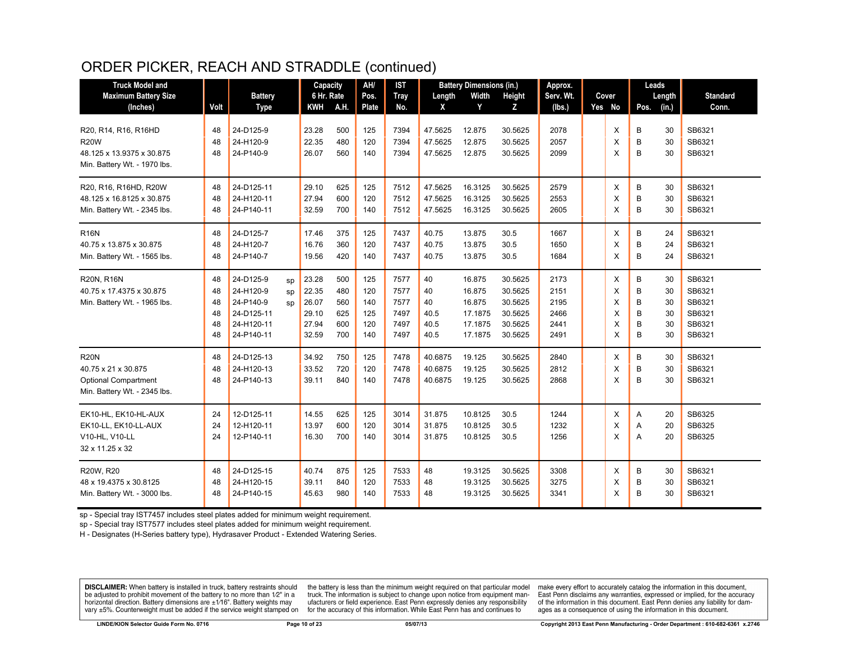# ORDER PICKER, REACH AND STRADDLE (continued)

| <b>Truck Model and</b>       |      |                 |    | Capacity   |      | AH/   | <b>IST</b>  |         | <b>Battery Dimensions (in.)</b> |               | Approx.   |        |      | Leads  |                 |
|------------------------------|------|-----------------|----|------------|------|-------|-------------|---------|---------------------------------|---------------|-----------|--------|------|--------|-----------------|
| <b>Maximum Battery Size</b>  |      | <b>Battery</b>  |    | 6 Hr. Rate |      | Pos.  | <b>Tray</b> | Length  | Width                           | <b>Height</b> | Serv. Wt. | Cover  |      | Length | <b>Standard</b> |
| (Inches)                     | Volt | <b>Type</b>     |    | <b>KWH</b> | A.H. | Plate | No.         | X       | Y                               | Z             | (lbs.)    | Yes No | Pos. | (in.)  | Conn.           |
| R20, R14, R16, R16HD         | 48   | 24-D125-9       |    | 23.28      | 500  | 125   | 7394        | 47.5625 | 12.875                          | 30.5625       | 2078      | X      | B    | 30     | SB6321          |
| <b>R20W</b>                  | 48   | 24-H120-9       |    | 22.35      | 480  | 120   | 7394        | 47.5625 | 12.875                          | 30.5625       | 2057      | X      | B    | 30     | SB6321          |
| 48.125 x 13.9375 x 30.875    | 48   | 24-P140-9       |    | 26.07      | 560  | 140   | 7394        | 47.5625 | 12.875                          | 30.5625       | 2099      | X      | B    | 30     | SB6321          |
| Min. Battery Wt. - 1970 lbs. |      |                 |    |            |      |       |             |         |                                 |               |           |        |      |        |                 |
|                              |      |                 |    |            |      |       |             |         |                                 |               |           |        |      |        |                 |
| R20, R16, R16HD, R20W        | 48   | 24-D125-11      |    | 29.10      | 625  | 125   | 7512        | 47.5625 | 16.3125                         | 30.5625       | 2579      | Χ      | B    | 30     | SB6321          |
| 48.125 x 16.8125 x 30.875    | 48   | 24-H120-11      |    | 27.94      | 600  | 120   | 7512        | 47.5625 | 16.3125                         | 30.5625       | 2553      | X      | B    | 30     | SB6321          |
| Min. Battery Wt. - 2345 lbs. | 48   | 24-P140-11      |    | 32.59      | 700  | 140   | 7512        | 47.5625 | 16.3125                         | 30.5625       | 2605      | X      | B    | 30     | SB6321          |
| <b>R16N</b>                  | 48   | 24-D125-7       |    | 17.46      | 375  | 125   | 7437        | 40.75   | 13.875                          | 30.5          | 1667      | X      | B    | 24     | SB6321          |
| 40.75 x 13.875 x 30.875      | 48   | 24-H120-7       |    | 16.76      | 360  | 120   | 7437        | 40.75   | 13.875                          | 30.5          | 1650      | X      | B    | 24     | SB6321          |
| Min. Battery Wt. - 1565 lbs. | 48   | 24-P140-7       |    | 19.56      | 420  | 140   | 7437        | 40.75   | 13.875                          | 30.5          | 1684      | X      | B    | 24     | SB6321          |
| R20N, R16N                   | 48   | 24-D125-9       | sp | 23.28      | 500  | 125   | 7577        | 40      | 16.875                          | 30.5625       | 2173      | X      | B    | 30     | SB6321          |
| 40.75 x 17.4375 x 30.875     | 48   | 24-H120-9<br>SD |    | 22.35      | 480  | 120   | 7577        | 40      | 16.875                          | 30.5625       | 2151      | X      | B    | 30     | SB6321          |
| Min. Battery Wt. - 1965 lbs. | 48   | 24-P140-9       | SD | 26.07      | 560  | 140   | 7577        | 40      | 16.875                          | 30.5625       | 2195      | X      | B    | 30     | SB6321          |
|                              | 48   | 24-D125-11      |    | 29.10      | 625  | 125   | 7497        | 40.5    | 17.1875                         | 30.5625       | 2466      | X      | B    | 30     | SB6321          |
|                              | 48   | 24-H120-11      |    | 27.94      | 600  | 120   | 7497        | 40.5    | 17.1875                         | 30.5625       | 2441      | X      | B    | 30     | SB6321          |
|                              | 48   | 24-P140-11      |    | 32.59      | 700  | 140   | 7497        | 40.5    | 17.1875                         | 30.5625       | 2491      | X      | B    | 30     | SB6321          |
| <b>R20N</b>                  | 48   | 24-D125-13      |    | 34.92      | 750  | 125   | 7478        | 40.6875 | 19.125                          | 30.5625       | 2840      | Χ      | В    | 30     | SB6321          |
| 40.75 x 21 x 30.875          | 48   | 24-H120-13      |    | 33.52      | 720  | 120   | 7478        | 40.6875 | 19.125                          | 30.5625       | 2812      | X      | B    | 30     | SB6321          |
| <b>Optional Compartment</b>  | 48   | 24-P140-13      |    | 39.11      | 840  | 140   | 7478        | 40.6875 | 19.125                          | 30.5625       | 2868      | X      | B    | 30     | SB6321          |
| Min. Battery Wt. - 2345 lbs. |      |                 |    |            |      |       |             |         |                                 |               |           |        |      |        |                 |
| EK10-HL, EK10-HL-AUX         | 24   | 12-D125-11      |    | 14.55      | 625  | 125   | 3014        | 31.875  | 10.8125                         | 30.5          | 1244      | Χ      | Α    | 20     | SB6325          |
| EK10-LL, EK10-LL-AUX         | 24   | 12-H120-11      |    | 13.97      | 600  | 120   | 3014        | 31.875  | 10.8125                         | 30.5          | 1232      | X      | A    | 20     | SB6325          |
| V10-HL, V10-LL               | 24   | 12-P140-11      |    | 16.30      | 700  | 140   | 3014        | 31.875  | 10.8125                         | 30.5          | 1256      | X      | A    | 20     | SB6325          |
| 32 x 11.25 x 32              |      |                 |    |            |      |       |             |         |                                 |               |           |        |      |        |                 |
| R20W. R20                    | 48   | 24-D125-15      |    | 40.74      | 875  | 125   | 7533        | 48      | 19.3125                         | 30.5625       | 3308      | X      | B    | 30     | SB6321          |
| 48 x 19.4375 x 30.8125       | 48   | 24-H120-15      |    | 39.11      | 840  | 120   | 7533        | 48      | 19.3125                         | 30.5625       | 3275      | X      | B    | 30     | SB6321          |
| Min. Battery Wt. - 3000 lbs. | 48   | 24-P140-15      |    | 45.63      | 980  | 140   | 7533        | 48      | 19.3125                         | 30.5625       | 3341      | X      | B    | 30     | SB6321          |

sp - Special tray IST7457 includes steel plates added for minimum weight requirement.

sp - Special tray IST7577 includes steel plates added for minimum weight requirement.

H - Designates (H-Series battery type), Hydrasaver Product - Extended Watering Series.

DISCLAIMER: When battery is installed in truck, battery restraints should be adjusted to prohibit movement of the battery to no more than 1/2" in a horizontal direction. Battery dimensions are  $\pm 1/16$ ". Battery weights may vary ±5%. Counterweight must be added if the service weight stamped on

the battery is less than the minimum weight required on that particular model truck. The information is subject to change upon notice from equipment manufacturers or field experience. East Penn expressly denies any responsibility for the accuracy of this information. While East Penn has and continues to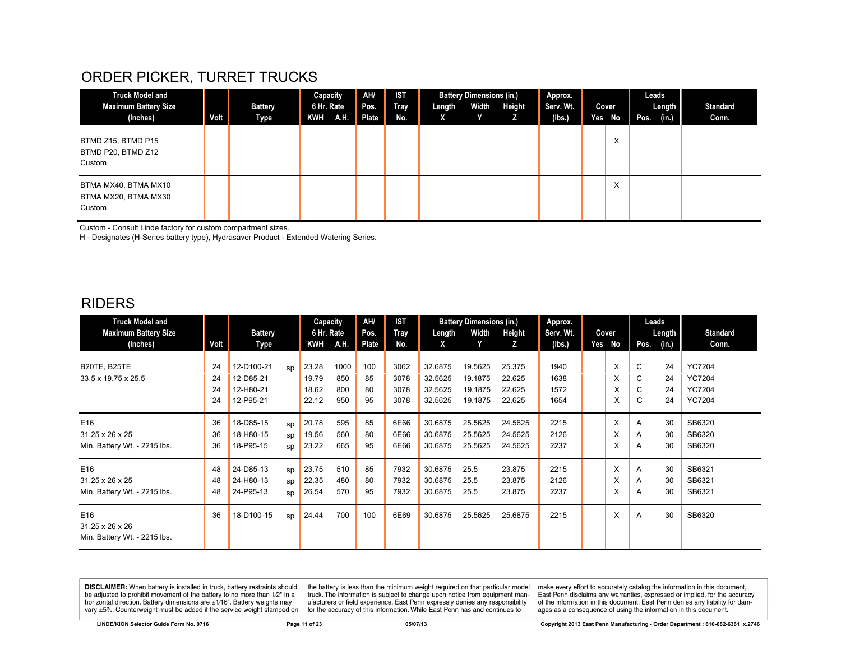# ORDER PICKER, TURRET TRUCKS

| <b>Truck Model and</b><br><b>Maximum Battery Size</b><br>(Inches) | Volt | <b>Battery</b><br>Type | Capacity<br>6 Hr. Rate<br>KWH | <b>TAH.</b> | AH/<br>Pos.<br>Plate | <b>IST</b><br>Tray<br>No. | Length<br>x | <b>Battery Dimensions (in.)</b><br>Width<br>Y | Height<br>z | Approx.<br>Serv. Wt.<br>(lbs.) | Cover<br>Yes No   | Leads<br>Pos. | Length<br>(in.) | <b>Standard</b><br>Conn. |
|-------------------------------------------------------------------|------|------------------------|-------------------------------|-------------|----------------------|---------------------------|-------------|-----------------------------------------------|-------------|--------------------------------|-------------------|---------------|-----------------|--------------------------|
| BTMD Z15, BTMD P15<br>BTMD P20, BTMD Z12<br>Custom                |      |                        |                               |             |                      |                           |             |                                               |             |                                | ⋏                 |               |                 |                          |
| BTMA MX40, BTMA MX10<br>BTMA MX20, BTMA MX30<br>Custom            |      |                        |                               |             |                      |                           |             |                                               |             |                                | $\checkmark$<br>ᄉ |               |                 |                          |

Custom - Consult Linde factory for custom compartment sizes.

H - Designates (H-Series battery type), Hydrasaver Product - Extended Watering Series.

#### RIDERS

| <b>Truck Model and</b>                                 |                      |                                                   |                | Capacity                         |                           | AH/                   | <b>IST</b>                   |                                          | <b>Battery Dimensions (in.)</b>          |                                      | Approx.                      |                  |                  | Leads                |                                                                  |
|--------------------------------------------------------|----------------------|---------------------------------------------------|----------------|----------------------------------|---------------------------|-----------------------|------------------------------|------------------------------------------|------------------------------------------|--------------------------------------|------------------------------|------------------|------------------|----------------------|------------------------------------------------------------------|
| <b>Maximum Battery Size</b>                            |                      | <b>Battery</b>                                    |                | 6 Hr. Rate                       |                           | Pos.                  | <b>Tray</b>                  | Length                                   | Width                                    | Height                               | Serv. Wt.                    | Cover            |                  | Length               | <b>Standard</b>                                                  |
| (Inches)                                               | Volt                 | Type                                              |                | KWH                              | A.H.                      | Plate                 | No.                          | X                                        |                                          | z                                    | (lbs.)                       | Yes No           | Pos.             | (in.)                | Conn.                                                            |
| <b>B20TE, B25TE</b><br>33.5 x 19.75 x 25.5             | 24<br>24<br>24<br>24 | 12-D100-21<br>12-D85-21<br>12-H80-21<br>12-P95-21 | <b>SD</b>      | 23.28<br>19.79<br>18.62<br>22.12 | 1000<br>850<br>800<br>950 | 100<br>85<br>80<br>95 | 3062<br>3078<br>3078<br>3078 | 32.6875<br>32.5625<br>32.5625<br>32.5625 | 19.5625<br>19.1875<br>19.1875<br>19.1875 | 25.375<br>22.625<br>22.625<br>22.625 | 1940<br>1638<br>1572<br>1654 | X<br>X<br>X<br>X | C<br>C<br>C<br>C | 24<br>24<br>24<br>24 | <b>YC7204</b><br><b>YC7204</b><br><b>YC7204</b><br><b>YC7204</b> |
| E16<br>31.25 x 26 x 25<br>Min. Battery Wt. - 2215 lbs. | 36<br>36<br>36       | 18-D85-15<br>18-H80-15<br>18-P95-15               | SD<br>SD<br>SD | 20.78<br>19.56<br>23.22          | 595<br>560<br>665         | 85<br>80<br>95        | 6E66<br>6E66<br>6E66         | 30.6875<br>30.6875<br>30.6875            | 25.5625<br>25.5625<br>25.5625            | 24.5625<br>24.5625<br>24.5625        | 2215<br>2126<br>2237         | X<br>X<br>X      | A<br>A<br>A      | 30<br>30<br>30       | SB6320<br>SB6320<br>SB6320                                       |
| E16<br>31.25 x 26 x 25<br>Min. Battery Wt. - 2215 lbs. | 48<br>48<br>48       | 24-D85-13<br>24-H80-13<br>24-P95-13               | SD<br>sp<br>SD | 23.75<br>22.35<br>26.54          | 510<br>480<br>570         | 85<br>80<br>95        | 7932<br>7932<br>7932         | 30.6875<br>30.6875<br>30.6875            | 25.5<br>25.5<br>25.5                     | 23.875<br>23.875<br>23.875           | 2215<br>2126<br>2237         | X<br>X<br>X      | A<br>A<br>A      | 30<br>30<br>30       | SB6321<br>SB6321<br>SB6321                                       |
| E16<br>31.25 x 26 x 26<br>Min. Battery Wt. - 2215 lbs. | 36                   | 18-D100-15                                        | SD             | 24.44                            | 700                       | 100                   | 6E69                         | 30.6875                                  | 25.5625                                  | 25.6875                              | 2215                         | X                | A                | 30                   | SB6320                                                           |

**DISCLAIMER:** When battery is installed in truck, battery restraints should be adjusted to prohibit movement of the battery to no more than 1/2" in a be added if the series of the series of the series of the matter of the matter of the beam of the series of the series of the series of the series of the series of the series of the series of the series of the series of t

the battery is less than the minimum weight required on that particular model<br>truck. The information is subject to change upon notice from equipment manufacturers or field experience. East Penn expressly denies any responsibility for the accuracy of this information. While East Penn has and continues to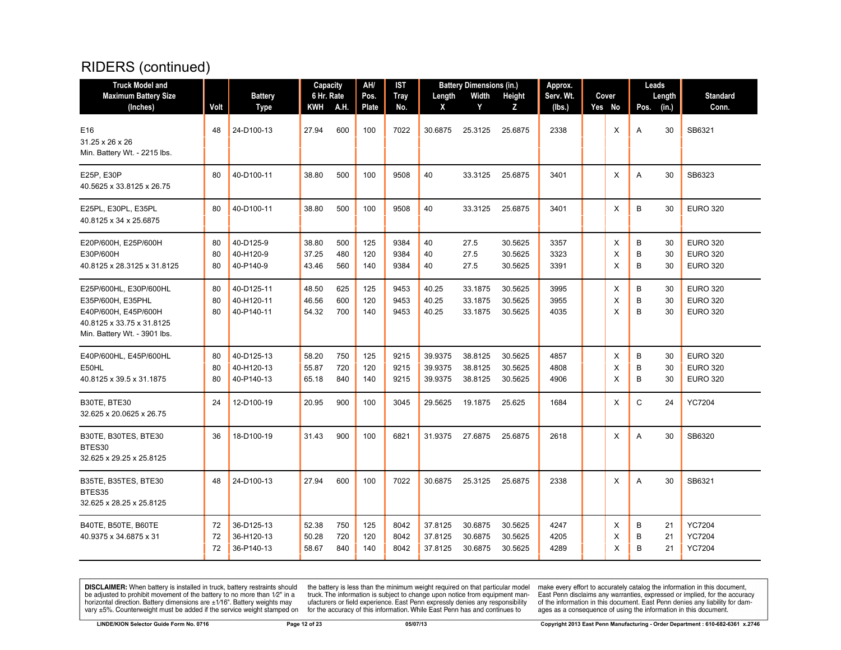| <b>Truck Model and</b>                                                                                                           |                |                                        | Capacity                |                   | AH/               | <b>IST</b>           |                               | <b>Battery Dimensions (in.)</b> |                               | Approx.              |             |             | Leads          |                                                       |
|----------------------------------------------------------------------------------------------------------------------------------|----------------|----------------------------------------|-------------------------|-------------------|-------------------|----------------------|-------------------------------|---------------------------------|-------------------------------|----------------------|-------------|-------------|----------------|-------------------------------------------------------|
| <b>Maximum Battery Size</b>                                                                                                      |                | <b>Battery</b>                         | 6 Hr. Rate              |                   | Pos.              | Tray                 | Length                        | Width                           | Height                        | Serv. Wt.            | Cover       |             | Length         | <b>Standard</b>                                       |
| (Inches)                                                                                                                         | Volt           | <b>Type</b>                            | KWH                     | A.H.              | Plate             | No.                  | X                             | Y                               | z                             | (lbs.)               | Yes No      | Pos.        | (in.)          | Conn.                                                 |
| E16<br>31.25 x 26 x 26<br>Min. Battery Wt. - 2215 lbs.                                                                           | 48             | 24-D100-13                             | 27.94                   | 600               | 100               | 7022                 | 30.6875                       | 25.3125                         | 25.6875                       | 2338                 | Χ           | Α           | 30             | SB6321                                                |
| E25P, E30P<br>40.5625 x 33.8125 x 26.75                                                                                          | 80             | 40-D100-11                             | 38.80                   | 500               | 100               | 9508                 | 40                            | 33.3125                         | 25.6875                       | 3401                 | X           | A           | 30             | SB6323                                                |
| E25PL, E30PL, E35PL<br>40.8125 x 34 x 25.6875                                                                                    | 80             | 40-D100-11                             | 38.80                   | 500               | 100               | 9508                 | 40                            | 33.3125                         | 25.6875                       | 3401                 | X           | B           | 30             | <b>EURO 320</b>                                       |
| E20P/600H, E25P/600H<br>E30P/600H<br>40.8125 x 28.3125 x 31.8125                                                                 | 80<br>80<br>80 | 40-D125-9<br>40-H120-9<br>40-P140-9    | 38.80<br>37.25<br>43.46 | 500<br>480<br>560 | 125<br>120<br>140 | 9384<br>9384<br>9384 | 40<br>40<br>40                | 27.5<br>27.5<br>27.5            | 30.5625<br>30.5625<br>30.5625 | 3357<br>3323<br>3391 | X<br>X<br>X | B<br>B<br>B | 30<br>30<br>30 | <b>EURO 320</b><br><b>EURO 320</b><br><b>EURO 320</b> |
| E25P/600HL, E30P/600HL<br>E35P/600H, E35PHL<br>E40P/600H, E45P/600H<br>40.8125 x 33.75 x 31.8125<br>Min. Battery Wt. - 3901 lbs. | 80<br>80<br>80 | 40-D125-11<br>40-H120-11<br>40-P140-11 | 48.50<br>46.56<br>54.32 | 625<br>600<br>700 | 125<br>120<br>140 | 9453<br>9453<br>9453 | 40.25<br>40.25<br>40.25       | 33.1875<br>33.1875<br>33.1875   | 30.5625<br>30.5625<br>30.5625 | 3995<br>3955<br>4035 | Χ<br>X<br>X | B<br>B<br>B | 30<br>30<br>30 | <b>EURO 320</b><br><b>EURO 320</b><br><b>EURO 320</b> |
| E40P/600HL, E45P/600HL<br>E50HL<br>40.8125 x 39.5 x 31.1875                                                                      | 80<br>80<br>80 | 40-D125-13<br>40-H120-13<br>40-P140-13 | 58.20<br>55.87<br>65.18 | 750<br>720<br>840 | 125<br>120<br>140 | 9215<br>9215<br>9215 | 39.9375<br>39.9375<br>39.9375 | 38.8125<br>38.8125<br>38.8125   | 30.5625<br>30.5625<br>30.5625 | 4857<br>4808<br>4906 | Χ<br>X<br>X | B<br>B<br>B | 30<br>30<br>30 | <b>EURO 320</b><br><b>EURO 320</b><br><b>EURO 320</b> |
| B30TE, BTE30<br>32.625 x 20.0625 x 26.75                                                                                         | 24             | 12-D100-19                             | 20.95                   | 900               | 100               | 3045                 | 29.5625                       | 19.1875                         | 25.625                        | 1684                 | Χ           | C           | 24             | <b>YC7204</b>                                         |
| B30TE, B30TES, BTE30<br>BTES30<br>32.625 x 29.25 x 25.8125                                                                       | 36             | 18-D100-19                             | 31.43                   | 900               | 100               | 6821                 | 31.9375                       | 27.6875                         | 25.6875                       | 2618                 | X           | A           | 30             | SB6320                                                |
| B35TE, B35TES, BTE30<br>BTES35<br>32.625 x 28.25 x 25.8125                                                                       | 48             | 24-D100-13                             | 27.94                   | 600               | 100               | 7022                 | 30.6875                       | 25.3125                         | 25.6875                       | 2338                 | X           | A           | 30             | SB6321                                                |
| B40TE, B50TE, B60TE<br>40.9375 x 34.6875 x 31                                                                                    | 72<br>72<br>72 | 36-D125-13<br>36-H120-13<br>36-P140-13 | 52.38<br>50.28<br>58.67 | 750<br>720<br>840 | 125<br>120<br>140 | 8042<br>8042<br>8042 | 37.8125<br>37.8125<br>37.8125 | 30.6875<br>30.6875<br>30.6875   | 30.5625<br>30.5625<br>30.5625 | 4247<br>4205<br>4289 | Χ<br>X<br>X | B<br>B<br>B | 21<br>21<br>21 | <b>YC7204</b><br><b>YC7204</b><br><b>YC7204</b>       |

**DISCLAIMER:** When battery is installed in truck, battery restraints should be adjusted to prohibit movement of the battery to no more than  $12^v$  in a horizontal direction. Battery dimensions are  $\pm 1/16^v$ . Battery wei

the battery is less than the minimum weight required on that particular model<br>truck. The information is subject to change upon notice from equipment man-<br>ufacturers or field experience. East Penn expressly denies any respo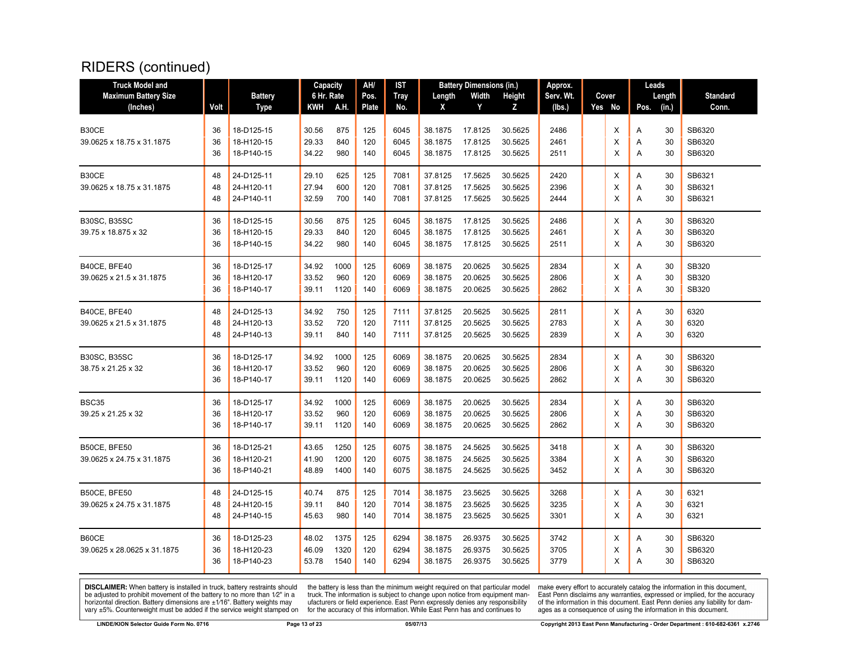| <b>Maximum Battery Size</b><br><b>Battery</b><br>6 Hr. Rate<br>Height<br>Serv. Wt.<br><b>Standard</b><br>Pos.<br>Tray<br>Length<br>Width<br>Cover<br>Length<br>A.H.<br>Plate<br>Volt<br>KWH<br>No.<br>Y<br>z<br>Yes No<br>(in.)<br>Conn.<br>(Inches)<br><b>Type</b><br>X<br>(lbs.)<br>Pos.<br>875<br>125<br>38.1875<br>30.5625<br>2486<br>X<br>SB6320<br>36<br>18-D125-15<br>30.56<br>6045<br>17.8125<br>30<br>Α<br>29.33<br>840<br>120<br>30.5625<br>30<br>SB6320<br>39.0625 x 18.75 x 31.1875<br>36<br>18-H120-15<br>6045<br>38.1875<br>17.8125<br>2461<br>X<br>Α<br>SB6320<br>36<br>18-P140-15<br>34.22<br>980<br>140<br>6045<br>38.1875<br>17.8125<br>30.5625<br>2511<br>X<br>Α<br>30<br>SB6321<br>625<br>125<br>7081<br>17.5625<br>30.5625<br>2420<br>48<br>24-D125-11<br>29.10<br>37.8125<br>Х<br>30<br>Α<br>27.94<br>600<br>120<br>7081<br>37.8125<br>17.5625<br>30.5625<br>2396<br>X<br>SB6321<br>39.0625 x 18.75 x 31.1875<br>48<br>24-H120-11<br>Α<br>30<br>48<br>24-P140-11<br>32.59<br>140<br>37.8125<br>17.5625<br>30.5625<br>2444<br>X<br>A<br>30<br>SB6321<br>700<br>7081<br>125<br>SB6320<br><b>B30SC, B35SC</b><br>36<br>18-D125-15<br>30.56<br>875<br>6045<br>38.1875<br>17.8125<br>30.5625<br>2486<br>X<br>30<br>Α<br>29.33<br>120<br>30.5625<br>SB6320<br>36<br>18-H120-15<br>840<br>6045<br>38.1875<br>17.8125<br>2461<br>X<br>Α<br>30<br>36<br>18-P140-15<br>34.22<br>980<br>140<br>38.1875<br>17.8125<br>30.5625<br>2511<br>30<br>SB6320<br>6045<br>X<br>A<br>34.92<br>1000<br>125<br>6069<br>38.1875<br>20.0625<br>30.5625<br>2834<br>SB320<br>36<br>18-D125-17<br>X<br>Α<br>30<br>33.52<br>960<br>120<br>6069<br>20.0625<br>30.5625<br>2806<br>X<br>30<br>SB320<br>36<br>18-H120-17<br>38.1875<br>Α<br>SB320<br>18-P140-17<br>1120<br>140<br>6069<br>38.1875<br>20.0625<br>30.5625<br>2862<br>X<br>Α<br>30<br>36<br>39.11<br>24-D125-13<br>34.92<br>750<br>125<br>37.8125<br>20.5625<br>30.5625<br>2811<br>X<br>30<br>6320<br>B40CE, BFE40<br>48<br>7111<br>Α<br>720<br>120<br>6320<br>39.0625 x 21.5 x 31.1875<br>24-H120-13<br>33.52<br>7111<br>37.8125<br>20.5625<br>30.5625<br>2783<br>X<br>30<br>48<br>Α<br>X<br>48<br>24-P140-13<br>39.11<br>840<br>140<br>7111<br>37.8125<br>20.5625<br>30.5625<br>2839<br>Α<br>30<br>6320<br>SB6320<br>36<br>18-D125-17<br>34.92<br>1000<br>125<br>6069<br>38.1875<br>20.0625<br>30.5625<br>2834<br>X<br>30<br>A<br>33.52<br>960<br>120<br>20.0625<br>2806<br>X<br>30<br>SB6320<br>38.75 x 21.25 x 32<br>36<br>18-H120-17<br>6069<br>38.1875<br>30.5625<br>Α<br>36<br>38.1875<br>20.0625<br>A<br>30<br>SB6320<br>18-P140-17<br>39.11<br>1120<br>140<br>6069<br>30.5625<br>2862<br>X<br>BSC35<br>1000<br>125<br>6069<br>38.1875<br>20.0625<br>30.5625<br>2834<br>SB6320<br>36<br>18-D125-17<br>34.92<br>X<br>30<br>Α<br>36<br>33.52<br>960<br>120<br>6069<br>38.1875<br>20.0625<br>30.5625<br>2806<br>X<br>30<br>SB6320<br>18-H120-17<br>Α<br>36<br>18-P140-17<br>1120<br>140<br>6069<br>38.1875<br>20.0625<br>30.5625<br>2862<br>X<br>A<br>30<br>SB6320<br>39.11<br>43.65<br>1250<br>125<br>6075<br>38.1875<br>24.5625<br>30.5625<br>SB6320<br>B50CE, BFE50<br>36<br>18-D125-21<br>3418<br>Χ<br>30<br>Α<br>24.5625<br>3384<br>SB6320<br>18-H120-21<br>41.90<br>1200<br>120<br>6075<br>38.1875<br>30.5625<br>X<br>30<br>36<br>Α<br>SB6320<br>36<br>18-P140-21<br>48.89<br>1400<br>140<br>6075<br>38.1875<br>24.5625<br>30.5625<br>3452<br>X<br>Α<br>30<br>40.74<br>38.1875<br>23.5625<br>30.5625<br>6321<br>48<br>24-D125-15<br>875<br>125<br>7014<br>3268<br>Х<br>30<br>Α<br>23.5625<br>3235<br>6321<br>120<br>7014<br>38.1875<br>30.5625<br>X<br>30<br>48<br>24-H120-15<br>39.11<br>840<br>Α<br>980<br>38.1875<br>23.5625<br>3301<br>X<br>A<br>30<br>6321<br>48<br>24-P140-15<br>45.63<br>140<br>7014<br>30.5625<br>18-D125-23<br>48.02<br>1375<br>125<br>6294<br>38.1875<br>26.9375<br>30.5625<br>3742<br>X<br>SB6320<br>36<br>Α<br>30<br>120<br>26.9375<br>3705<br>SB6320<br>46.09<br>1320<br>6294<br>38.1875<br>30.5625<br>X<br>30<br>36<br>18-H120-23<br>Α<br>38.1875<br>26.9375<br>3779<br>X<br>A<br>30<br>36<br>18-P140-23<br>53.78<br>1540<br>140<br>6294<br>30.5625<br>SB6320 | <b>Truck Model and</b>      |  | Capacity | AH/ | <b>IST</b> | <b>Battery Dimensions (in.)</b> | Approx. |  | Leads |  |
|---------------------------------------------------------------------------------------------------------------------------------------------------------------------------------------------------------------------------------------------------------------------------------------------------------------------------------------------------------------------------------------------------------------------------------------------------------------------------------------------------------------------------------------------------------------------------------------------------------------------------------------------------------------------------------------------------------------------------------------------------------------------------------------------------------------------------------------------------------------------------------------------------------------------------------------------------------------------------------------------------------------------------------------------------------------------------------------------------------------------------------------------------------------------------------------------------------------------------------------------------------------------------------------------------------------------------------------------------------------------------------------------------------------------------------------------------------------------------------------------------------------------------------------------------------------------------------------------------------------------------------------------------------------------------------------------------------------------------------------------------------------------------------------------------------------------------------------------------------------------------------------------------------------------------------------------------------------------------------------------------------------------------------------------------------------------------------------------------------------------------------------------------------------------------------------------------------------------------------------------------------------------------------------------------------------------------------------------------------------------------------------------------------------------------------------------------------------------------------------------------------------------------------------------------------------------------------------------------------------------------------------------------------------------------------------------------------------------------------------------------------------------------------------------------------------------------------------------------------------------------------------------------------------------------------------------------------------------------------------------------------------------------------------------------------------------------------------------------------------------------------------------------------------------------------------------------------------------------------------------------------------------------------------------------------------------------------------------------------------------------------------------------------------------------------------------------------------------------------------------------------------------------------------------------------------------------------------------------------------------------------------------------------------------------------------------------------------------------------------------------------------------------------------------------------------------------------------------------------------------------------------------------------------------------------------------------------------------------------------------------------------------------------------------------------------------------------------------------------------------------------------------------------|-----------------------------|--|----------|-----|------------|---------------------------------|---------|--|-------|--|
|                                                                                                                                                                                                                                                                                                                                                                                                                                                                                                                                                                                                                                                                                                                                                                                                                                                                                                                                                                                                                                                                                                                                                                                                                                                                                                                                                                                                                                                                                                                                                                                                                                                                                                                                                                                                                                                                                                                                                                                                                                                                                                                                                                                                                                                                                                                                                                                                                                                                                                                                                                                                                                                                                                                                                                                                                                                                                                                                                                                                                                                                                                                                                                                                                                                                                                                                                                                                                                                                                                                                                                                                                                                                                                                                                                                                                                                                                                                                                                                                                                                                                                                                                         |                             |  |          |     |            |                                 |         |  |       |  |
|                                                                                                                                                                                                                                                                                                                                                                                                                                                                                                                                                                                                                                                                                                                                                                                                                                                                                                                                                                                                                                                                                                                                                                                                                                                                                                                                                                                                                                                                                                                                                                                                                                                                                                                                                                                                                                                                                                                                                                                                                                                                                                                                                                                                                                                                                                                                                                                                                                                                                                                                                                                                                                                                                                                                                                                                                                                                                                                                                                                                                                                                                                                                                                                                                                                                                                                                                                                                                                                                                                                                                                                                                                                                                                                                                                                                                                                                                                                                                                                                                                                                                                                                                         |                             |  |          |     |            |                                 |         |  |       |  |
|                                                                                                                                                                                                                                                                                                                                                                                                                                                                                                                                                                                                                                                                                                                                                                                                                                                                                                                                                                                                                                                                                                                                                                                                                                                                                                                                                                                                                                                                                                                                                                                                                                                                                                                                                                                                                                                                                                                                                                                                                                                                                                                                                                                                                                                                                                                                                                                                                                                                                                                                                                                                                                                                                                                                                                                                                                                                                                                                                                                                                                                                                                                                                                                                                                                                                                                                                                                                                                                                                                                                                                                                                                                                                                                                                                                                                                                                                                                                                                                                                                                                                                                                                         |                             |  |          |     |            |                                 |         |  |       |  |
|                                                                                                                                                                                                                                                                                                                                                                                                                                                                                                                                                                                                                                                                                                                                                                                                                                                                                                                                                                                                                                                                                                                                                                                                                                                                                                                                                                                                                                                                                                                                                                                                                                                                                                                                                                                                                                                                                                                                                                                                                                                                                                                                                                                                                                                                                                                                                                                                                                                                                                                                                                                                                                                                                                                                                                                                                                                                                                                                                                                                                                                                                                                                                                                                                                                                                                                                                                                                                                                                                                                                                                                                                                                                                                                                                                                                                                                                                                                                                                                                                                                                                                                                                         | B30CE                       |  |          |     |            |                                 |         |  |       |  |
|                                                                                                                                                                                                                                                                                                                                                                                                                                                                                                                                                                                                                                                                                                                                                                                                                                                                                                                                                                                                                                                                                                                                                                                                                                                                                                                                                                                                                                                                                                                                                                                                                                                                                                                                                                                                                                                                                                                                                                                                                                                                                                                                                                                                                                                                                                                                                                                                                                                                                                                                                                                                                                                                                                                                                                                                                                                                                                                                                                                                                                                                                                                                                                                                                                                                                                                                                                                                                                                                                                                                                                                                                                                                                                                                                                                                                                                                                                                                                                                                                                                                                                                                                         |                             |  |          |     |            |                                 |         |  |       |  |
|                                                                                                                                                                                                                                                                                                                                                                                                                                                                                                                                                                                                                                                                                                                                                                                                                                                                                                                                                                                                                                                                                                                                                                                                                                                                                                                                                                                                                                                                                                                                                                                                                                                                                                                                                                                                                                                                                                                                                                                                                                                                                                                                                                                                                                                                                                                                                                                                                                                                                                                                                                                                                                                                                                                                                                                                                                                                                                                                                                                                                                                                                                                                                                                                                                                                                                                                                                                                                                                                                                                                                                                                                                                                                                                                                                                                                                                                                                                                                                                                                                                                                                                                                         |                             |  |          |     |            |                                 |         |  |       |  |
|                                                                                                                                                                                                                                                                                                                                                                                                                                                                                                                                                                                                                                                                                                                                                                                                                                                                                                                                                                                                                                                                                                                                                                                                                                                                                                                                                                                                                                                                                                                                                                                                                                                                                                                                                                                                                                                                                                                                                                                                                                                                                                                                                                                                                                                                                                                                                                                                                                                                                                                                                                                                                                                                                                                                                                                                                                                                                                                                                                                                                                                                                                                                                                                                                                                                                                                                                                                                                                                                                                                                                                                                                                                                                                                                                                                                                                                                                                                                                                                                                                                                                                                                                         | B30CE                       |  |          |     |            |                                 |         |  |       |  |
|                                                                                                                                                                                                                                                                                                                                                                                                                                                                                                                                                                                                                                                                                                                                                                                                                                                                                                                                                                                                                                                                                                                                                                                                                                                                                                                                                                                                                                                                                                                                                                                                                                                                                                                                                                                                                                                                                                                                                                                                                                                                                                                                                                                                                                                                                                                                                                                                                                                                                                                                                                                                                                                                                                                                                                                                                                                                                                                                                                                                                                                                                                                                                                                                                                                                                                                                                                                                                                                                                                                                                                                                                                                                                                                                                                                                                                                                                                                                                                                                                                                                                                                                                         |                             |  |          |     |            |                                 |         |  |       |  |
|                                                                                                                                                                                                                                                                                                                                                                                                                                                                                                                                                                                                                                                                                                                                                                                                                                                                                                                                                                                                                                                                                                                                                                                                                                                                                                                                                                                                                                                                                                                                                                                                                                                                                                                                                                                                                                                                                                                                                                                                                                                                                                                                                                                                                                                                                                                                                                                                                                                                                                                                                                                                                                                                                                                                                                                                                                                                                                                                                                                                                                                                                                                                                                                                                                                                                                                                                                                                                                                                                                                                                                                                                                                                                                                                                                                                                                                                                                                                                                                                                                                                                                                                                         |                             |  |          |     |            |                                 |         |  |       |  |
|                                                                                                                                                                                                                                                                                                                                                                                                                                                                                                                                                                                                                                                                                                                                                                                                                                                                                                                                                                                                                                                                                                                                                                                                                                                                                                                                                                                                                                                                                                                                                                                                                                                                                                                                                                                                                                                                                                                                                                                                                                                                                                                                                                                                                                                                                                                                                                                                                                                                                                                                                                                                                                                                                                                                                                                                                                                                                                                                                                                                                                                                                                                                                                                                                                                                                                                                                                                                                                                                                                                                                                                                                                                                                                                                                                                                                                                                                                                                                                                                                                                                                                                                                         |                             |  |          |     |            |                                 |         |  |       |  |
|                                                                                                                                                                                                                                                                                                                                                                                                                                                                                                                                                                                                                                                                                                                                                                                                                                                                                                                                                                                                                                                                                                                                                                                                                                                                                                                                                                                                                                                                                                                                                                                                                                                                                                                                                                                                                                                                                                                                                                                                                                                                                                                                                                                                                                                                                                                                                                                                                                                                                                                                                                                                                                                                                                                                                                                                                                                                                                                                                                                                                                                                                                                                                                                                                                                                                                                                                                                                                                                                                                                                                                                                                                                                                                                                                                                                                                                                                                                                                                                                                                                                                                                                                         | 39.75 x 18.875 x 32         |  |          |     |            |                                 |         |  |       |  |
|                                                                                                                                                                                                                                                                                                                                                                                                                                                                                                                                                                                                                                                                                                                                                                                                                                                                                                                                                                                                                                                                                                                                                                                                                                                                                                                                                                                                                                                                                                                                                                                                                                                                                                                                                                                                                                                                                                                                                                                                                                                                                                                                                                                                                                                                                                                                                                                                                                                                                                                                                                                                                                                                                                                                                                                                                                                                                                                                                                                                                                                                                                                                                                                                                                                                                                                                                                                                                                                                                                                                                                                                                                                                                                                                                                                                                                                                                                                                                                                                                                                                                                                                                         |                             |  |          |     |            |                                 |         |  |       |  |
|                                                                                                                                                                                                                                                                                                                                                                                                                                                                                                                                                                                                                                                                                                                                                                                                                                                                                                                                                                                                                                                                                                                                                                                                                                                                                                                                                                                                                                                                                                                                                                                                                                                                                                                                                                                                                                                                                                                                                                                                                                                                                                                                                                                                                                                                                                                                                                                                                                                                                                                                                                                                                                                                                                                                                                                                                                                                                                                                                                                                                                                                                                                                                                                                                                                                                                                                                                                                                                                                                                                                                                                                                                                                                                                                                                                                                                                                                                                                                                                                                                                                                                                                                         | B40CE, BFE40                |  |          |     |            |                                 |         |  |       |  |
|                                                                                                                                                                                                                                                                                                                                                                                                                                                                                                                                                                                                                                                                                                                                                                                                                                                                                                                                                                                                                                                                                                                                                                                                                                                                                                                                                                                                                                                                                                                                                                                                                                                                                                                                                                                                                                                                                                                                                                                                                                                                                                                                                                                                                                                                                                                                                                                                                                                                                                                                                                                                                                                                                                                                                                                                                                                                                                                                                                                                                                                                                                                                                                                                                                                                                                                                                                                                                                                                                                                                                                                                                                                                                                                                                                                                                                                                                                                                                                                                                                                                                                                                                         | 39.0625 x 21.5 x 31.1875    |  |          |     |            |                                 |         |  |       |  |
|                                                                                                                                                                                                                                                                                                                                                                                                                                                                                                                                                                                                                                                                                                                                                                                                                                                                                                                                                                                                                                                                                                                                                                                                                                                                                                                                                                                                                                                                                                                                                                                                                                                                                                                                                                                                                                                                                                                                                                                                                                                                                                                                                                                                                                                                                                                                                                                                                                                                                                                                                                                                                                                                                                                                                                                                                                                                                                                                                                                                                                                                                                                                                                                                                                                                                                                                                                                                                                                                                                                                                                                                                                                                                                                                                                                                                                                                                                                                                                                                                                                                                                                                                         |                             |  |          |     |            |                                 |         |  |       |  |
|                                                                                                                                                                                                                                                                                                                                                                                                                                                                                                                                                                                                                                                                                                                                                                                                                                                                                                                                                                                                                                                                                                                                                                                                                                                                                                                                                                                                                                                                                                                                                                                                                                                                                                                                                                                                                                                                                                                                                                                                                                                                                                                                                                                                                                                                                                                                                                                                                                                                                                                                                                                                                                                                                                                                                                                                                                                                                                                                                                                                                                                                                                                                                                                                                                                                                                                                                                                                                                                                                                                                                                                                                                                                                                                                                                                                                                                                                                                                                                                                                                                                                                                                                         |                             |  |          |     |            |                                 |         |  |       |  |
|                                                                                                                                                                                                                                                                                                                                                                                                                                                                                                                                                                                                                                                                                                                                                                                                                                                                                                                                                                                                                                                                                                                                                                                                                                                                                                                                                                                                                                                                                                                                                                                                                                                                                                                                                                                                                                                                                                                                                                                                                                                                                                                                                                                                                                                                                                                                                                                                                                                                                                                                                                                                                                                                                                                                                                                                                                                                                                                                                                                                                                                                                                                                                                                                                                                                                                                                                                                                                                                                                                                                                                                                                                                                                                                                                                                                                                                                                                                                                                                                                                                                                                                                                         |                             |  |          |     |            |                                 |         |  |       |  |
|                                                                                                                                                                                                                                                                                                                                                                                                                                                                                                                                                                                                                                                                                                                                                                                                                                                                                                                                                                                                                                                                                                                                                                                                                                                                                                                                                                                                                                                                                                                                                                                                                                                                                                                                                                                                                                                                                                                                                                                                                                                                                                                                                                                                                                                                                                                                                                                                                                                                                                                                                                                                                                                                                                                                                                                                                                                                                                                                                                                                                                                                                                                                                                                                                                                                                                                                                                                                                                                                                                                                                                                                                                                                                                                                                                                                                                                                                                                                                                                                                                                                                                                                                         |                             |  |          |     |            |                                 |         |  |       |  |
|                                                                                                                                                                                                                                                                                                                                                                                                                                                                                                                                                                                                                                                                                                                                                                                                                                                                                                                                                                                                                                                                                                                                                                                                                                                                                                                                                                                                                                                                                                                                                                                                                                                                                                                                                                                                                                                                                                                                                                                                                                                                                                                                                                                                                                                                                                                                                                                                                                                                                                                                                                                                                                                                                                                                                                                                                                                                                                                                                                                                                                                                                                                                                                                                                                                                                                                                                                                                                                                                                                                                                                                                                                                                                                                                                                                                                                                                                                                                                                                                                                                                                                                                                         | <b>B30SC, B35SC</b>         |  |          |     |            |                                 |         |  |       |  |
|                                                                                                                                                                                                                                                                                                                                                                                                                                                                                                                                                                                                                                                                                                                                                                                                                                                                                                                                                                                                                                                                                                                                                                                                                                                                                                                                                                                                                                                                                                                                                                                                                                                                                                                                                                                                                                                                                                                                                                                                                                                                                                                                                                                                                                                                                                                                                                                                                                                                                                                                                                                                                                                                                                                                                                                                                                                                                                                                                                                                                                                                                                                                                                                                                                                                                                                                                                                                                                                                                                                                                                                                                                                                                                                                                                                                                                                                                                                                                                                                                                                                                                                                                         |                             |  |          |     |            |                                 |         |  |       |  |
|                                                                                                                                                                                                                                                                                                                                                                                                                                                                                                                                                                                                                                                                                                                                                                                                                                                                                                                                                                                                                                                                                                                                                                                                                                                                                                                                                                                                                                                                                                                                                                                                                                                                                                                                                                                                                                                                                                                                                                                                                                                                                                                                                                                                                                                                                                                                                                                                                                                                                                                                                                                                                                                                                                                                                                                                                                                                                                                                                                                                                                                                                                                                                                                                                                                                                                                                                                                                                                                                                                                                                                                                                                                                                                                                                                                                                                                                                                                                                                                                                                                                                                                                                         |                             |  |          |     |            |                                 |         |  |       |  |
|                                                                                                                                                                                                                                                                                                                                                                                                                                                                                                                                                                                                                                                                                                                                                                                                                                                                                                                                                                                                                                                                                                                                                                                                                                                                                                                                                                                                                                                                                                                                                                                                                                                                                                                                                                                                                                                                                                                                                                                                                                                                                                                                                                                                                                                                                                                                                                                                                                                                                                                                                                                                                                                                                                                                                                                                                                                                                                                                                                                                                                                                                                                                                                                                                                                                                                                                                                                                                                                                                                                                                                                                                                                                                                                                                                                                                                                                                                                                                                                                                                                                                                                                                         |                             |  |          |     |            |                                 |         |  |       |  |
|                                                                                                                                                                                                                                                                                                                                                                                                                                                                                                                                                                                                                                                                                                                                                                                                                                                                                                                                                                                                                                                                                                                                                                                                                                                                                                                                                                                                                                                                                                                                                                                                                                                                                                                                                                                                                                                                                                                                                                                                                                                                                                                                                                                                                                                                                                                                                                                                                                                                                                                                                                                                                                                                                                                                                                                                                                                                                                                                                                                                                                                                                                                                                                                                                                                                                                                                                                                                                                                                                                                                                                                                                                                                                                                                                                                                                                                                                                                                                                                                                                                                                                                                                         | 39.25 x 21.25 x 32          |  |          |     |            |                                 |         |  |       |  |
|                                                                                                                                                                                                                                                                                                                                                                                                                                                                                                                                                                                                                                                                                                                                                                                                                                                                                                                                                                                                                                                                                                                                                                                                                                                                                                                                                                                                                                                                                                                                                                                                                                                                                                                                                                                                                                                                                                                                                                                                                                                                                                                                                                                                                                                                                                                                                                                                                                                                                                                                                                                                                                                                                                                                                                                                                                                                                                                                                                                                                                                                                                                                                                                                                                                                                                                                                                                                                                                                                                                                                                                                                                                                                                                                                                                                                                                                                                                                                                                                                                                                                                                                                         |                             |  |          |     |            |                                 |         |  |       |  |
|                                                                                                                                                                                                                                                                                                                                                                                                                                                                                                                                                                                                                                                                                                                                                                                                                                                                                                                                                                                                                                                                                                                                                                                                                                                                                                                                                                                                                                                                                                                                                                                                                                                                                                                                                                                                                                                                                                                                                                                                                                                                                                                                                                                                                                                                                                                                                                                                                                                                                                                                                                                                                                                                                                                                                                                                                                                                                                                                                                                                                                                                                                                                                                                                                                                                                                                                                                                                                                                                                                                                                                                                                                                                                                                                                                                                                                                                                                                                                                                                                                                                                                                                                         |                             |  |          |     |            |                                 |         |  |       |  |
|                                                                                                                                                                                                                                                                                                                                                                                                                                                                                                                                                                                                                                                                                                                                                                                                                                                                                                                                                                                                                                                                                                                                                                                                                                                                                                                                                                                                                                                                                                                                                                                                                                                                                                                                                                                                                                                                                                                                                                                                                                                                                                                                                                                                                                                                                                                                                                                                                                                                                                                                                                                                                                                                                                                                                                                                                                                                                                                                                                                                                                                                                                                                                                                                                                                                                                                                                                                                                                                                                                                                                                                                                                                                                                                                                                                                                                                                                                                                                                                                                                                                                                                                                         | 39.0625 x 24.75 x 31.1875   |  |          |     |            |                                 |         |  |       |  |
|                                                                                                                                                                                                                                                                                                                                                                                                                                                                                                                                                                                                                                                                                                                                                                                                                                                                                                                                                                                                                                                                                                                                                                                                                                                                                                                                                                                                                                                                                                                                                                                                                                                                                                                                                                                                                                                                                                                                                                                                                                                                                                                                                                                                                                                                                                                                                                                                                                                                                                                                                                                                                                                                                                                                                                                                                                                                                                                                                                                                                                                                                                                                                                                                                                                                                                                                                                                                                                                                                                                                                                                                                                                                                                                                                                                                                                                                                                                                                                                                                                                                                                                                                         |                             |  |          |     |            |                                 |         |  |       |  |
|                                                                                                                                                                                                                                                                                                                                                                                                                                                                                                                                                                                                                                                                                                                                                                                                                                                                                                                                                                                                                                                                                                                                                                                                                                                                                                                                                                                                                                                                                                                                                                                                                                                                                                                                                                                                                                                                                                                                                                                                                                                                                                                                                                                                                                                                                                                                                                                                                                                                                                                                                                                                                                                                                                                                                                                                                                                                                                                                                                                                                                                                                                                                                                                                                                                                                                                                                                                                                                                                                                                                                                                                                                                                                                                                                                                                                                                                                                                                                                                                                                                                                                                                                         | <b>B50CE, BFE50</b>         |  |          |     |            |                                 |         |  |       |  |
|                                                                                                                                                                                                                                                                                                                                                                                                                                                                                                                                                                                                                                                                                                                                                                                                                                                                                                                                                                                                                                                                                                                                                                                                                                                                                                                                                                                                                                                                                                                                                                                                                                                                                                                                                                                                                                                                                                                                                                                                                                                                                                                                                                                                                                                                                                                                                                                                                                                                                                                                                                                                                                                                                                                                                                                                                                                                                                                                                                                                                                                                                                                                                                                                                                                                                                                                                                                                                                                                                                                                                                                                                                                                                                                                                                                                                                                                                                                                                                                                                                                                                                                                                         | 39.0625 x 24.75 x 31.1875   |  |          |     |            |                                 |         |  |       |  |
|                                                                                                                                                                                                                                                                                                                                                                                                                                                                                                                                                                                                                                                                                                                                                                                                                                                                                                                                                                                                                                                                                                                                                                                                                                                                                                                                                                                                                                                                                                                                                                                                                                                                                                                                                                                                                                                                                                                                                                                                                                                                                                                                                                                                                                                                                                                                                                                                                                                                                                                                                                                                                                                                                                                                                                                                                                                                                                                                                                                                                                                                                                                                                                                                                                                                                                                                                                                                                                                                                                                                                                                                                                                                                                                                                                                                                                                                                                                                                                                                                                                                                                                                                         |                             |  |          |     |            |                                 |         |  |       |  |
|                                                                                                                                                                                                                                                                                                                                                                                                                                                                                                                                                                                                                                                                                                                                                                                                                                                                                                                                                                                                                                                                                                                                                                                                                                                                                                                                                                                                                                                                                                                                                                                                                                                                                                                                                                                                                                                                                                                                                                                                                                                                                                                                                                                                                                                                                                                                                                                                                                                                                                                                                                                                                                                                                                                                                                                                                                                                                                                                                                                                                                                                                                                                                                                                                                                                                                                                                                                                                                                                                                                                                                                                                                                                                                                                                                                                                                                                                                                                                                                                                                                                                                                                                         | <b>B60CE</b>                |  |          |     |            |                                 |         |  |       |  |
|                                                                                                                                                                                                                                                                                                                                                                                                                                                                                                                                                                                                                                                                                                                                                                                                                                                                                                                                                                                                                                                                                                                                                                                                                                                                                                                                                                                                                                                                                                                                                                                                                                                                                                                                                                                                                                                                                                                                                                                                                                                                                                                                                                                                                                                                                                                                                                                                                                                                                                                                                                                                                                                                                                                                                                                                                                                                                                                                                                                                                                                                                                                                                                                                                                                                                                                                                                                                                                                                                                                                                                                                                                                                                                                                                                                                                                                                                                                                                                                                                                                                                                                                                         | 39.0625 x 28.0625 x 31.1875 |  |          |     |            |                                 |         |  |       |  |
|                                                                                                                                                                                                                                                                                                                                                                                                                                                                                                                                                                                                                                                                                                                                                                                                                                                                                                                                                                                                                                                                                                                                                                                                                                                                                                                                                                                                                                                                                                                                                                                                                                                                                                                                                                                                                                                                                                                                                                                                                                                                                                                                                                                                                                                                                                                                                                                                                                                                                                                                                                                                                                                                                                                                                                                                                                                                                                                                                                                                                                                                                                                                                                                                                                                                                                                                                                                                                                                                                                                                                                                                                                                                                                                                                                                                                                                                                                                                                                                                                                                                                                                                                         |                             |  |          |     |            |                                 |         |  |       |  |

**DISCLAIMER:** When battery is installed in truck, battery restraints should be adjusted to prohibit movement of the battery to no more than  $12^v$  in a horizontal direction. Battery dimensions are  $\pm 1/16^v$ . Battery wei

the battery is less than the minimum weight required on that particular model<br>truck. The information is subject to change upon notice from equipment man-<br>ufacturers or field experience. East Penn expressly denies any respo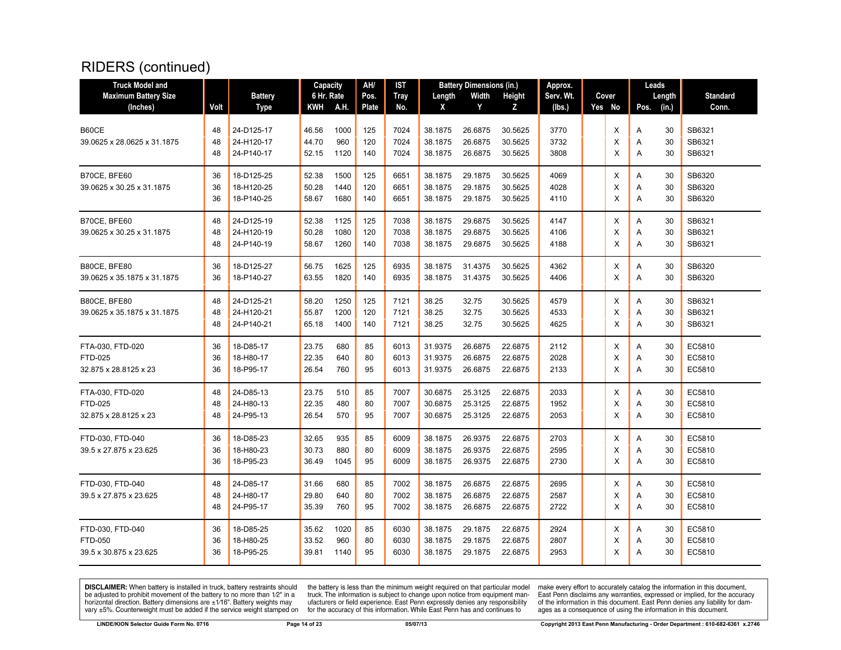| <b>Truck Model and</b>      |      |                | Capacity   |      | AH/   | <b>IST</b>  |         | <b>Battery Dimensions (in.)</b> |         | Approx.   |          | Leads |        |                 |
|-----------------------------|------|----------------|------------|------|-------|-------------|---------|---------------------------------|---------|-----------|----------|-------|--------|-----------------|
| <b>Maximum Battery Size</b> |      | <b>Battery</b> | 6 Hr. Rate |      | Pos.  | <b>Tray</b> | Length  | Width                           | Height  | Serv. Wt. | Cover    |       | Length | <b>Standard</b> |
| (Inches)                    | Volt | <b>Type</b>    | KWH        | A.H. | Plate | No.         | X       | Y                               | z       | (Ibs.)    | Yes No   | Pos.  | (in.)  | Conn.           |
|                             |      |                |            |      |       |             |         |                                 |         |           |          |       |        |                 |
| B60CE                       | 48   | 24-D125-17     | 46.56      | 1000 | 125   | 7024        | 38.1875 | 26.6875                         | 30.5625 | 3770      | X        | A     | 30     | SB6321          |
| 39.0625 x 28.0625 x 31.1875 | 48   | 24-H120-17     | 44.70      | 960  | 120   | 7024        | 38.1875 | 26.6875                         | 30.5625 | 3732      | X        | Α     | 30     | SB6321          |
|                             | 48   | 24-P140-17     | 52.15      | 1120 | 140   | 7024        | 38.1875 | 26.6875                         | 30.5625 | 3808      | X        | A     | 30     | SB6321          |
| B70CE, BFE60                | 36   | 18-D125-25     | 52.38      | 1500 | 125   | 6651        | 38.1875 | 29.1875                         | 30.5625 | 4069      | X        | Α     | 30     | SB6320          |
| 39.0625 x 30.25 x 31.1875   | 36   | 18-H120-25     | 50.28      | 1440 | 120   | 6651        | 38.1875 | 29.1875                         | 30.5625 | 4028      | X        | Α     | 30     | SB6320          |
|                             | 36   | 18-P140-25     | 58.67      | 1680 | 140   | 6651        | 38.1875 | 29.1875                         | 30.5625 | 4110      | X        | Α     | 30     | SB6320          |
| B70CE, BFE60                | 48   | 24-D125-19     | 52.38      | 1125 | 125   | 7038        | 38.1875 | 29.6875                         | 30.5625 | 4147      | Χ        | Α     | 30     | SB6321          |
| 39.0625 x 30.25 x 31.1875   | 48   | 24-H120-19     | 50.28      | 1080 | 120   | 7038        | 38.1875 | 29.6875                         | 30.5625 | 4106      | X        | A     | 30     | SB6321          |
|                             | 48   | 24-P140-19     | 58.67      | 1260 | 140   | 7038        | 38.1875 | 29.6875                         | 30.5625 | 4188      | X        | A     | 30     | SB6321          |
| B80CE, BFE80                | 36   | 18-D125-27     | 56.75      | 1625 | 125   | 6935        | 38.1875 | 31.4375                         | 30.5625 | 4362      | X        | Α     | 30     | SB6320          |
| 39.0625 x 35.1875 x 31.1875 | 36   | 18-P140-27     | 63.55      | 1820 | 140   | 6935        | 38.1875 | 31.4375                         | 30.5625 | 4406      | X        | A     | 30     | SB6320          |
| B80CE, BFE80                | 48   | 24-D125-21     | 58.20      | 1250 | 125   | 7121        | 38.25   | 32.75                           | 30.5625 | 4579      | X        | Α     | 30     | SB6321          |
| 39.0625 x 35.1875 x 31.1875 | 48   | 24-H120-21     | 55.87      | 1200 | 120   | 7121        | 38.25   | 32.75                           | 30.5625 | 4533      | X        | Α     | 30     | SB6321          |
|                             | 48   | 24-P140-21     | 65.18      | 1400 | 140   | 7121        | 38.25   | 32.75                           | 30.5625 | 4625      | X        | A     | 30     | SB6321          |
| FTA-030, FTD-020            | 36   | 18-D85-17      | 23.75      | 680  | 85    | 6013        | 31.9375 | 26.6875                         | 22.6875 | 2112      | х        | Α     | 30     | EC5810          |
| FTD-025                     | 36   | 18-H80-17      | 22.35      | 640  | 80    | 6013        | 31.9375 | 26.6875                         | 22.6875 | 2028      | X        | Α     | 30     | EC5810          |
| 32.875 x 28.8125 x 23       | 36   | 18-P95-17      | 26.54      | 760  | 95    | 6013        | 31.9375 | 26.6875                         | 22.6875 | 2133      | X        | A     | 30     | EC5810          |
| FTA-030, FTD-020            | 48   | 24-D85-13      | 23.75      | 510  | 85    | 7007        | 30.6875 | 25.3125                         | 22.6875 | 2033      | Х        | A     | 30     | EC5810          |
| <b>FTD-025</b>              | 48   | 24-H80-13      | 22.35      | 480  | 80    | 7007        | 30.6875 | 25.3125                         | 22.6875 | 1952      | X        | Α     | 30     | EC5810          |
| 32.875 x 28.8125 x 23       | 48   | 24-P95-13      | 26.54      | 570  | 95    | 7007        | 30.6875 | 25.3125                         | 22.6875 | 2053      | X        | A     | 30     | EC5810          |
| FTD-030, FTD-040            | 36   | 18-D85-23      | 32.65      | 935  | 85    | 6009        | 38.1875 | 26.9375                         | 22.6875 | 2703      | х        | Α     | 30     | EC5810          |
| 39.5 x 27.875 x 23.625      | 36   | 18-H80-23      | 30.73      | 880  | 80    | 6009        | 38.1875 | 26.9375                         | 22.6875 | 2595      | X        | Α     | 30     | EC5810          |
|                             | 36   | 18-P95-23      | 36.49      | 1045 | 95    | 6009        | 38.1875 | 26.9375                         | 22.6875 | 2730      | X        | Α     | 30     | EC5810          |
| FTD-030. FTD-040            | 48   | 24-D85-17      | 31.66      | 680  | 85    | 7002        | 38.1875 | 26.6875                         | 22.6875 | 2695      | X        | A     | 30     | EC5810          |
| 39.5 x 27.875 x 23.625      | 48   | 24-H80-17      | 29.80      | 640  | 80    | 7002        | 38.1875 | 26.6875                         | 22.6875 | 2587      | Х        | Α     | 30     | EC5810          |
|                             | 48   | 24-P95-17      | 35.39      | 760  | 95    | 7002        | 38.1875 | 26.6875                         | 22.6875 | 2722      | X        | A     | 30     | EC5810          |
| FTD-030, FTD-040            | 36   | 18-D85-25      | 35.62      | 1020 | 85    | 6030        | 38.1875 | 29.1875                         | 22.6875 | 2924      | Х        | Α     | 30     | EC5810          |
| FTD-050                     | 36   | 18-H80-25      | 33.52      | 960  | 80    | 6030        | 38.1875 | 29.1875                         | 22.6875 | 2807      | Х        | Α     | 30     | EC5810          |
| 39.5 x 30.875 x 23.625      | 36   | 18-P95-25      | 39.81      | 1140 | 95    | 6030        | 38.1875 | 29.1875                         | 22.6875 | 2953      | $\times$ | A     | 30     | EC5810          |

**DISCLAIMER:** When battery is installed in truck, battery restraints should be adjusted to prohibit movement of the battery to no more than  $12^v$  in a horizontal direction. Battery dimensions are  $\pm 1/16^v$ . Battery wei

the battery is less than the minimum weight required on that particular model<br>truck. The information is subject to change upon notice from equipment man-<br>ufacturers or field experience. East Penn expressly denies any respo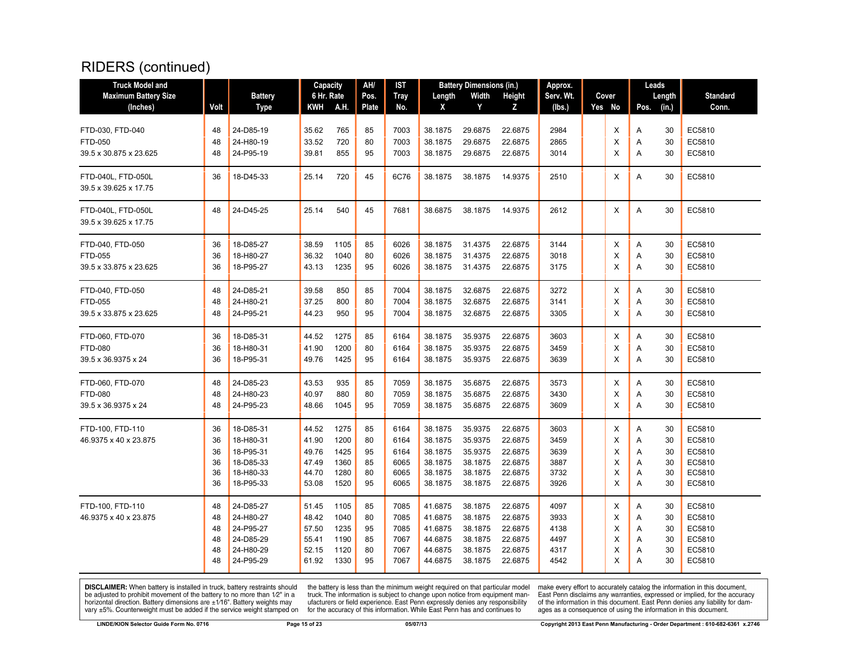| <b>Truck Model and</b>      |      |                | Capacity   |      | AH/   | <b>IST</b>  |         | <b>Battery Dimensions (in.)</b> |         | Approx.   |        |      | Leads  |                 |
|-----------------------------|------|----------------|------------|------|-------|-------------|---------|---------------------------------|---------|-----------|--------|------|--------|-----------------|
| <b>Maximum Battery Size</b> |      | <b>Battery</b> | 6 Hr. Rate |      | Pos.  | <b>Tray</b> | Length  | Width                           | Height  | Serv. Wt. | Cover  |      | Length | <b>Standard</b> |
| (Inches)                    | Volt | Type           | KWH        | A.H. | Plate | No.         | X       | Y                               | Z.      | (lbs.)    | Yes No | Pos. | (in.)  | Conn.           |
|                             |      |                |            |      |       |             |         |                                 |         |           |        |      |        |                 |
| FTD-030, FTD-040            | 48   | 24-D85-19      | 35.62      | 765  | 85    | 7003        | 38.1875 | 29.6875                         | 22.6875 | 2984      | X      | Α    | 30     | EC5810          |
| <b>FTD-050</b>              | 48   | 24-H80-19      | 33.52      | 720  | 80    | 7003        | 38.1875 | 29.6875                         | 22.6875 | 2865      | X      | A    | 30     | EC5810          |
| 39.5 x 30.875 x 23.625      | 48   | 24-P95-19      | 39.81      | 855  | 95    | 7003        | 38.1875 | 29.6875                         | 22.6875 | 3014      | X      | A    | 30     | EC5810          |
| FTD-040L, FTD-050L          | 36   | 18-D45-33      | 25.14      | 720  | 45    | 6C76        | 38.1875 | 38.1875                         | 14.9375 | 2510      | X      | A    | 30     | EC5810          |
| 39.5 x 39.625 x 17.75       |      |                |            |      |       |             |         |                                 |         |           |        |      |        |                 |
| FTD-040L, FTD-050L          | 48   | 24-D45-25      | 25.14      | 540  | 45    | 7681        | 38.6875 | 38.1875                         | 14.9375 | 2612      | X      | A    | 30     | EC5810          |
| 39.5 x 39.625 x 17.75       |      |                |            |      |       |             |         |                                 |         |           |        |      |        |                 |
| FTD-040, FTD-050            | 36   | 18-D85-27      | 38.59      | 1105 | 85    | 6026        | 38.1875 | 31.4375                         | 22.6875 | 3144      | X      | A    | 30     | EC5810          |
| FTD-055                     | 36   | 18-H80-27      | 36.32      | 1040 | 80    | 6026        | 38.1875 | 31.4375                         | 22.6875 | 3018      | X      | Α    | 30     | EC5810          |
| 39.5 x 33.875 x 23.625      | 36   | 18-P95-27      | 43.13      | 1235 | 95    | 6026        | 38.1875 | 31.4375                         | 22.6875 | 3175      | X      | Α    | 30     | EC5810          |
| FTD-040, FTD-050            | 48   | 24-D85-21      | 39.58      | 850  | 85    | 7004        | 38.1875 | 32.6875                         | 22.6875 | 3272      | X      | A    | 30     | EC5810          |
| <b>FTD-055</b>              | 48   | 24-H80-21      | 37.25      | 800  | 80    | 7004        | 38.1875 | 32.6875                         | 22.6875 | 3141      | X      | Α    | 30     | EC5810          |
| 39.5 x 33.875 x 23.625      | 48   | 24-P95-21      | 44.23      | 950  | 95    | 7004        | 38.1875 | 32.6875                         | 22.6875 | 3305      | X      | Α    | 30     | EC5810          |
| FTD-060, FTD-070            | 36   | 18-D85-31      | 44.52      | 1275 | 85    | 6164        | 38.1875 | 35.9375                         | 22.6875 | 3603      | X      | Α    | 30     | EC5810          |
| <b>FTD-080</b>              | 36   | 18-H80-31      | 41.90      | 1200 | 80    | 6164        | 38.1875 | 35.9375                         | 22.6875 | 3459      | X      | Α    | 30     | EC5810          |
| 39.5 x 36.9375 x 24         | 36   | 18-P95-31      | 49.76      | 1425 | 95    | 6164        | 38.1875 | 35.9375                         | 22.6875 | 3639      | X      | A    | 30     | EC5810          |
| FTD-060, FTD-070            | 48   | 24-D85-23      | 43.53      | 935  | 85    | 7059        | 38.1875 | 35.6875                         | 22.6875 | 3573      | Х      | Α    | 30     | EC5810          |
| <b>FTD-080</b>              | 48   | 24-H80-23      | 40.97      | 880  | 80    | 7059        | 38.1875 | 35.6875                         | 22.6875 | 3430      | X      | Α    | 30     | EC5810          |
| 39.5 x 36.9375 x 24         | 48   | 24-P95-23      | 48.66      | 1045 | 95    | 7059        | 38.1875 | 35.6875                         | 22.6875 | 3609      | X      | A    | 30     | EC5810          |
| FTD-100, FTD-110            | 36   | 18-D85-31      | 44.52      | 1275 | 85    | 6164        | 38.1875 | 35.9375                         | 22.6875 | 3603      | х      | Α    | 30     | EC5810          |
| 46.9375 x 40 x 23.875       | 36   | 18-H80-31      | 41.90      | 1200 | 80    | 6164        | 38.1875 | 35.9375                         | 22.6875 | 3459      | X      | Α    | 30     | EC5810          |
|                             | 36   | 18-P95-31      | 49.76      | 1425 | 95    | 6164        | 38.1875 | 35.9375                         | 22.6875 | 3639      | X      | A    | 30     | EC5810          |
|                             | 36   | 18-D85-33      | 47.49      | 1360 | 85    | 6065        | 38.1875 | 38.1875                         | 22.6875 | 3887      | X      | A    | 30     | EC5810          |
|                             | 36   | 18-H80-33      | 44.70      | 1280 | 80    | 6065        | 38.1875 | 38.1875                         | 22.6875 | 3732      | Х      | Α    | 30     | EC5810          |
|                             | 36   | 18-P95-33      | 53.08      | 1520 | 95    | 6065        | 38.1875 | 38.1875                         | 22.6875 | 3926      | X      | A    | 30     | EC5810          |
| FTD-100, FTD-110            | 48   | 24-D85-27      | 51.45      | 1105 | 85    | 7085        | 41.6875 | 38.1875                         | 22.6875 | 4097      | Х      | Α    | 30     | EC5810          |
| 46.9375 x 40 x 23.875       | 48   | 24-H80-27      | 48.42      | 1040 | 80    | 7085        | 41.6875 | 38.1875                         | 22.6875 | 3933      | X      | Α    | 30     | EC5810          |
|                             | 48   | 24-P95-27      | 57.50      | 1235 | 95    | 7085        | 41.6875 | 38.1875                         | 22.6875 | 4138      | X      | Α    | 30     | EC5810          |
|                             | 48   | 24-D85-29      | 55.41      | 1190 | 85    | 7067        | 44.6875 | 38.1875                         | 22.6875 | 4497      | X      | Α    | 30     | EC5810          |
|                             | 48   | 24-H80-29      | 52.15      | 1120 | 80    | 7067        | 44.6875 | 38.1875                         | 22.6875 | 4317      | X      | A    | 30     | EC5810          |
|                             | 48   | 24-P95-29      | 61.92      | 1330 | 95    | 7067        | 44.6875 | 38.1875                         | 22.6875 | 4542      | X      | A    | 30     | EC5810          |

**DISCLAIMER:** When battery is installed in truck, battery restraints should be adjusted to prohibit movement of the battery to no more than  $12^v$  in a horizontal direction. Battery dimensions are  $\pm 1/16^v$ . Battery wei

the battery is less than the minimum weight required on that particular model<br>truck. The information is subject to change upon notice from equipment man-<br>ufacturers or field experience. East Penn expressly denies any respo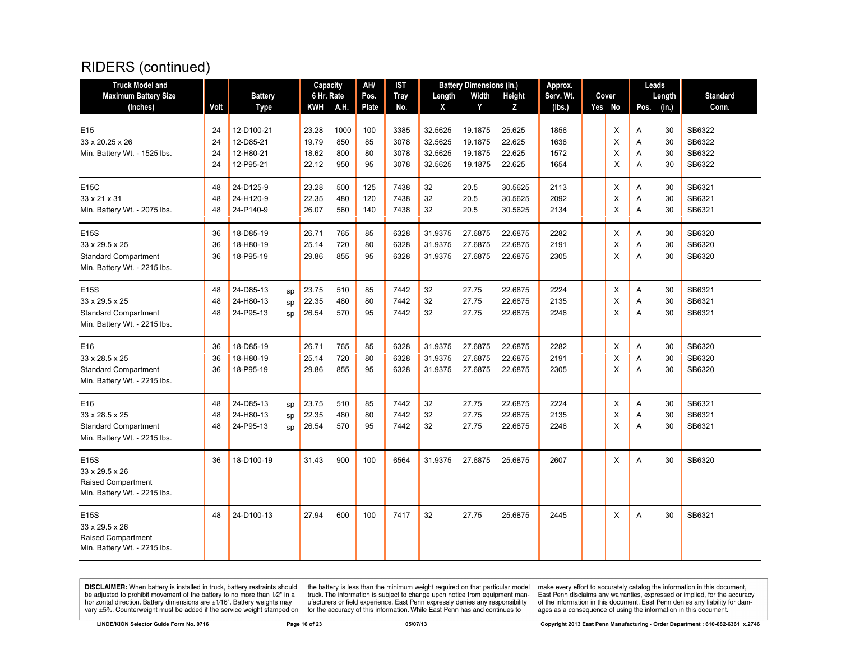| <b>Truck Model and</b>       |      |                |    | Capacity   |      | AH/          | IST         |         | <b>Battery Dimensions (in.)</b> |         | Approx.   |          | Leads |        |                 |
|------------------------------|------|----------------|----|------------|------|--------------|-------------|---------|---------------------------------|---------|-----------|----------|-------|--------|-----------------|
| <b>Maximum Battery Size</b>  |      | <b>Battery</b> |    | 6 Hr. Rate |      | Pos.         | <b>Tray</b> | Length  | Width                           | Height  | Serv. Wt. | Cover    |       | Length | <b>Standard</b> |
| (Inches)                     | Volt | <b>Type</b>    |    | KWH        | A.H. | <b>Plate</b> | No.         | X       | Y                               | Z       | (lbs.)    | Yes No   | Pos.  | (in.)  | Conn.           |
| E <sub>15</sub>              | 24   | 12-D100-21     |    | 23.28      | 1000 | 100          | 3385        | 32.5625 | 19.1875                         | 25.625  | 1856      | X        | Α     | 30     | SB6322          |
| 33 x 20.25 x 26              | 24   | 12-D85-21      |    | 19.79      | 850  | 85           | 3078        | 32.5625 | 19.1875                         | 22.625  | 1638      | X        | A     | 30     | SB6322          |
| Min. Battery Wt. - 1525 lbs. | 24   | 12-H80-21      |    | 18.62      | 800  | 80           | 3078        | 32.5625 | 19.1875                         | 22.625  | 1572      | X        | A     | 30     | SB6322          |
|                              | 24   | 12-P95-21      |    | 22.12      | 950  | 95           | 3078        | 32.5625 | 19.1875                         | 22.625  | 1654      | X        | A     | 30     | SB6322          |
| E15C                         | 48   | 24-D125-9      |    | 23.28      | 500  | 125          | 7438        | 32      | 20.5                            | 30.5625 | 2113      | X        | A     | 30     | SB6321          |
| 33 x 21 x 31                 | 48   | 24-H120-9      |    | 22.35      | 480  | 120          | 7438        | 32      | 20.5                            | 30.5625 | 2092      | X        | A     | 30     | SB6321          |
| Min. Battery Wt. - 2075 lbs. | 48   | 24-P140-9      |    | 26.07      | 560  | 140          | 7438        | 32      | 20.5                            | 30.5625 | 2134      | $\times$ | A     | 30     | SB6321          |
| E15S                         | 36   | 18-D85-19      |    | 26.71      | 765  | 85           | 6328        | 31.9375 | 27.6875                         | 22.6875 | 2282      | X        | Α     | 30     | SB6320          |
| 33 x 29.5 x 25               | 36   | 18-H80-19      |    | 25.14      | 720  | 80           | 6328        | 31.9375 | 27.6875                         | 22.6875 | 2191      | X        | Α     | 30     | SB6320          |
| <b>Standard Compartment</b>  | 36   | 18-P95-19      |    | 29.86      | 855  | 95           | 6328        | 31.9375 | 27.6875                         | 22.6875 | 2305      | X        | A     | 30     | SB6320          |
| Min. Battery Wt. - 2215 lbs. |      |                |    |            |      |              |             |         |                                 |         |           |          |       |        |                 |
| E15S                         | 48   | 24-D85-13      | sp | 23.75      | 510  | 85           | 7442        | 32      | 27.75                           | 22.6875 | 2224      | Х        | Α     | 30     | SB6321          |
| 33 x 29.5 x 25               | 48   | 24-H80-13      | sp | 22.35      | 480  | 80           | 7442        | 32      | 27.75                           | 22.6875 | 2135      | X        | A     | 30     | SB6321          |
| <b>Standard Compartment</b>  | 48   | 24-P95-13      | sp | 26.54      | 570  | 95           | 7442        | 32      | 27.75                           | 22.6875 | 2246      | X        | Α     | 30     | SB6321          |
| Min. Battery Wt. - 2215 lbs. |      |                |    |            |      |              |             |         |                                 |         |           |          |       |        |                 |
| E16                          | 36   | 18-D85-19      |    | 26.71      | 765  | 85           | 6328        | 31.9375 | 27.6875                         | 22.6875 | 2282      | Χ        | Α     | 30     | SB6320          |
| 33 x 28.5 x 25               | 36   | 18-H80-19      |    | 25.14      | 720  | 80           | 6328        | 31.9375 | 27.6875                         | 22.6875 | 2191      | X        | Α     | 30     | SB6320          |
| <b>Standard Compartment</b>  | 36   | 18-P95-19      |    | 29.86      | 855  | 95           | 6328        | 31.9375 | 27.6875                         | 22.6875 | 2305      | $\times$ | A     | 30     | SB6320          |
| Min. Battery Wt. - 2215 lbs. |      |                |    |            |      |              |             |         |                                 |         |           |          |       |        |                 |
| E16                          | 48   | 24-D85-13      | sp | 23.75      | 510  | 85           | 7442        | 32      | 27.75                           | 22.6875 | 2224      | X        | Α     | 30     | SB6321          |
| 33 x 28.5 x 25               | 48   | 24-H80-13      | sp | 22.35      | 480  | 80           | 7442        | 32      | 27.75                           | 22.6875 | 2135      | X        | A     | 30     | SB6321          |
| <b>Standard Compartment</b>  | 48   | 24-P95-13      | sp | 26.54      | 570  | 95           | 7442        | 32      | 27.75                           | 22.6875 | 2246      | X        | Α     | 30     | SB6321          |
| Min. Battery Wt. - 2215 lbs. |      |                |    |            |      |              |             |         |                                 |         |           |          |       |        |                 |
| E15S                         | 36   | 18-D100-19     |    | 31.43      | 900  | 100          | 6564        | 31.9375 | 27.6875                         | 25.6875 | 2607      | X        | A     | 30     | SB6320          |
| 33 x 29.5 x 26               |      |                |    |            |      |              |             |         |                                 |         |           |          |       |        |                 |
| <b>Raised Compartment</b>    |      |                |    |            |      |              |             |         |                                 |         |           |          |       |        |                 |
| Min. Battery Wt. - 2215 lbs. |      |                |    |            |      |              |             |         |                                 |         |           |          |       |        |                 |
| E15S                         | 48   | 24-D100-13     |    | 27.94      | 600  | 100          | 7417        | 32      | 27.75                           | 25.6875 | 2445      | X        | A     | 30     | SB6321          |
| 33 x 29.5 x 26               |      |                |    |            |      |              |             |         |                                 |         |           |          |       |        |                 |
| <b>Raised Compartment</b>    |      |                |    |            |      |              |             |         |                                 |         |           |          |       |        |                 |
| Min. Battery Wt. - 2215 lbs. |      |                |    |            |      |              |             |         |                                 |         |           |          |       |        |                 |

**DISCLAIMER:** When battery is installed in truck, battery restraints should be adjusted to prohibit movement of the battery to no more than  $12^v$  in a horizontal direction. Battery dimensions are  $\pm 1/16^v$ . Battery wei

the battery is less than the minimum weight required on that particular model<br>truck. The information is subject to change upon notice from equipment man-<br>ufacturers or field experience. East Penn expressly denies any respo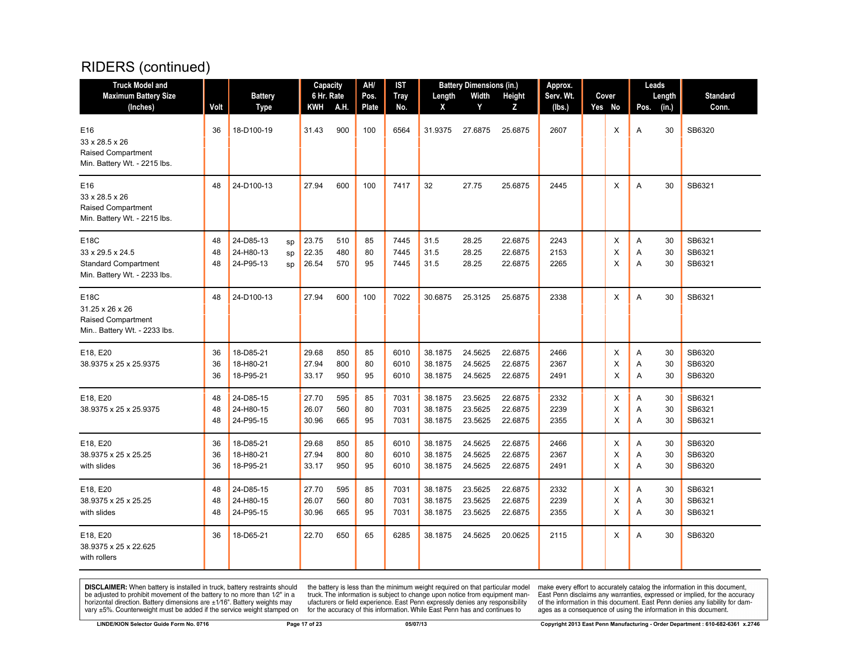| <b>Truck Model and</b><br><b>Maximum Battery Size</b><br>(Inches)                       | Volt           | <b>Battery</b><br><b>Type</b>                         | Capacity<br>6 Hr. Rate<br>KWH | A.H.              | AH/<br>Pos.<br>Plate | IST<br><b>Tray</b><br>No. | Length<br>X                   | <b>Battery Dimensions (in.)</b><br>Width<br>Y | Height<br>Z                   | Approx.<br>Serv. Wt.<br>(Ibs.) | Cover<br>Yes No | Leads<br>Length<br>Pos.<br>(in.) | <b>Standard</b><br>Conn.   |
|-----------------------------------------------------------------------------------------|----------------|-------------------------------------------------------|-------------------------------|-------------------|----------------------|---------------------------|-------------------------------|-----------------------------------------------|-------------------------------|--------------------------------|-----------------|----------------------------------|----------------------------|
| E16<br>33 x 28.5 x 26<br><b>Raised Compartment</b><br>Min. Battery Wt. - 2215 lbs.      | 36             | 18-D100-19                                            | 31.43                         | 900               | 100                  | 6564                      | 31.9375                       | 27.6875                                       | 25.6875                       | 2607                           | X               | 30<br>A                          | SB6320                     |
| E16<br>33 x 28.5 x 26<br><b>Raised Compartment</b><br>Min. Battery Wt. - 2215 lbs.      | 48             | 24-D100-13                                            | 27.94                         | 600               | 100                  | 7417                      | 32                            | 27.75                                         | 25.6875                       | 2445                           | X               | A<br>30                          | SB6321                     |
| E18C<br>33 x 29.5 x 24.5<br><b>Standard Compartment</b><br>Min. Battery Wt. - 2233 lbs. | 48<br>48<br>48 | 24-D85-13<br>sp<br>24-H80-13<br>sp<br>24-P95-13<br>sp | 23.75<br>22.35<br>26.54       | 510<br>480<br>570 | 85<br>80<br>95       | 7445<br>7445<br>7445      | 31.5<br>31.5<br>31.5          | 28.25<br>28.25<br>28.25                       | 22.6875<br>22.6875<br>22.6875 | 2243<br>2153<br>2265           | X<br>X<br>X     | 30<br>Α<br>30<br>Α<br>Α<br>30    | SB6321<br>SB6321<br>SB6321 |
| E18C<br>31.25 x 26 x 26<br>Raised Compartment<br>Min Battery Wt. - 2233 lbs.            | 48             | 24-D100-13                                            | 27.94                         | 600               | 100                  | 7022                      | 30.6875                       | 25.3125                                       | 25.6875                       | 2338                           | X               | A<br>30                          | SB6321                     |
| E18, E20<br>38.9375 x 25 x 25.9375                                                      | 36<br>36<br>36 | 18-D85-21<br>18-H80-21<br>18-P95-21                   | 29.68<br>27.94<br>33.17       | 850<br>800<br>950 | 85<br>80<br>95       | 6010<br>6010<br>6010      | 38.1875<br>38.1875<br>38.1875 | 24.5625<br>24.5625<br>24.5625                 | 22.6875<br>22.6875<br>22.6875 | 2466<br>2367<br>2491           | X<br>X<br>X     | A<br>30<br>30<br>Α<br>30<br>A    | SB6320<br>SB6320<br>SB6320 |
| E18, E20<br>38.9375 x 25 x 25.9375                                                      | 48<br>48<br>48 | 24-D85-15<br>24-H80-15<br>24-P95-15                   | 27.70<br>26.07<br>30.96       | 595<br>560<br>665 | 85<br>80<br>95       | 7031<br>7031<br>7031      | 38.1875<br>38.1875<br>38.1875 | 23.5625<br>23.5625<br>23.5625                 | 22.6875<br>22.6875<br>22.6875 | 2332<br>2239<br>2355           | Х<br>X<br>X     | 30<br>A<br>30<br>Α<br>A<br>30    | SB6321<br>SB6321<br>SB6321 |
| E18, E20<br>38.9375 x 25 x 25.25<br>with slides                                         | 36<br>36<br>36 | 18-D85-21<br>18-H80-21<br>18-P95-21                   | 29.68<br>27.94<br>33.17       | 850<br>800<br>950 | 85<br>80<br>95       | 6010<br>6010<br>6010      | 38.1875<br>38.1875<br>38.1875 | 24.5625<br>24.5625<br>24.5625                 | 22.6875<br>22.6875<br>22.6875 | 2466<br>2367<br>2491           | X<br>X<br>X     | Α<br>30<br>30<br>Α<br>Α<br>30    | SB6320<br>SB6320<br>SB6320 |
| E18, E20<br>38.9375 x 25 x 25.25<br>with slides                                         | 48<br>48<br>48 | 24-D85-15<br>24-H80-15<br>24-P95-15                   | 27.70<br>26.07<br>30.96       | 595<br>560<br>665 | 85<br>80<br>95       | 7031<br>7031<br>7031      | 38.1875<br>38.1875<br>38.1875 | 23.5625<br>23.5625<br>23.5625                 | 22.6875<br>22.6875<br>22.6875 | 2332<br>2239<br>2355           | X<br>X<br>X     | 30<br>Α<br>30<br>Α<br>A<br>30    | SB6321<br>SB6321<br>SB6321 |
| E18, E20<br>38.9375 x 25 x 22.625<br>with rollers                                       | 36             | 18-D65-21                                             | 22.70                         | 650               | 65                   | 6285                      | 38.1875                       | 24.5625                                       | 20.0625                       | 2115                           | X               | A<br>30                          | SB6320                     |

**DISCLAIMER:** When battery is installed in truck, battery restraints should be adjusted to prohibit movement of the battery to no more than  $12^v$  in a horizontal direction. Battery dimensions are  $\pm 1/16^v$ . Battery wei

the battery is less than the minimum weight required on that particular model<br>truck. The information is subject to change upon notice from equipment man-<br>ufacturers or field experience. East Penn expressly denies any respo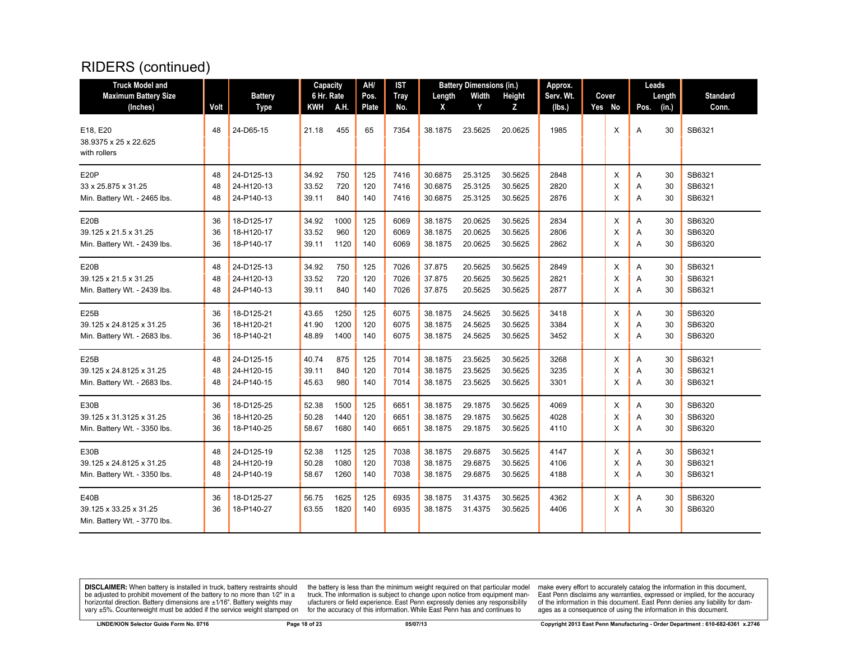| <b>Truck Model and</b>                                         |          |                               | Capacity          |              | AH/           | <b>IST</b>         |                    | <b>Battery Dimensions (in.)</b> |                    | Approx.             |                 |        | Leads           |                          |
|----------------------------------------------------------------|----------|-------------------------------|-------------------|--------------|---------------|--------------------|--------------------|---------------------------------|--------------------|---------------------|-----------------|--------|-----------------|--------------------------|
| <b>Maximum Battery Size</b><br>(Inches)                        | Volt     | <b>Battery</b><br><b>Type</b> | 6 Hr. Rate<br>KWH | A.H.         | Pos.<br>Plate | <b>Tray</b><br>No. | Length<br>X        | Width<br>Y                      | Height<br>z        | Serv. Wt.<br>(lbs.) | Cover<br>Yes No | Pos.   | Length<br>(in.) | <b>Standard</b><br>Conn. |
| E18, E20<br>38.9375 x 25 x 22.625<br>with rollers              | 48       | 24-D65-15                     | 21.18             | 455          | 65            | 7354               | 38.1875            | 23.5625                         | 20.0625            | 1985                | Χ               | Α      | 30              | SB6321                   |
| E <sub>20</sub> P                                              | 48       | 24-D125-13                    | 34.92             | 750          | 125           | 7416               | 30.6875            | 25.3125                         | 30.5625            | 2848                | X               | Α      | 30              | SB6321                   |
| 33 x 25.875 x 31.25                                            | 48       | 24-H120-13                    | 33.52             | 720          | 120           | 7416               | 30.6875            | 25.3125                         | 30.5625            | 2820                | X               | Α      | 30              | SB6321                   |
| Min. Battery Wt. - 2465 lbs.                                   | 48       | 24-P140-13                    | 39.11             | 840          | 140           | 7416               | 30.6875            | 25.3125                         | 30.5625            | 2876                | X               | A      | 30              | SB6321                   |
| E20B                                                           | 36       | 18-D125-17                    | 34.92             | 1000         | 125           | 6069               | 38.1875            | 20.0625                         | 30.5625            | 2834                | X               | Α      | 30              | SB6320                   |
| 39.125 x 21.5 x 31.25                                          | 36       | 18-H120-17                    | 33.52             | 960          | 120           | 6069               | 38.1875            | 20.0625                         | 30.5625            | 2806                | X               | Α      | 30              | SB6320                   |
| Min. Battery Wt. - 2439 lbs.                                   | 36       | 18-P140-17                    | 39.11             | 1120         | 140           | 6069               | 38.1875            | 20.0625                         | 30.5625            | 2862                | X               | A      | 30              | SB6320                   |
| E <sub>20</sub> B                                              | 48       | 24-D125-13                    | 34.92             | 750          | 125           | 7026               | 37.875             | 20.5625                         | 30.5625            | 2849                | X               | Α      | 30              | SB6321                   |
| 39.125 x 21.5 x 31.25                                          | 48       | 24-H120-13                    | 33.52             | 720          | 120           | 7026               | 37.875             | 20.5625                         | 30.5625            | 2821                | X               | Α      | 30              | SB6321                   |
| Min. Battery Wt. - 2439 lbs.                                   | 48       | 24-P140-13                    | 39.11             | 840          | 140           | 7026               | 37.875             | 20.5625                         | 30.5625            | 2877                | X               | Α      | 30              | SB6321                   |
| E25B                                                           | 36       | 18-D125-21                    | 43.65             | 1250         | 125           | 6075               | 38.1875            | 24.5625                         | 30.5625            | 3418                | X               | A      | 30              | SB6320                   |
| 39.125 x 24.8125 x 31.25                                       | 36       | 18-H120-21                    | 41.90             | 1200         | 120           | 6075               | 38.1875            | 24.5625                         | 30.5625            | 3384                | X               | Α      | 30              | SB6320                   |
| Min. Battery Wt. - 2683 lbs.                                   | 36       | 18-P140-21                    | 48.89             | 1400         | 140           | 6075               | 38.1875            | 24.5625                         | 30.5625            | 3452                | X               | Α      | 30              | SB6320                   |
| E <sub>25</sub> B                                              | 48       | 24-D125-15                    | 40.74             | 875          | 125           | 7014               | 38.1875            | 23.5625                         | 30.5625            | 3268                | X               | Α      | 30              | SB6321                   |
| 39.125 x 24.8125 x 31.25                                       | 48       | 24-H120-15                    | 39.11             | 840          | 120           | 7014               | 38.1875            | 23.5625                         | 30.5625            | 3235                | X               | Α      | 30              | SB6321                   |
| Min. Battery Wt. - 2683 lbs.                                   | 48       | 24-P140-15                    | 45.63             | 980          | 140           | 7014               | 38.1875            | 23.5625                         | 30.5625            | 3301                | X               | Α      | 30              | SB6321                   |
| E30B                                                           | 36       | 18-D125-25                    | 52.38             | 1500         | 125           | 6651               | 38.1875            | 29.1875                         | 30.5625            | 4069                | Χ               | Α      | 30              | SB6320                   |
| 39.125 x 31.3125 x 31.25                                       | 36       | 18-H120-25                    | 50.28             | 1440         | 120           | 6651               | 38.1875            | 29.1875                         | 30.5625            | 4028                | X               | Α      | 30              | SB6320                   |
| Min. Battery Wt. - 3350 lbs.                                   | 36       | 18-P140-25                    | 58.67             | 1680         | 140           | 6651               | 38.1875            | 29.1875                         | 30.5625            | 4110                | $\times$        | Α      | 30              | SB6320                   |
| E30B                                                           | 48       | 24-D125-19                    | 52.38             | 1125         | 125           | 7038               | 38.1875            | 29.6875                         | 30.5625            | 4147                | X               | Α      | 30              | SB6321                   |
| 39.125 x 24.8125 x 31.25                                       | 48       | 24-H120-19                    | 50.28             | 1080         | 120           | 7038               | 38.1875            | 29.6875                         | 30.5625            | 4106                | X               | Α      | 30              | SB6321                   |
| Min. Battery Wt. - 3350 lbs.                                   | 48       | 24-P140-19                    | 58.67             | 1260         | 140           | 7038               | 38.1875            | 29.6875                         | 30.5625            | 4188                | X               | Α      | 30              | SB6321                   |
| E40B<br>39.125 x 33.25 x 31.25<br>Min. Battery Wt. - 3770 lbs. | 36<br>36 | 18-D125-27<br>18-P140-27      | 56.75<br>63.55    | 1625<br>1820 | 125<br>140    | 6935<br>6935       | 38.1875<br>38.1875 | 31.4375<br>31.4375              | 30.5625<br>30.5625 | 4362<br>4406        | X<br>X          | Α<br>Α | 30<br>30        | SB6320<br>SB6320         |

**DISCLAIMER:** When battery is installed in truck, battery restraints should be adjusted to prohibit movement of the battery to no more than  $12^v$  in a horizontal direction. Battery dimensions are  $\pm 1/16^v$ . Battery wei

the battery is less than the minimum weight required on that particular model<br>truck. The information is subject to change upon notice from equipment man-<br>ufacturers or field experience. East Penn expressly denies any respo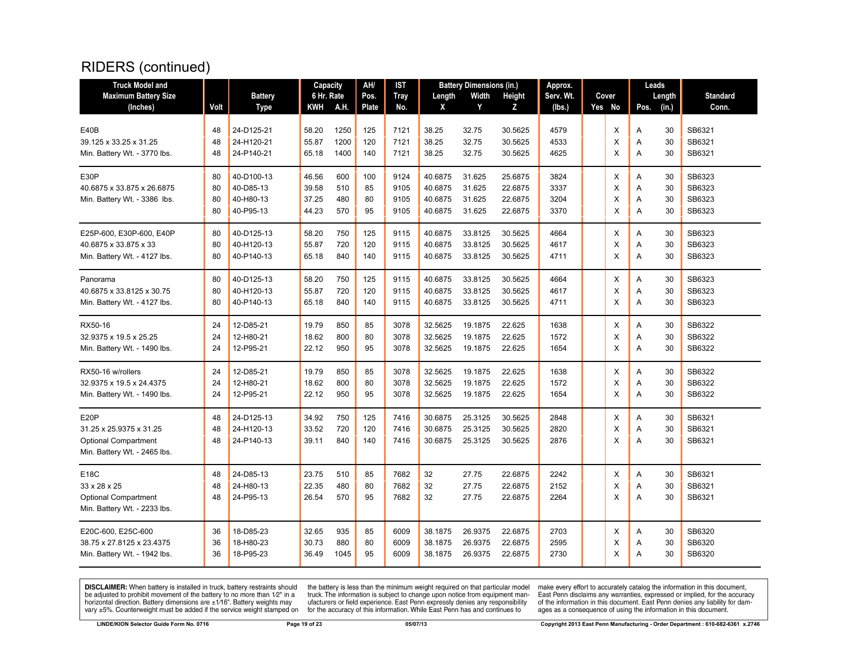| <b>Truck Model and</b>       |      |                | Capacity   |      | AH/   | IST         |         | <b>Battery Dimensions (in.)</b> |         | Approx.   |        |      | Leads  |                 |
|------------------------------|------|----------------|------------|------|-------|-------------|---------|---------------------------------|---------|-----------|--------|------|--------|-----------------|
| <b>Maximum Battery Size</b>  |      | <b>Battery</b> | 6 Hr. Rate |      | Pos.  | <b>Tray</b> | Length  | Width                           | Height  | Serv. Wt. | Cover  |      | Length | <b>Standard</b> |
| (Inches)                     | Volt | Type           | KWH        | A.H. | Plate | No.         | X       | Y                               | z       | (Ibs.)    | Yes No | Pos. | (in.)  | Conn.           |
|                              |      |                |            |      |       |             |         |                                 |         |           |        |      |        |                 |
| E40B                         | 48   | 24-D125-21     | 58.20      | 1250 | 125   | 7121        | 38.25   | 32.75                           | 30.5625 | 4579      | X      | Α    | 30     | SB6321          |
| 39.125 x 33.25 x 31.25       | 48   | 24-H120-21     | 55.87      | 1200 | 120   | 7121        | 38.25   | 32.75                           | 30.5625 | 4533      | X      | Α    | 30     | SB6321          |
| Min. Battery Wt. - 3770 lbs. | 48   | 24-P140-21     | 65.18      | 1400 | 140   | 7121        | 38.25   | 32.75                           | 30.5625 | 4625      | X      | A    | 30     | SB6321          |
| E30P                         | 80   | 40-D100-13     | 46.56      | 600  | 100   | 9124        | 40.6875 | 31.625                          | 25.6875 | 3824      | X      | Α    | 30     | SB6323          |
| 40.6875 x 33.875 x 26.6875   | 80   | 40-D85-13      | 39.58      | 510  | 85    | 9105        | 40.6875 | 31.625                          | 22.6875 | 3337      | X      | Α    | 30     | SB6323          |
| Min. Battery Wt. - 3386 lbs. | 80   | 40-H80-13      | 37.25      | 480  | 80    | 9105        | 40.6875 | 31.625                          | 22.6875 | 3204      | X      | Α    | 30     | SB6323          |
|                              | 80   | 40-P95-13      | 44.23      | 570  | 95    | 9105        | 40.6875 | 31.625                          | 22.6875 | 3370      | X      | Α    | 30     | SB6323          |
| E25P-600, E30P-600, E40P     | 80   | 40-D125-13     | 58.20      | 750  | 125   | 9115        | 40.6875 | 33.8125                         | 30.5625 | 4664      | X      | A    | 30     | SB6323          |
| 40.6875 x 33.875 x 33        | 80   | 40-H120-13     | 55.87      | 720  | 120   | 9115        | 40.6875 | 33.8125                         | 30.5625 | 4617      | X      | Α    | 30     | SB6323          |
| Min. Battery Wt. - 4127 lbs. | 80   | 40-P140-13     | 65.18      | 840  | 140   | 9115        | 40.6875 | 33.8125                         | 30.5625 | 4711      | X      | A    | 30     | SB6323          |
| Panorama                     | 80   | 40-D125-13     | 58.20      | 750  | 125   | 9115        | 40.6875 | 33.8125                         | 30.5625 | 4664      | X      | A    | 30     | SB6323          |
| 40.6875 x 33.8125 x 30.75    | 80   | 40-H120-13     | 55.87      | 720  | 120   | 9115        | 40.6875 | 33.8125                         | 30.5625 | 4617      | X      | Α    | 30     | SB6323          |
| Min. Battery Wt. - 4127 lbs. | 80   | 40-P140-13     | 65.18      | 840  | 140   | 9115        | 40.6875 | 33.8125                         | 30.5625 | 4711      | X      | Α    | 30     | SB6323          |
| RX50-16                      | 24   | 12-D85-21      | 19.79      | 850  | 85    | 3078        | 32.5625 | 19.1875                         | 22.625  | 1638      | X      | A    | 30     | SB6322          |
| 32.9375 x 19.5 x 25.25       | 24   | 12-H80-21      | 18.62      | 800  | 80    | 3078        | 32.5625 | 19.1875                         | 22.625  | 1572      | X      | Α    | 30     | SB6322          |
| Min. Battery Wt. - 1490 lbs. | 24   | 12-P95-21      | 22.12      | 950  | 95    | 3078        | 32.5625 | 19.1875                         | 22.625  | 1654      | X      | A    | 30     | SB6322          |
| RX50-16 w/rollers            | 24   | 12-D85-21      | 19.79      | 850  | 85    | 3078        | 32.5625 | 19.1875                         | 22.625  | 1638      | X      | A    | 30     | SB6322          |
| 32.9375 x 19.5 x 24.4375     | 24   | 12-H80-21      | 18.62      | 800  | 80    | 3078        | 32.5625 | 19.1875                         | 22.625  | 1572      | X      | Α    | 30     | SB6322          |
| Min. Battery Wt. - 1490 lbs. | 24   | 12-P95-21      | 22.12      | 950  | 95    | 3078        | 32.5625 | 19.1875                         | 22.625  | 1654      | X      | Α    | 30     | SB6322          |
| E20P                         | 48   | 24-D125-13     | 34.92      | 750  | 125   | 7416        | 30.6875 | 25.3125                         | 30.5625 | 2848      | X      | Α    | 30     | SB6321          |
| 31.25 x 25.9375 x 31.25      | 48   | 24-H120-13     | 33.52      | 720  | 120   | 7416        | 30.6875 | 25.3125                         | 30.5625 | 2820      | X      | Α    | 30     | SB6321          |
| <b>Optional Compartment</b>  | 48   | 24-P140-13     | 39.11      | 840  | 140   | 7416        | 30.6875 | 25.3125                         | 30.5625 | 2876      | X      | A    | 30     | SB6321          |
| Min. Battery Wt. - 2465 lbs. |      |                |            |      |       |             |         |                                 |         |           |        |      |        |                 |
| E18C                         | 48   | 24-D85-13      | 23.75      | 510  | 85    | 7682        | 32      | 27.75                           | 22.6875 | 2242      | Х      | Α    | 30     | SB6321          |
| 33 x 28 x 25                 | 48   | 24-H80-13      | 22.35      | 480  | 80    | 7682        | 32      | 27.75                           | 22.6875 | 2152      | Χ      | Α    | 30     | SB6321          |
| <b>Optional Compartment</b>  | 48   | 24-P95-13      | 26.54      | 570  | 95    | 7682        | 32      | 27.75                           | 22.6875 | 2264      | X      | Α    | 30     | SB6321          |
| Min. Battery Wt. - 2233 lbs. |      |                |            |      |       |             |         |                                 |         |           |        |      |        |                 |
| E20C-600, E25C-600           | 36   | 18-D85-23      | 32.65      | 935  | 85    | 6009        | 38.1875 | 26.9375                         | 22.6875 | 2703      | X      | A    | 30     | SB6320          |
| 38.75 x 27.8125 x 23.4375    | 36   | 18-H80-23      | 30.73      | 880  | 80    | 6009        | 38.1875 | 26.9375                         | 22.6875 | 2595      | X      | A    | 30     | SB6320          |
| Min. Battery Wt. - 1942 lbs. | 36   | 18-P95-23      | 36.49      | 1045 | 95    | 6009        | 38.1875 | 26.9375                         | 22.6875 | 2730      | X      | A    | 30     | SB6320          |
|                              |      |                |            |      |       |             |         |                                 |         |           |        |      |        |                 |

**DISCLAIMER:** When battery is installed in truck, battery restraints should be adjusted to prohibit movement of the battery to no more than  $12^v$  in a horizontal direction. Battery dimensions are  $\pm 1/16^v$ . Battery wei

the battery is less than the minimum weight required on that particular model<br>truck. The information is subject to change upon notice from equipment man-<br>ufacturers or field experience. East Penn expressly denies any respo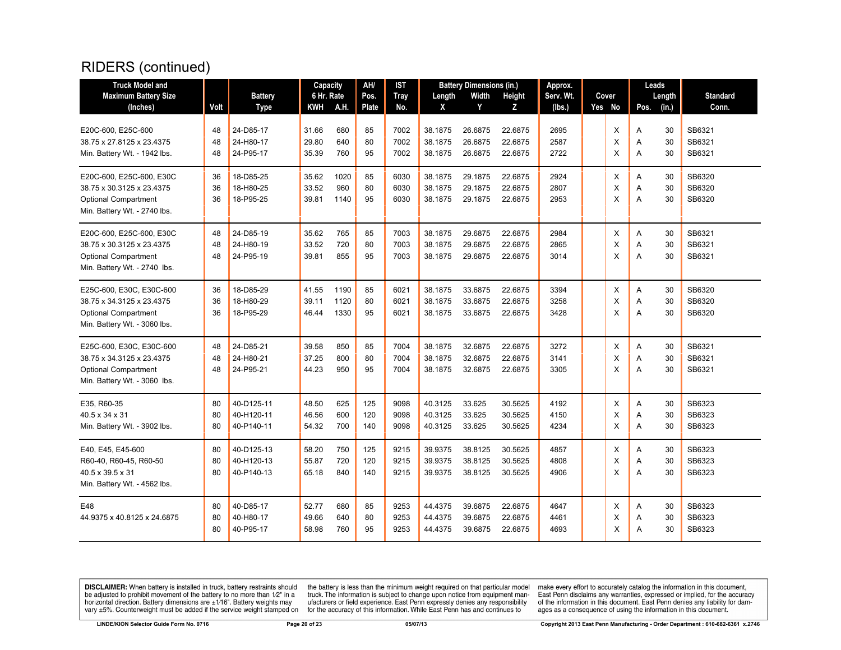| <b>Truck Model and</b>                          |          |                        | Capacity       |             | AH/          | IST          |                    | <b>Battery Dimensions (in.)</b> |                    | Approx.      |        |        | Leads    |                  |
|-------------------------------------------------|----------|------------------------|----------------|-------------|--------------|--------------|--------------------|---------------------------------|--------------------|--------------|--------|--------|----------|------------------|
| <b>Maximum Battery Size</b>                     |          | <b>Battery</b>         | 6 Hr. Rate     |             | Pos.         | <b>Tray</b>  | Length             | Width                           | <b>Height</b>      | Serv. Wt.    | Cover  |        | Length   | <b>Standard</b>  |
| (Inches)                                        | Volt     | Type                   | KWH            | <b>A.H.</b> | <b>Plate</b> | No.          | X                  | Y                               | Z                  | (lbs.)       | Yes No | Pos.   | (in.)    | Conn.            |
|                                                 |          |                        |                |             |              |              |                    |                                 |                    |              |        |        |          |                  |
| E20C-600, E25C-600<br>38.75 x 27.8125 x 23.4375 | 48<br>48 | 24-D85-17<br>24-H80-17 | 31.66<br>29.80 | 680<br>640  | 85<br>80     | 7002<br>7002 | 38.1875<br>38.1875 | 26.6875<br>26.6875              | 22.6875<br>22.6875 | 2695<br>2587 | X<br>X | Α      | 30<br>30 | SB6321<br>SB6321 |
|                                                 | 48       | 24-P95-17              | 35.39          | 760         | 95           | 7002         | 38.1875            | 26.6875                         | 22.6875            | 2722         | X      | A<br>A | 30       | SB6321           |
| Min. Battery Wt. - 1942 lbs.                    |          |                        |                |             |              |              |                    |                                 |                    |              |        |        |          |                  |
| E20C-600, E25C-600, E30C                        | 36       | 18-D85-25              | 35.62          | 1020        | 85           | 6030         | 38.1875            | 29.1875                         | 22.6875            | 2924         | X      | A      | 30       | SB6320           |
| 38.75 x 30.3125 x 23.4375                       | 36       | 18-H80-25              | 33.52          | 960         | 80           | 6030         | 38.1875            | 29.1875                         | 22.6875            | 2807         | X      | Α      | 30       | SB6320           |
| <b>Optional Compartment</b>                     | 36       | 18-P95-25              | 39.81          | 1140        | 95           | 6030         | 38.1875            | 29.1875                         | 22.6875            | 2953         | X      | A      | 30       | SB6320           |
| Min. Battery Wt. - 2740 lbs.                    |          |                        |                |             |              |              |                    |                                 |                    |              |        |        |          |                  |
| E20C-600, E25C-600, E30C                        | 48       | 24-D85-19              | 35.62          | 765         | 85           | 7003         | 38.1875            | 29.6875                         | 22.6875            | 2984         | X      | Α      | 30       | SB6321           |
| 38.75 x 30.3125 x 23.4375                       | 48       | 24-H80-19              | 33.52          | 720         | 80           | 7003         | 38.1875            | 29.6875                         | 22.6875            | 2865         | X      | Α      | 30       | SB6321           |
| <b>Optional Compartment</b>                     | 48       | 24-P95-19              | 39.81          | 855         | 95           | 7003         | 38.1875            | 29.6875                         | 22.6875            | 3014         | X      | A      | 30       | SB6321           |
| Min. Battery Wt. - 2740 lbs.                    |          |                        |                |             |              |              |                    |                                 |                    |              |        |        |          |                  |
| E25C-600, E30C, E30C-600                        | 36       | 18-D85-29              | 41.55          | 1190        | 85           | 6021         | 38.1875            | 33.6875                         | 22.6875            | 3394         | X      | Α      | 30       | SB6320           |
| 38.75 x 34.3125 x 23.4375                       | 36       | 18-H80-29              | 39.11          | 1120        | 80           | 6021         | 38.1875            | 33.6875                         | 22.6875            | 3258         | X      | Α      | 30       | SB6320           |
| <b>Optional Compartment</b>                     | 36       | 18-P95-29              | 46.44          | 1330        | 95           | 6021         | 38.1875            | 33.6875                         | 22.6875            | 3428         | X      | Α      | 30       | SB6320           |
| Min. Battery Wt. - 3060 lbs.                    |          |                        |                |             |              |              |                    |                                 |                    |              |        |        |          |                  |
| E25C-600, E30C, E30C-600                        | 48       | 24-D85-21              | 39.58          | 850         | 85           | 7004         | 38.1875            | 32.6875                         | 22.6875            | 3272         | X      | Α      | 30       | SB6321           |
| 38.75 x 34.3125 x 23.4375                       | 48       | 24-H80-21              | 37.25          | 800         | 80           | 7004         | 38.1875            | 32.6875                         | 22.6875            | 3141         | X      | A      | 30       | SB6321           |
| <b>Optional Compartment</b>                     | 48       | 24-P95-21              | 44.23          | 950         | 95           | 7004         | 38.1875            | 32.6875                         | 22.6875            | 3305         | X      | A      | 30       | SB6321           |
| Min. Battery Wt. - 3060 lbs.                    |          |                        |                |             |              |              |                    |                                 |                    |              |        |        |          |                  |
| E35, R60-35                                     | 80       | 40-D125-11             | 48.50          | 625         | 125          | 9098         | 40.3125            | 33.625                          | 30.5625            | 4192         | X      | Α      | 30       | SB6323           |
| 40.5 x 34 x 31                                  | 80       | 40-H120-11             | 46.56          | 600         | 120          | 9098         | 40.3125            | 33.625                          | 30.5625            | 4150         | X      | Α      | 30       | SB6323           |
| Min. Battery Wt. - 3902 lbs.                    | 80       | 40-P140-11             | 54.32          | 700         | 140          | 9098         | 40.3125            | 33.625                          | 30.5625            | 4234         | X      | Α      | 30       | SB6323           |
| E40, E45, E45-600                               | 80       | 40-D125-13             | 58.20          | 750         | 125          | 9215         | 39.9375            | 38.8125                         | 30.5625            | 4857         | X      | Α      | 30       | SB6323           |
| R60-40, R60-45, R60-50                          | 80       | 40-H120-13             | 55.87          | 720         | 120          | 9215         | 39.9375            | 38.8125                         | 30.5625            | 4808         | X      | A      | 30       | SB6323           |
| 40.5 x 39.5 x 31                                | 80       | 40-P140-13             | 65.18          | 840         | 140          | 9215         | 39.9375            | 38.8125                         | 30.5625            | 4906         | X      | A      | 30       | SB6323           |
| Min. Battery Wt. - 4562 lbs.                    |          |                        |                |             |              |              |                    |                                 |                    |              |        |        |          |                  |
| E48                                             | 80       | 40-D85-17              | 52.77          | 680         | 85           | 9253         | 44.4375            | 39.6875                         | 22.6875            | 4647         | X      | A      | 30       | SB6323           |
| 44.9375 x 40.8125 x 24.6875                     | 80       | 40-H80-17              | 49.66          | 640         | 80           | 9253         | 44.4375            | 39.6875                         | 22.6875            | 4461         | X      | Α      | 30       | SB6323           |
|                                                 | 80       | 40-P95-17              | 58.98          | 760         | 95           | 9253         | 44.4375            | 39.6875                         | 22.6875            | 4693         | X      | A      | 30       | SB6323           |
|                                                 |          |                        |                |             |              |              |                    |                                 |                    |              |        |        |          |                  |

**DISCLAIMER:** When battery is installed in truck, battery restraints should be adjusted to prohibit movement of the battery to no more than  $12^v$  in a horizontal direction. Battery dimensions are  $\pm 1/16^v$ . Battery wei

the battery is less than the minimum weight required on that particular model<br>truck. The information is subject to change upon notice from equipment man-<br>ufacturers or field experience. East Penn expressly denies any respo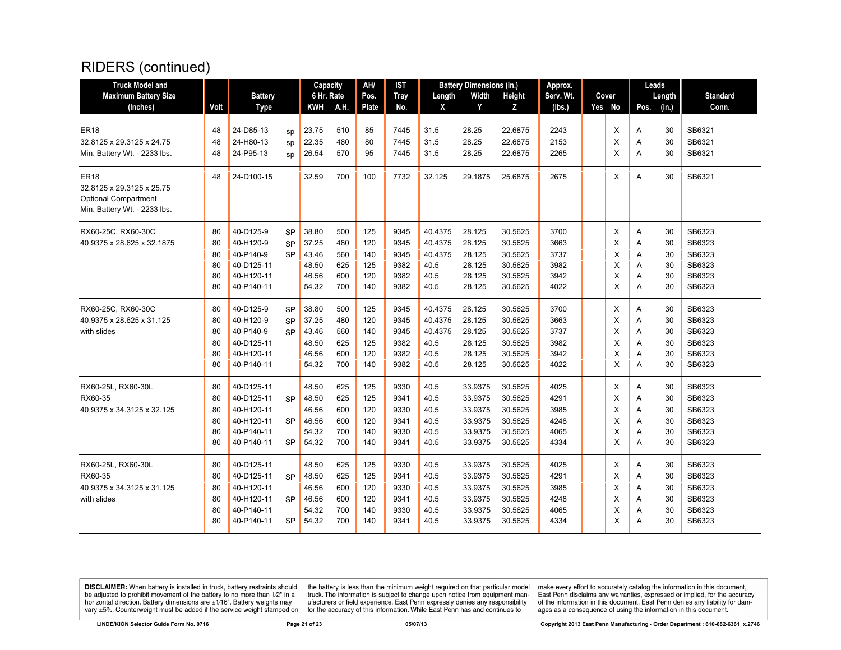| <b>Truck Model and</b>                   |          |                        |           | Capacity       |            | AH/      | <b>IST</b>   |              | <b>Battery Dimensions (in.)</b> |                    | Approx.      |        |        | Leads    |                  |
|------------------------------------------|----------|------------------------|-----------|----------------|------------|----------|--------------|--------------|---------------------------------|--------------------|--------------|--------|--------|----------|------------------|
| <b>Maximum Battery Size</b>              |          | <b>Battery</b>         |           | 6 Hr. Rate     |            | Pos.     | <b>Tray</b>  | Length       | Width                           | <b>Height</b>      | Serv. Wt.    | Cover  |        | Length   | <b>Standard</b>  |
| (Inches)                                 | Volt     | <b>Type</b>            |           | KWH            | A.H.       | Plate    | No.          | X            | Y                               | Z                  | (lbs.)       | Yes No | Pos.   | (in.)    | Conn.            |
|                                          |          |                        |           |                |            |          |              |              |                                 |                    |              |        |        |          |                  |
| <b>ER18</b><br>32.8125 x 29.3125 x 24.75 | 48<br>48 | 24-D85-13<br>24-H80-13 | sp        | 23.75<br>22.35 | 510<br>480 | 85<br>80 | 7445<br>7445 | 31.5<br>31.5 | 28.25<br>28.25                  | 22.6875<br>22.6875 | 2243<br>2153 | X<br>X | Α      | 30<br>30 | SB6321<br>SB6321 |
|                                          | 48       | 24-P95-13              | sp        | 26.54          | 570        | 95       | 7445         | 31.5         | 28.25                           | 22.6875            | 2265         | X      | Α<br>A | 30       | SB6321           |
| Min. Battery Wt. - 2233 lbs.             |          |                        | SD        |                |            |          |              |              |                                 |                    |              |        |        |          |                  |
| <b>ER18</b>                              | 48       | 24-D100-15             |           | 32.59          | 700        | 100      | 7732         | 32.125       | 29.1875                         | 25.6875            | 2675         | X      | A      | 30       | SB6321           |
| 32.8125 x 29.3125 x 25.75                |          |                        |           |                |            |          |              |              |                                 |                    |              |        |        |          |                  |
| <b>Optional Compartment</b>              |          |                        |           |                |            |          |              |              |                                 |                    |              |        |        |          |                  |
| Min. Battery Wt. - 2233 lbs.             |          |                        |           |                |            |          |              |              |                                 |                    |              |        |        |          |                  |
| RX60-25C, RX60-30C                       | 80       | 40-D125-9              | SP        | 38.80          | 500        | 125      | 9345         | 40.4375      | 28.125                          | 30.5625            | 3700         | X      | Α      | 30       | SB6323           |
| 40.9375 x 28.625 x 32.1875               | 80       | 40-H120-9              | <b>SP</b> | 37.25          | 480        | 120      | 9345         | 40.4375      | 28.125                          | 30.5625            | 3663         | X      | Α      | 30       | SB6323           |
|                                          | 80       | 40-P140-9              | <b>SP</b> | 43.46          | 560        | 140      | 9345         | 40.4375      | 28.125                          | 30.5625            | 3737         | X      | Α      | 30       | SB6323           |
|                                          | 80       | 40-D125-11             |           | 48.50          | 625        | 125      | 9382         | 40.5         | 28.125                          | 30.5625            | 3982         | X      | A      | 30       | SB6323           |
|                                          | 80       | 40-H120-11             |           | 46.56          | 600        | 120      | 9382         | 40.5         | 28.125                          | 30.5625            | 3942         | X      | A      | 30       | SB6323           |
|                                          | 80       | 40-P140-11             |           | 54.32          | 700        | 140      | 9382         | 40.5         | 28.125                          | 30.5625            | 4022         | X      | A      | 30       | SB6323           |
| RX60-25C, RX60-30C                       | 80       | 40-D125-9              | <b>SP</b> | 38.80          | 500        | 125      | 9345         | 40.4375      | 28.125                          | 30.5625            | 3700         | X      | Α      | 30       | SB6323           |
| 40.9375 x 28.625 x 31.125                | 80       | 40-H120-9              | <b>SP</b> | 37.25          | 480        | 120      | 9345         | 40.4375      | 28.125                          | 30.5625            | 3663         | X      | Α      | 30       | SB6323           |
| with slides                              | 80       | 40-P140-9              | <b>SP</b> | 43.46          | 560        | 140      | 9345         | 40.4375      | 28.125                          | 30.5625            | 3737         | X      | Α      | 30       | SB6323           |
|                                          | 80       | 40-D125-11             |           | 48.50          | 625        | 125      | 9382         | 40.5         | 28.125                          | 30.5625            | 3982         | X      | A      | 30       | SB6323           |
|                                          | 80       | 40-H120-11             |           | 46.56          | 600        | 120      | 9382         | 40.5         | 28.125                          | 30.5625            | 3942         | X      | Α      | 30       | SB6323           |
|                                          | 80       | 40-P140-11             |           | 54.32          | 700        | 140      | 9382         | 40.5         | 28.125                          | 30.5625            | 4022         | X      | A      | 30       | SB6323           |
| RX60-25L, RX60-30L                       | 80       | 40-D125-11             |           | 48.50          | 625        | 125      | 9330         | 40.5         | 33.9375                         | 30.5625            | 4025         | X      | Α      | 30       | SB6323           |
| RX60-35                                  | 80       | 40-D125-11             | <b>SP</b> | 48.50          | 625        | 125      | 9341         | 40.5         | 33.9375                         | 30.5625            | 4291         | X      | Α      | 30       | SB6323           |
| 40.9375 x 34.3125 x 32.125               | 80       | 40-H120-11             |           | 46.56          | 600        | 120      | 9330         | 40.5         | 33.9375                         | 30.5625            | 3985         | X      | Α      | 30       | SB6323           |
|                                          | 80       | 40-H120-11             | <b>SP</b> | 46.56          | 600        | 120      | 9341         | 40.5         | 33.9375                         | 30.5625            | 4248         | X      | Α      | 30       | SB6323           |
|                                          | 80       | 40-P140-11             |           | 54.32          | 700        | 140      | 9330         | 40.5         | 33.9375                         | 30.5625            | 4065         | X      | A      | 30       | SB6323           |
|                                          | 80       | 40-P140-11             | SP        | 54.32          | 700        | 140      | 9341         | 40.5         | 33.9375                         | 30.5625            | 4334         | X      | A      | 30       | SB6323           |
| RX60-25L, RX60-30L                       | 80       | 40-D125-11             |           | 48.50          | 625        | 125      | 9330         | 40.5         | 33.9375                         | 30.5625            | 4025         | X      | Α      | 30       | SB6323           |
| RX60-35                                  | 80       | 40-D125-11             | <b>SP</b> | 48.50          | 625        | 125      | 9341         | 40.5         | 33.9375                         | 30.5625            | 4291         | X      | Α      | 30       | SB6323           |
| 40.9375 x 34.3125 x 31.125               | 80       | 40-H120-11             |           | 46.56          | 600        | 120      | 9330         | 40.5         | 33.9375                         | 30.5625            | 3985         | X      | Α      | 30       | SB6323           |
| with slides                              | 80       | 40-H120-11             | <b>SP</b> | 46.56          | 600        | 120      | 9341         | 40.5         | 33.9375                         | 30.5625            | 4248         | X      | Α      | 30       | SB6323           |
|                                          | 80       | 40-P140-11             |           | 54.32          | 700        | 140      | 9330         | 40.5         | 33.9375                         | 30.5625            | 4065         | X      | Α      | 30       | SB6323           |
|                                          | 80       | 40-P140-11             | <b>SP</b> | 54.32          | 700        | 140      | 9341         | 40.5         | 33.9375                         | 30.5625            | 4334         | X      | A      | 30       | SB6323           |
|                                          |          |                        |           |                |            |          |              |              |                                 |                    |              |        |        |          |                  |

**DISCLAIMER:** When battery is installed in truck, battery restraints should be adjusted to prohibit movement of the battery to no more than  $12^v$  in a horizontal direction. Battery dimensions are  $\pm 1/16^v$ . Battery wei

the battery is less than the minimum weight required on that particular model<br>truck. The information is subject to change upon notice from equipment man-<br>ufacturers or field experience. East Penn expressly denies any respo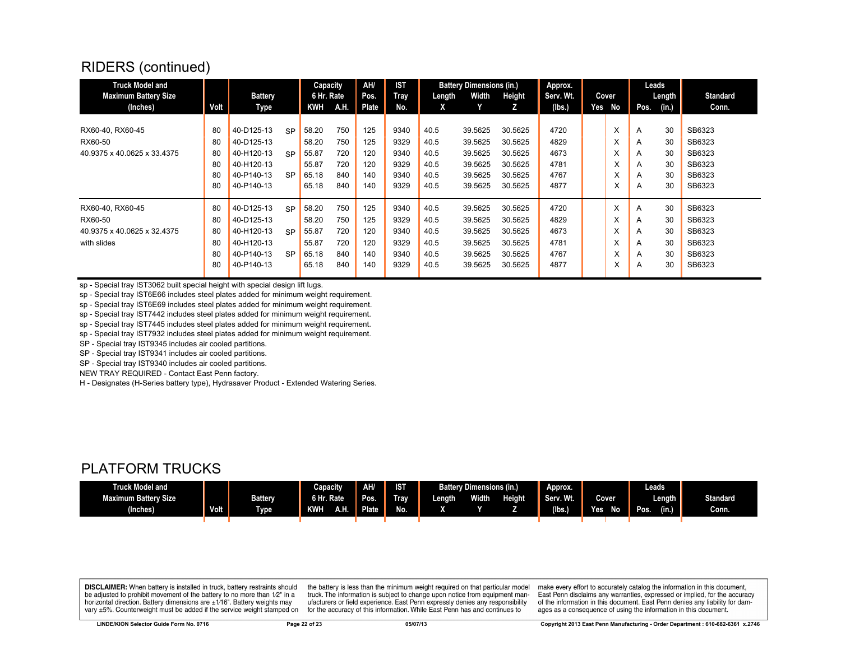| Truck Model and<br><b>Maximum Battery Size</b> |      | <b>Battery</b> |           | Capacity<br>6 Hr. Rate |      | AH/<br>Pos. | ।आ<br>Tray | Length | <b>Battery Dimensions (in.)</b><br>Width | Height  | Approx.<br>Serv. Wt. |     | Cover |      | Leads<br>Length | <b>Standard</b> |
|------------------------------------------------|------|----------------|-----------|------------------------|------|-------------|------------|--------|------------------------------------------|---------|----------------------|-----|-------|------|-----------------|-----------------|
| (Inches)                                       | Volt | Type           |           | <b>KWH</b>             | A.H. | Plate       | No.        | X      |                                          | z       | (Ibs.)               | Yes | No    | Pos. | (in.)           | Conn.           |
|                                                |      |                |           |                        |      |             |            |        |                                          |         |                      |     |       |      |                 |                 |
| RX60-40, RX60-45                               | 80   | 40-D125-13     | <b>SP</b> | 58.20                  | 750  | 125         | 9340       | 40.5   | 39.5625                                  | 30.5625 | 4720                 |     | X     | A    | 30              | SB6323          |
| RX60-50                                        | 80   | 40-D125-13     |           | 58.20                  | 750  | 125         | 9329       | 40.5   | 39.5625                                  | 30.5625 | 4829                 |     | X     | A    | 30              | SB6323          |
| 40.9375 x 40.0625 x 33.4375                    | 80   | 40-H120-13     | <b>SP</b> | 55.87                  | 720  | 120         | 9340       | 40.5   | 39.5625                                  | 30.5625 | 4673                 |     | X     | A    | 30              | SB6323          |
|                                                | 80   | 40-H120-13     |           | 55.87                  | 720  | 120         | 9329       | 40.5   | 39.5625                                  | 30.5625 | 4781                 |     | X     | A    | 30              | SB6323          |
|                                                | 80   | 40-P140-13     | <b>SP</b> | 65.18                  | 840  | 140         | 9340       | 40.5   | 39.5625                                  | 30.5625 | 4767                 |     | X     | A    | 30              | SB6323          |
|                                                | 80   | 40-P140-13     |           | 65.18                  | 840  | 140         | 9329       | 40.5   | 39.5625                                  | 30.5625 | 4877                 |     | X     | A    | 30              | SB6323          |
| RX60-40, RX60-45                               | 80   | 40-D125-13     | <b>SP</b> | 58.20                  | 750  | 125         | 9340       | 40.5   | 39.5625                                  | 30.5625 | 4720                 |     | X     | A    | 30              | SB6323          |
| RX60-50                                        | 80   | 40-D125-13     |           | 58.20                  | 750  | 125         | 9329       | 40.5   | 39.5625                                  | 30.5625 | 4829                 |     | X     | A    | 30              | SB6323          |
| 40.9375 x 40.0625 x 32.4375                    | 80   | 40-H120-13     | <b>SP</b> | 55.87                  | 720  | 120         | 9340       | 40.5   | 39.5625                                  | 30.5625 | 4673                 |     | X     | A    | 30              | SB6323          |
| with slides                                    | 80   | 40-H120-13     |           | 55.87                  | 720  | 120         | 9329       | 40.5   | 39.5625                                  | 30.5625 | 4781                 |     | X     | A    | 30              | SB6323          |
|                                                | 80   | 40-P140-13     | <b>SP</b> | 65.18                  | 840  | 140         | 9340       | 40.5   | 39.5625                                  | 30.5625 | 4767                 |     | X     | A    | 30              | SB6323          |
|                                                | 80   | 40-P140-13     |           | 65.18                  | 840  | 140         | 9329       | 40.5   | 39.5625                                  | 30.5625 | 4877                 |     | ᄉ     | A    | 30              | SB6323          |

sp - Special tray IST3062 built special height with special design lift lugs.

sp - Special tray IST6E66 includes steel plates added for minimum weight requirement.

sp - Special tray IST6E69 includes steel plates added for minimum weight requirement.

sp - Special tray IST7442 includes steel plates added for minimum weight requirement.

sp - Special tray IST7445 includes steel plates added for minimum weight requirement.

sp - Special tray IST7932 includes steel plates added for minimum weight requirement.

SP - Special tray IST9345 includes air cooled partitions.

SP - Special tray IST9341 includes air cooled partitions.

SP - Special tray IST9340 includes air cooled partitions.

NEW TRAY REQUIRED - Contact East Penn factory.

H - Designates (H-Series battery type), Hydrasaver Product - Extended Watering Series.

#### PLATFORM TRUCKS

| <b>Fruck Model and</b>      |               |                | Capacity             | AH/     | IST                              | <b>Battery Dimensions (in.)</b>         |  |              | Approx. |                        | Leads.        |       |
|-----------------------------|---------------|----------------|----------------------|---------|----------------------------------|-----------------------------------------|--|--------------|---------|------------------------|---------------|-------|
| <b>Maximum Battery Size</b> |               | <b>Battery</b> | 6 Hr.<br><b>Rate</b> | Pos.    | $\overline{\phantom{a}}$<br>Trav | <b>Height</b><br><b>Width</b><br>Length |  | Wf.<br>Serv. | Cover   | Length                 | Standard      |       |
| (Inches)                    | Volt <b>1</b> | <b>Type</b>    | A.H.<br><b>KWH</b>   | Plate . | No.                              |                                         |  |              | (lbs.)  | N <sub>o</sub><br>Yes. | (in.)<br>Pos. | Conn. |
|                             |               |                |                      |         |                                  |                                         |  |              |         |                        |               |       |

**DISCLAIMER:** When battery is installed in truck, battery restraints should be adjusted to prohibit movement of the battery to no more than 1/2" in a horizontal direction. Battery dimensions are  $\pm 1/16$ ". Battery weights may vary ±5%. Counterweight must be added if the service weight stamped on

the battery is less than the minimum weight required on that particular model truck. The information is subject to change upon notice from equipment manufacturers or field experience. East Penn expressly denies any responsibility for the accuracy of this information. While East Penn has and continues to